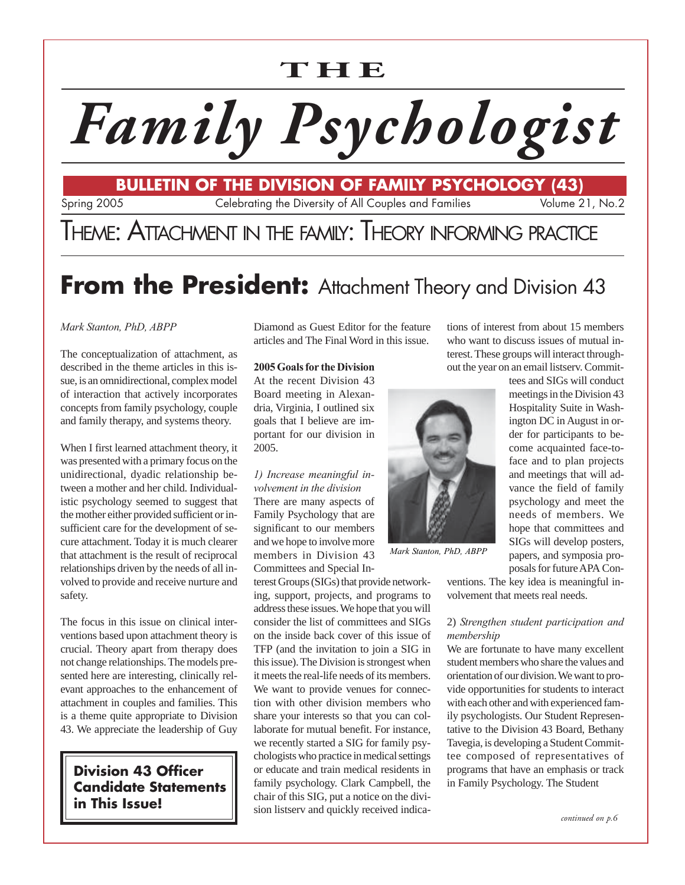## **THE**

# *Family Psychologist*

Spring 2005 Celebrating the Diversity of All Couples and Families Volume 21, No.2 **BULLETIN OF THE DIVISION OF FAMILY PSYCHOLOGY (43)**

## THEME: ATTACHMENT IN THE FAMILY: THEORY INFORMING PRACTICE

## **From the President:** Attachment Theory and Division 43

#### *Mark Stanton, PhD, ABPP*

The conceptualization of attachment, as described in the theme articles in this issue, is an omnidirectional, complex model of interaction that actively incorporates concepts from family psychology, couple and family therapy, and systems theory.

When I first learned attachment theory, it was presented with a primary focus on the unidirectional, dyadic relationship between a mother and her child. Individualistic psychology seemed to suggest that the mother either provided sufficient or insufficient care for the development of secure attachment. Today it is much clearer that attachment is the result of reciprocal relationships driven by the needs of all involved to provide and receive nurture and safety.

The focus in this issue on clinical interventions based upon attachment theory is crucial. Theory apart from therapy does not change relationships. The models presented here are interesting, clinically relevant approaches to the enhancement of attachment in couples and families. This is a theme quite appropriate to Division 43. We appreciate the leadership of Guy

**Division 43 Officer Candidate Statements in This Issue!**

Diamond as Guest Editor for the feature articles and The Final Word in this issue.

#### **2005 Goals for the Division**

At the recent Division 43 Board meeting in Alexandria, Virginia, I outlined six goals that I believe are important for our division in 2005.

#### *1) Increase meaningful involvement in the division* There are many aspects of Family Psychology that are significant to our members and we hope to involve more members in Division 43 Committees and Special In-

terest Groups (SIGs) that provide networking, support, projects, and programs to address these issues. We hope that you will consider the list of committees and SIGs on the inside back cover of this issue of TFP (and the invitation to join a SIG in this issue). The Division is strongest when it meets the real-life needs of its members. We want to provide venues for connection with other division members who share your interests so that you can collaborate for mutual benefit. For instance, we recently started a SIG for family psychologists who practice in medical settings or educate and train medical residents in family psychology. Clark Campbell, the chair of this SIG, put a notice on the division listserv and quickly received indica-



*Mark Stanton, PhD, ABPP*

tees and SIGs will conduct meetings in the Division 43 Hospitality Suite in Washington DC in August in order for participants to become acquainted face-toface and to plan projects and meetings that will advance the field of family psychology and meet the needs of members. We hope that committees and SIGs will develop posters, papers, and symposia proposals for future APA Con-

ventions. The key idea is meaningful involvement that meets real needs.

tions of interest from about 15 members who want to discuss issues of mutual interest. These groups will interact throughout the year on an email listserv. Commit-

#### 2) *Strengthen student participation and membership*

We are fortunate to have many excellent student members who share the values and orientation of our division. We want to provide opportunities for students to interact with each other and with experienced family psychologists. Our Student Representative to the Division 43 Board, Bethany Tavegia, is developing a Student Committee composed of representatives of programs that have an emphasis or track in Family Psychology. The Student

*continued on p.6*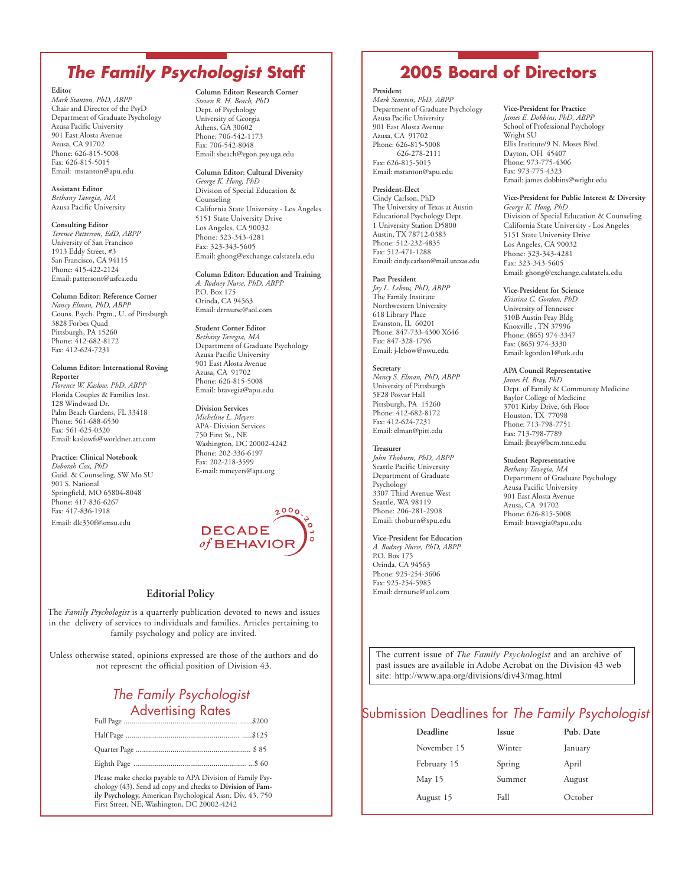## **The Family Psychologist Staff 2005 Board of Directors**

#### **Editor**

*Mark Stanton, PhD, ABPP* Chair and Director of the PsyD Department of Graduate Psychology Azusa Pacific University 901 East Alosta Avenue Azusa, CA 91702 Phone: 626-815-5008 Fax: 626-815-5015 Email: mstanton@apu.edu

**Assistant Editor** *Bethany Tavegia, MA* Azusa Pacific University

#### **Consulting Editor** *Terence Patterson, EdD, ABPP* University of San Francisco 1913 Eddy Street, #3 San Francisco, CA 94115 Phone: 415-422-2124 Email: pattersont@usfca.edu

**Column Editor: Reference Corner** *Nancy Elman, PhD, ABPP* Couns. Psych. Prgm., U. of Pittsburgh 3828 Forbes Quad Pittsburgh, PA 15260 Phone: 412-682-8172 Fax: 412-624-7231

**Column Editor: International Roving Reporter** *Florence W. Kaslow, PhD, ABPP* Florida Couples & Families Inst. 128 Windward Dr. Palm Beach Gardens, FL 33418 Phone: 561-688-6530 Fax: 561-625-0320 Email: kaslowfs@worldnet.att.com

#### **Practice: Clinical Notebook**

*Deborah Cox, PhD* Guid. & Counseling, SW Mo SU 901 S. National Springfield, MO 65804-8048 Phone: 417-836-6267 Fax: 417-836-1918 Email: dlc350f@smsu.edu

**Column Editor: Research Corner** *Steven R. H. Beach, PhD* Dept. of Psychology University of Georgia Athens, GA 30602 Phone: 706-542-1173 Fax: 706-542-8048 Email: sbeach@egon.psy.uga.edu

**Column Editor: Cultural Diversity** *George K. Hong, PhD* Division of Special Education & Counseling California State University - Los Angeles 5151 State University Drive Los Angeles, CA 90032 Phone: 323-343-4281 Fax: 323-343-5605 Email: ghong@exchange.calstatela.edu

**Column Editor: Education and Training** *A. Rodney Nurse, PhD, ABPP* P.O. Box 175 Orinda, CA 94563 Email: drrnurse@aol.com

**Student Corner Editor** *Bethany Tavegia, MA* Department of Graduate Psychology Azusa Pacific University 901 East Alosta Avenue Azusa, CA 91702 Phone: 626-815-5008 Email: btavegia@apu.edu

**Division Services** *Micheline L. Meyers* APA- Division Services 750 First St., NE Washington, DC 20002-4242 Phone: 202-336-6197 Fax: 202-218-3599 E-mail: mmeyers@apa.org



#### **Editorial Policy**

The *Family Psychologist* is a quarterly publication devoted to news and issues in the delivery of services to individuals and families. Articles pertaining to family psychology and policy are invited.

Unless otherwise stated, opinions expressed are those of the authors and do not represent the official position of Division 43.

### The Family Psychologist Advertising Rates

Please make checks payable to APA Division of Family Psychology (43). Send ad copy and checks to **Division of Family Psychology,** American Psychological Assn. Div. 43, 750 First Street, NE, Washington, DC 20002-4242

#### **President** *Mark Stanton, PhD, ABPP* Department of Graduate Psychology Azusa Pacific University 901 East Alosta Avenue Azusa, CA 91702 Phone: 626-815-5008 626-278-2111 Fax: 626-815-5015 Email: mstanton@apu.edu

**President-Elect** Cindy Carlson, PhD The University of Texas at Austin Educational Psychology Dept. 1 University Station D5800 Austin, TX 78712-0383 Phone: 512-232-4835 Fax: 512-471-1288 Email: cindy.carlson@mail.utexas.edu

#### **Past President**

*Jay L. Lebow, PhD, ABPP* The Family Institute Northwestern University 618 Library Place Evanston, IL 60201 Phone: 847-733-4300 X646 Fax: 847-328-1796 Email: j-lebow@nwu.edu

**Secretary** *Nancy S. Elman, PhD, ABPP* University of Pittsburgh 5F28 Posvar Hall Pittsburgh, PA 15260 Phone: 412-682-8172 Fax: 412-624-7231 Email: elman@pitt.edu

#### **Treasurer**

*John Thoburn, PhD, ABPP* Seattle Pacific University Department of Graduate Psychology 3307 Third Avenue West Seattle, WA 98119 Phone: 206-281-2908 Email: thoburn@spu.edu

#### **Vice-President for Education**

*A. Rodney Nurse, PhD, ABPP* P.O. Box 175 Orinda, CA 94563 Phone: 925-254-3606 Fax: 925-254-5985 Email: drrnurse@aol.com

**Vice-President for Practice** *James E. Dobbins, PhD, ABPP* School of Professional Psychology Wright SU Ellis Institute/9 N. Moses Blvd. Dayton, OH 45407 Phone: 973-775-4306 Fax: 973-775-4323 Email: james.dobbins@wright.edu

#### **Vice-President for Public Interest & Diversity**

*George K. Hong, PhD* Division of Special Education & Counseling California State University - Los Angeles 5151 State University Drive Los Angeles, CA 90032 Phone: 323-343-4281 Fax: 323-343-5605 Email: ghong@exchange.calstatela.edu

#### **Vice-President for Science**

*Kristina C. Gordon, PhD* University of Tennessee 310B Austin Peay Bldg Knoxville , TN 37996 Phone: (865) 974-3347 Fax: (865) 974-3330 Email: kgordon1@utk.edu

#### **APA Council Representative**

*James H. Bray, PhD* Dept. of Family & Community Medicine Baylor College of Medicine 3701 Kirby Drive, 6th Floor Houston, TX 77098 Phone: 713-798-7751 Fax: 713-798-7789 Email: jbray@bcm.tmc.edu

#### **Student Representative**

*Bethany Tavegia, MA* Department of Graduate Psychology Azusa Pacific University 901 East Alosta Avenue Azusa, CA 91702 Phone: 626-815-5008 Email: btavegia@apu.edu

The current issue of *The Family Psychologist* and an archive of past issues are available in Adobe Acrobat on the Division 43 web site: http://www.apa.org/divisions/div43/mag.html

#### Submission Deadlines for *The Family Psychologist*

| Deadline    | <b>Issue</b> | Pub. Date |
|-------------|--------------|-----------|
| November 15 | Winter       | January   |
| February 15 | Spring       | April     |
| May 15      | Summer       | August    |
| August 15   | Fall         | October   |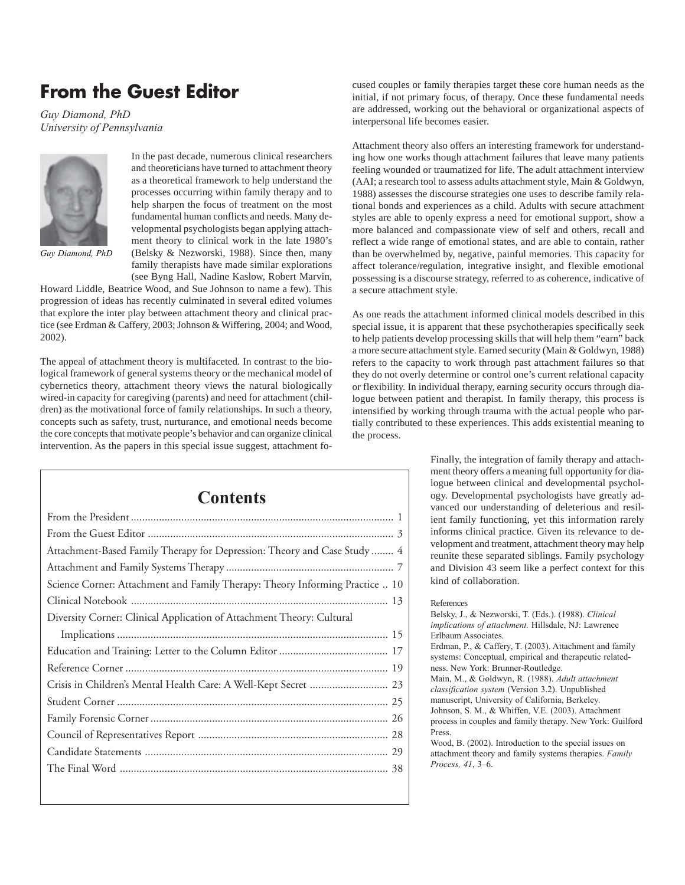## **From the Guest Editor**

*Guy Diamond, PhD University of Pennsylvania*



*Guy Diamond, PhD*

In the past decade, numerous clinical researchers and theoreticians have turned to attachment theory as a theoretical framework to help understand the processes occurring within family therapy and to help sharpen the focus of treatment on the most fundamental human conflicts and needs. Many developmental psychologists began applying attachment theory to clinical work in the late 1980's (Belsky & Nezworski, 1988). Since then, many family therapists have made similar explorations (see Byng Hall, Nadine Kaslow, Robert Marvin,

Howard Liddle, Beatrice Wood, and Sue Johnson to name a few). This progression of ideas has recently culminated in several edited volumes that explore the inter play between attachment theory and clinical practice (see Erdman & Caffery, 2003; Johnson & Wiffering, 2004; and Wood, 2002).

The appeal of attachment theory is multifaceted. In contrast to the biological framework of general systems theory or the mechanical model of cybernetics theory, attachment theory views the natural biologically wired-in capacity for caregiving (parents) and need for attachment (children) as the motivational force of family relationships. In such a theory, concepts such as safety, trust, nurturance, and emotional needs become the core concepts that motivate people's behavior and can organize clinical intervention. As the papers in this special issue suggest, attachment fo-

| <b>Contents</b>                                                              |  |  |
|------------------------------------------------------------------------------|--|--|
|                                                                              |  |  |
|                                                                              |  |  |
| Attachment-Based Family Therapy for Depression: Theory and Case Study  4     |  |  |
|                                                                              |  |  |
| Science Corner: Attachment and Family Therapy: Theory Informing Practice  10 |  |  |
|                                                                              |  |  |
| Diversity Corner: Clinical Application of Attachment Theory: Cultural        |  |  |
|                                                                              |  |  |
|                                                                              |  |  |
|                                                                              |  |  |
|                                                                              |  |  |
|                                                                              |  |  |
|                                                                              |  |  |
|                                                                              |  |  |
|                                                                              |  |  |
|                                                                              |  |  |

cused couples or family therapies target these core human needs as the initial, if not primary focus, of therapy. Once these fundamental needs are addressed, working out the behavioral or organizational aspects of interpersonal life becomes easier.

Attachment theory also offers an interesting framework for understanding how one works though attachment failures that leave many patients feeling wounded or traumatized for life. The adult attachment interview (AAI; a research tool to assess adults attachment style, Main & Goldwyn, 1988) assesses the discourse strategies one uses to describe family relational bonds and experiences as a child. Adults with secure attachment styles are able to openly express a need for emotional support, show a more balanced and compassionate view of self and others, recall and reflect a wide range of emotional states, and are able to contain, rather than be overwhelmed by, negative, painful memories. This capacity for affect tolerance/regulation, integrative insight, and flexible emotional possessing is a discourse strategy, referred to as coherence, indicative of a secure attachment style.

As one reads the attachment informed clinical models described in this special issue, it is apparent that these psychotherapies specifically seek to help patients develop processing skills that will help them "earn" back a more secure attachment style. Earned security (Main & Goldwyn, 1988) refers to the capacity to work through past attachment failures so that they do not overly determine or control one's current relational capacity or flexibility. In individual therapy, earning security occurs through dialogue between patient and therapist. In family therapy, this process is intensified by working through trauma with the actual people who partially contributed to these experiences. This adds existential meaning to the process.

> Finally, the integration of family therapy and attachment theory offers a meaning full opportunity for dialogue between clinical and developmental psychology. Developmental psychologists have greatly advanced our understanding of deleterious and resilient family functioning, yet this information rarely informs clinical practice. Given its relevance to development and treatment, attachment theory may help reunite these separated siblings. Family psychology and Division 43 seem like a perfect context for this kind of collaboration.

#### References

Belsky, J., & Nezworski, T. (Eds.). (1988). *Clinical implications of attachment.* Hillsdale, NJ: Lawrence Erlbaum Associates. Erdman, P., & Caffery, T. (2003). Attachment and family systems: Conceptual, empirical and therapeutic relatedness. New York: Brunner-Routledge. Main, M., & Goldwyn, R. (1988). *Adult attachment classification system* (Version 3.2). Unpublished manuscript, University of California, Berkeley. Johnson, S. M., & Whiffen, V.E. (2003). Attachment process in couples and family therapy. New York: Guilford Press. Wood, B. (2002). Introduction to the special issues on attachment theory and family systems therapies. *Family Process, 41*, 3–6.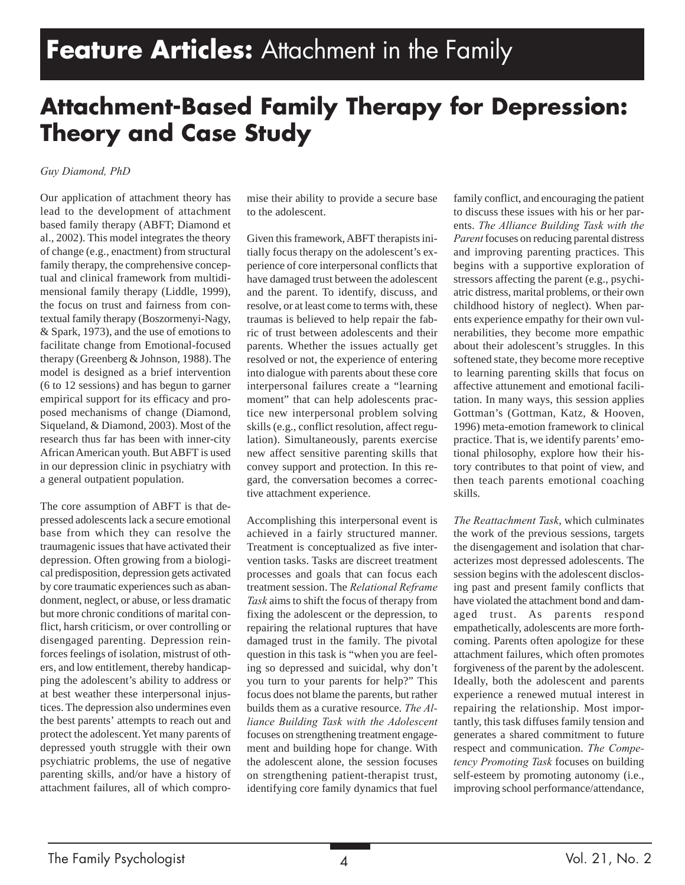## **Attachment-Based Family Therapy for Depression: Theory and Case Study**

#### *Guy Diamond, PhD*

Our application of attachment theory has lead to the development of attachment based family therapy (ABFT; Diamond et al., 2002). This model integrates the theory of change (e.g., enactment) from structural family therapy, the comprehensive conceptual and clinical framework from multidimensional family therapy (Liddle, 1999), the focus on trust and fairness from contextual family therapy (Boszormenyi-Nagy, & Spark, 1973), and the use of emotions to facilitate change from Emotional-focused therapy (Greenberg & Johnson, 1988). The model is designed as a brief intervention (6 to 12 sessions) and has begun to garner empirical support for its efficacy and proposed mechanisms of change (Diamond, Siqueland, & Diamond, 2003). Most of the research thus far has been with inner-city African American youth. But ABFT is used in our depression clinic in psychiatry with a general outpatient population.

The core assumption of ABFT is that depressed adolescents lack a secure emotional base from which they can resolve the traumagenic issues that have activated their depression. Often growing from a biological predisposition, depression gets activated by core traumatic experiences such as abandonment, neglect, or abuse, or less dramatic but more chronic conditions of marital conflict, harsh criticism, or over controlling or disengaged parenting. Depression reinforces feelings of isolation, mistrust of others, and low entitlement, thereby handicapping the adolescent's ability to address or at best weather these interpersonal injustices. The depression also undermines even the best parents' attempts to reach out and protect the adolescent. Yet many parents of depressed youth struggle with their own psychiatric problems, the use of negative parenting skills, and/or have a history of attachment failures, all of which compromise their ability to provide a secure base to the adolescent.

Given this framework, ABFT therapists initially focus therapy on the adolescent's experience of core interpersonal conflicts that have damaged trust between the adolescent and the parent. To identify, discuss, and resolve, or at least come to terms with, these traumas is believed to help repair the fabric of trust between adolescents and their parents. Whether the issues actually get resolved or not, the experience of entering into dialogue with parents about these core interpersonal failures create a "learning moment" that can help adolescents practice new interpersonal problem solving skills (e.g., conflict resolution, affect regulation). Simultaneously, parents exercise new affect sensitive parenting skills that convey support and protection. In this regard, the conversation becomes a corrective attachment experience.

Accomplishing this interpersonal event is achieved in a fairly structured manner. Treatment is conceptualized as five intervention tasks. Tasks are discreet treatment processes and goals that can focus each treatment session. The *Relational Reframe Task* aims to shift the focus of therapy from fixing the adolescent or the depression, to repairing the relational ruptures that have damaged trust in the family. The pivotal question in this task is "when you are feeling so depressed and suicidal, why don't you turn to your parents for help?" This focus does not blame the parents, but rather builds them as a curative resource. *The Alliance Building Task with the Adolescent* focuses on strengthening treatment engagement and building hope for change. With the adolescent alone, the session focuses on strengthening patient-therapist trust, identifying core family dynamics that fuel

family conflict, and encouraging the patient to discuss these issues with his or her parents. *The Alliance Building Task with the Parent* focuses on reducing parental distress and improving parenting practices. This begins with a supportive exploration of stressors affecting the parent (e.g., psychiatric distress, marital problems, or their own childhood history of neglect). When parents experience empathy for their own vulnerabilities, they become more empathic about their adolescent's struggles. In this softened state, they become more receptive to learning parenting skills that focus on affective attunement and emotional facilitation. In many ways, this session applies Gottman's (Gottman, Katz, & Hooven, 1996) meta-emotion framework to clinical practice. That is, we identify parents' emotional philosophy, explore how their history contributes to that point of view, and then teach parents emotional coaching skills.

*The Reattachment Task*, which culminates the work of the previous sessions, targets the disengagement and isolation that characterizes most depressed adolescents. The session begins with the adolescent disclosing past and present family conflicts that have violated the attachment bond and damaged trust. As parents respond empathetically, adolescents are more forthcoming. Parents often apologize for these attachment failures, which often promotes forgiveness of the parent by the adolescent. Ideally, both the adolescent and parents experience a renewed mutual interest in repairing the relationship. Most importantly, this task diffuses family tension and generates a shared commitment to future respect and communication. *The Competency Promoting Task* focuses on building self-esteem by promoting autonomy (i.e., improving school performance/attendance,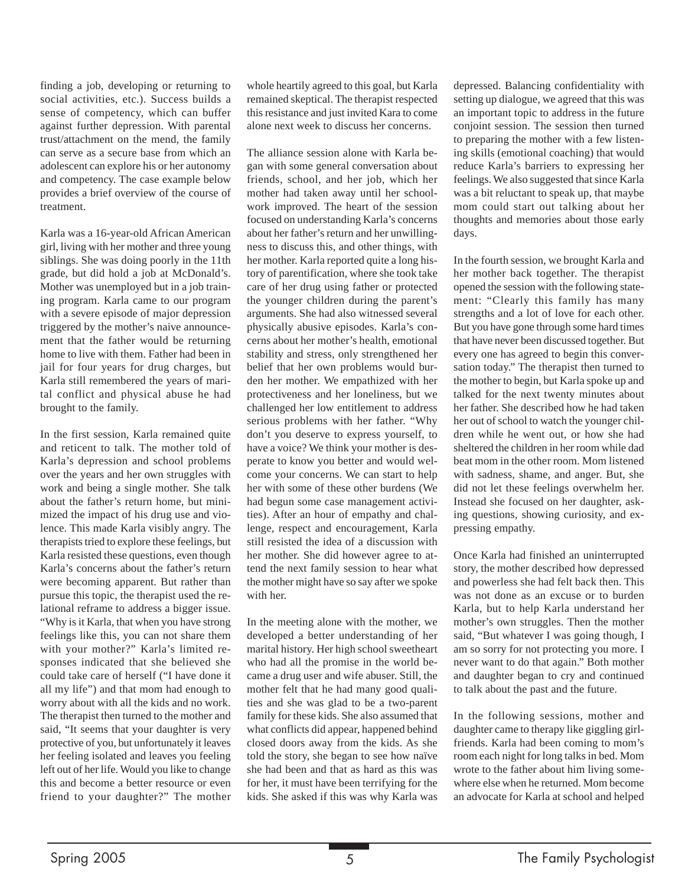finding a job, developing or returning to social activities, etc.). Success builds a sense of competency, which can buffer against further depression. With parental trust/attachment on the mend, the family can serve as a secure base from which an adolescent can explore his or her autonomy and competency. The case example below provides a brief overview of the course of treatment.

Karla was a 16-year-old African American girl, living with her mother and three young siblings. She was doing poorly in the 11th grade, but did hold a job at McDonald's. Mother was unemployed but in a job training program. Karla came to our program with a severe episode of major depression triggered by the mother's naive announcement that the father would be returning home to live with them. Father had been in jail for four years for drug charges, but Karla still remembered the years of marital conflict and physical abuse he had brought to the family.

In the first session, Karla remained quite and reticent to talk. The mother told of Karla's depression and school problems over the years and her own struggles with work and being a single mother. She talk about the father's return home, but minimized the impact of his drug use and violence. This made Karla visibly angry. The therapists tried to explore these feelings, but Karla resisted these questions, even though Karla's concerns about the father's return were becoming apparent. But rather than pursue this topic, the therapist used the relational reframe to address a bigger issue. "Why is it Karla, that when you have strong feelings like this, you can not share them with your mother?" Karla's limited responses indicated that she believed she could take care of herself ("I have done it all my life") and that mom had enough to worry about with all the kids and no work. The therapist then turned to the mother and said, "It seems that your daughter is very protective of you, but unfortunately it leaves her feeling isolated and leaves you feeling left out of her life. Would you like to change this and become a better resource or even friend to your daughter?" The mother

whole heartily agreed to this goal, but Karla remained skeptical. The therapist respected this resistance and just invited Kara to come alone next week to discuss her concerns.

The alliance session alone with Karla began with some general conversation about friends, school, and her job, which her mother had taken away until her schoolwork improved. The heart of the session focused on understanding Karla's concerns about her father's return and her unwillingness to discuss this, and other things, with her mother. Karla reported quite a long history of parentification, where she took take care of her drug using father or protected the younger children during the parent's arguments. She had also witnessed several physically abusive episodes. Karla's concerns about her mother's health, emotional stability and stress, only strengthened her belief that her own problems would burden her mother. We empathized with her protectiveness and her loneliness, but we challenged her low entitlement to address serious problems with her father. "Why don't you deserve to express yourself, to have a voice? We think your mother is desperate to know you better and would welcome your concerns. We can start to help her with some of these other burdens (We had begun some case management activities). After an hour of empathy and challenge, respect and encouragement, Karla still resisted the idea of a discussion with her mother. She did however agree to attend the next family session to hear what the mother might have so say after we spoke with her.

In the meeting alone with the mother, we developed a better understanding of her marital history. Her high school sweetheart who had all the promise in the world became a drug user and wife abuser. Still, the mother felt that he had many good qualities and she was glad to be a two-parent family for these kids. She also assumed that what conflicts did appear, happened behind closed doors away from the kids. As she told the story, she began to see how naïve she had been and that as hard as this was for her, it must have been terrifying for the kids. She asked if this was why Karla was

depressed. Balancing confidentiality with setting up dialogue, we agreed that this was an important topic to address in the future conjoint session. The session then turned to preparing the mother with a few listening skills (emotional coaching) that would reduce Karla's barriers to expressing her feelings. We also suggested that since Karla was a bit reluctant to speak up, that maybe mom could start out talking about her thoughts and memories about those early days.

In the fourth session, we brought Karla and her mother back together. The therapist opened the session with the following statement: "Clearly this family has many strengths and a lot of love for each other. But you have gone through some hard times that have never been discussed together. But every one has agreed to begin this conversation today." The therapist then turned to the mother to begin, but Karla spoke up and talked for the next twenty minutes about her father. She described how he had taken her out of school to watch the younger children while he went out, or how she had sheltered the children in her room while dad beat mom in the other room. Mom listened with sadness, shame, and anger. But, she did not let these feelings overwhelm her. Instead she focused on her daughter, asking questions, showing curiosity, and expressing empathy.

Once Karla had finished an uninterrupted story, the mother described how depressed and powerless she had felt back then. This was not done as an excuse or to burden Karla, but to help Karla understand her mother's own struggles. Then the mother said, "But whatever I was going though, I am so sorry for not protecting you more. I never want to do that again." Both mother and daughter began to cry and continued to talk about the past and the future.

In the following sessions, mother and daughter came to therapy like giggling girlfriends. Karla had been coming to mom's room each night for long talks in bed. Mom wrote to the father about him living somewhere else when he returned. Mom become an advocate for Karla at school and helped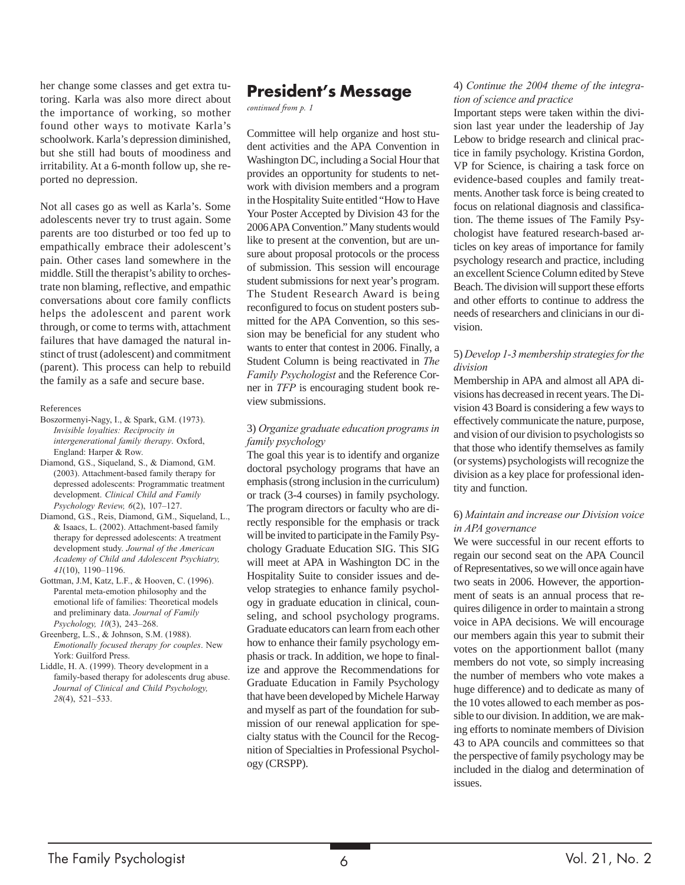her change some classes and get extra tutoring. Karla was also more direct about the importance of working, so mother found other ways to motivate Karla's schoolwork. Karla's depression diminished, but she still had bouts of moodiness and irritability. At a 6-month follow up, she reported no depression.

Not all cases go as well as Karla's. Some adolescents never try to trust again. Some parents are too disturbed or too fed up to empathically embrace their adolescent's pain. Other cases land somewhere in the middle. Still the therapist's ability to orchestrate non blaming, reflective, and empathic conversations about core family conflicts helps the adolescent and parent work through, or come to terms with, attachment failures that have damaged the natural instinct of trust (adolescent) and commitment (parent). This process can help to rebuild the family as a safe and secure base.

References

- Boszormenyi-Nagy, I., & Spark, G.M. (1973). *Invisible loyalties: Reciprocity in intergenerational family therapy*. Oxford, England: Harper & Row.
- Diamond, G.S., Siqueland, S., & Diamond, G.M. (2003). Attachment-based family therapy for depressed adolescents: Programmatic treatment development. *Clinical Child and Family Psychology Review, 6*(2), 107–127.
- Diamond, G.S., Reis, Diamond, G.M., Siqueland, L., & Isaacs, L. (2002). Attachment-based family therapy for depressed adolescents: A treatment development study. *Journal of the American Academy of Child and Adolescent Psychiatry, 41*(10), 1190–1196.
- Gottman, J.M, Katz, L.F., & Hooven, C. (1996). Parental meta-emotion philosophy and the emotional life of families: Theoretical models and preliminary data. *Journal of Family Psychology, 10*(3), 243–268.
- Greenberg, L.S., & Johnson, S.M. (1988). *Emotionally focused therapy for couples*. New York: Guilford Press.
- Liddle, H. A. (1999). Theory development in a family-based therapy for adolescents drug abuse. *Journal of Clinical and Child Psychology, 28*(4), 521–533.

## **President's Message**

*continued from p. 1*

Committee will help organize and host student activities and the APA Convention in Washington DC, including a Social Hour that provides an opportunity for students to network with division members and a program in the Hospitality Suite entitled "How to Have Your Poster Accepted by Division 43 for the 2006 APA Convention." Many students would like to present at the convention, but are unsure about proposal protocols or the process of submission. This session will encourage student submissions for next year's program. The Student Research Award is being reconfigured to focus on student posters submitted for the APA Convention, so this session may be beneficial for any student who wants to enter that contest in 2006. Finally, a Student Column is being reactivated in *The Family Psychologist* and the Reference Corner in *TFP* is encouraging student book review submissions.

#### 3) *Organize graduate education programs in family psychology*

The goal this year is to identify and organize doctoral psychology programs that have an emphasis (strong inclusion in the curriculum) or track (3-4 courses) in family psychology. The program directors or faculty who are directly responsible for the emphasis or track will be invited to participate in the Family Psychology Graduate Education SIG. This SIG will meet at APA in Washington DC in the Hospitality Suite to consider issues and develop strategies to enhance family psychology in graduate education in clinical, counseling, and school psychology programs. Graduate educators can learn from each other how to enhance their family psychology emphasis or track. In addition, we hope to finalize and approve the Recommendations for Graduate Education in Family Psychology that have been developed by Michele Harway and myself as part of the foundation for submission of our renewal application for specialty status with the Council for the Recognition of Specialties in Professional Psychology (CRSPP).

#### 4) *Continue the 2004 theme of the integration of science and practice*

Important steps were taken within the division last year under the leadership of Jay Lebow to bridge research and clinical practice in family psychology. Kristina Gordon, VP for Science, is chairing a task force on evidence-based couples and family treatments. Another task force is being created to focus on relational diagnosis and classification. The theme issues of The Family Psychologist have featured research-based articles on key areas of importance for family psychology research and practice, including an excellent Science Column edited by Steve Beach. The division will support these efforts and other efforts to continue to address the needs of researchers and clinicians in our division.

#### 5) *Develop 1-3 membership strategies for the division*

Membership in APA and almost all APA divisions has decreased in recent years. The Division 43 Board is considering a few ways to effectively communicate the nature, purpose, and vision of our division to psychologists so that those who identify themselves as family (or systems) psychologists will recognize the division as a key place for professional identity and function.

#### 6) *Maintain and increase our Division voice in APA governance*

We were successful in our recent efforts to regain our second seat on the APA Council of Representatives, so we will once again have two seats in 2006. However, the apportionment of seats is an annual process that requires diligence in order to maintain a strong voice in APA decisions. We will encourage our members again this year to submit their votes on the apportionment ballot (many members do not vote, so simply increasing the number of members who vote makes a huge difference) and to dedicate as many of the 10 votes allowed to each member as possible to our division. In addition, we are making efforts to nominate members of Division 43 to APA councils and committees so that the perspective of family psychology may be included in the dialog and determination of issues.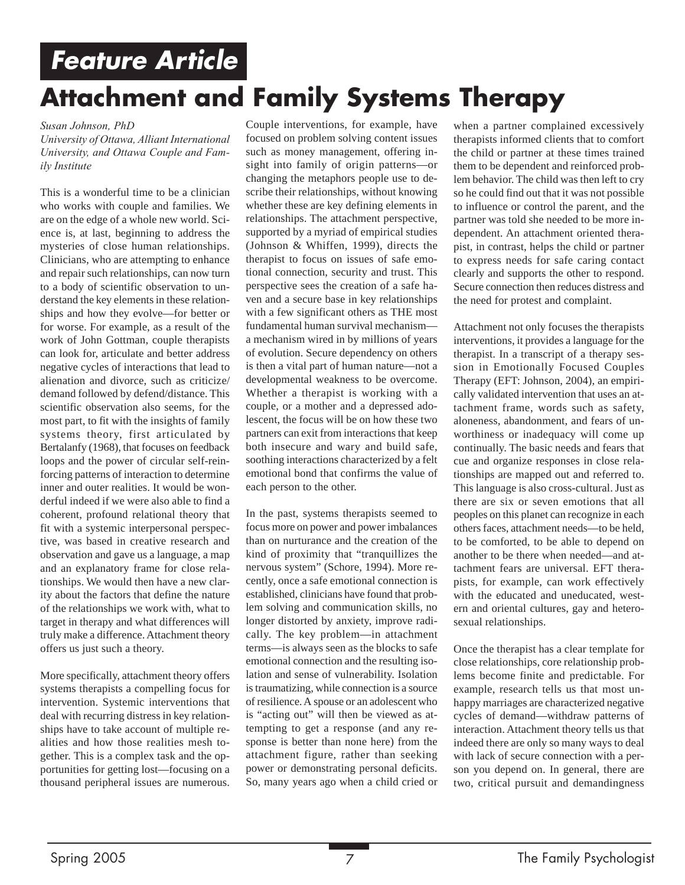## **Feature Article Attachment and Family Systems Therapy**

#### *Susan Johnson, PhD*

*University of Ottawa, Alliant International University, and Ottawa Couple and Family Institute*

This is a wonderful time to be a clinician who works with couple and families. We are on the edge of a whole new world. Science is, at last, beginning to address the mysteries of close human relationships. Clinicians, who are attempting to enhance and repair such relationships, can now turn to a body of scientific observation to understand the key elements in these relationships and how they evolve—for better or for worse. For example, as a result of the work of John Gottman, couple therapists can look for, articulate and better address negative cycles of interactions that lead to alienation and divorce, such as criticize/ demand followed by defend/distance. This scientific observation also seems, for the most part, to fit with the insights of family systems theory, first articulated by Bertalanfy (1968), that focuses on feedback loops and the power of circular self-reinforcing patterns of interaction to determine inner and outer realities. It would be wonderful indeed if we were also able to find a coherent, profound relational theory that fit with a systemic interpersonal perspective, was based in creative research and observation and gave us a language, a map and an explanatory frame for close relationships. We would then have a new clarity about the factors that define the nature of the relationships we work with, what to target in therapy and what differences will truly make a difference. Attachment theory offers us just such a theory.

More specifically, attachment theory offers systems therapists a compelling focus for intervention. Systemic interventions that deal with recurring distress in key relationships have to take account of multiple realities and how those realities mesh together. This is a complex task and the opportunities for getting lost—focusing on a thousand peripheral issues are numerous.

Couple interventions, for example, have focused on problem solving content issues such as money management, offering insight into family of origin patterns—or changing the metaphors people use to describe their relationships, without knowing whether these are key defining elements in relationships. The attachment perspective, supported by a myriad of empirical studies (Johnson & Whiffen, 1999), directs the therapist to focus on issues of safe emotional connection, security and trust. This perspective sees the creation of a safe haven and a secure base in key relationships with a few significant others as THE most fundamental human survival mechanism a mechanism wired in by millions of years of evolution. Secure dependency on others is then a vital part of human nature—not a developmental weakness to be overcome. Whether a therapist is working with a couple, or a mother and a depressed adolescent, the focus will be on how these two partners can exit from interactions that keep both insecure and wary and build safe, soothing interactions characterized by a felt emotional bond that confirms the value of each person to the other.

In the past, systems therapists seemed to focus more on power and power imbalances than on nurturance and the creation of the kind of proximity that "tranquillizes the nervous system" (Schore, 1994). More recently, once a safe emotional connection is established, clinicians have found that problem solving and communication skills, no longer distorted by anxiety, improve radically. The key problem—in attachment terms—is always seen as the blocks to safe emotional connection and the resulting isolation and sense of vulnerability. Isolation is traumatizing, while connection is a source of resilience. A spouse or an adolescent who is "acting out" will then be viewed as attempting to get a response (and any response is better than none here) from the attachment figure, rather than seeking power or demonstrating personal deficits. So, many years ago when a child cried or

when a partner complained excessively therapists informed clients that to comfort the child or partner at these times trained them to be dependent and reinforced problem behavior. The child was then left to cry so he could find out that it was not possible to influence or control the parent, and the partner was told she needed to be more independent. An attachment oriented therapist, in contrast, helps the child or partner to express needs for safe caring contact clearly and supports the other to respond. Secure connection then reduces distress and the need for protest and complaint.

Attachment not only focuses the therapists interventions, it provides a language for the therapist. In a transcript of a therapy session in Emotionally Focused Couples Therapy (EFT: Johnson, 2004), an empirically validated intervention that uses an attachment frame, words such as safety, aloneness, abandonment, and fears of unworthiness or inadequacy will come up continually. The basic needs and fears that cue and organize responses in close relationships are mapped out and referred to. This language is also cross-cultural. Just as there are six or seven emotions that all peoples on this planet can recognize in each others faces, attachment needs—to be held, to be comforted, to be able to depend on another to be there when needed—and attachment fears are universal. EFT therapists, for example, can work effectively with the educated and uneducated, western and oriental cultures, gay and heterosexual relationships.

Once the therapist has a clear template for close relationships, core relationship problems become finite and predictable. For example, research tells us that most unhappy marriages are characterized negative cycles of demand—withdraw patterns of interaction. Attachment theory tells us that indeed there are only so many ways to deal with lack of secure connection with a person you depend on. In general, there are two, critical pursuit and demandingness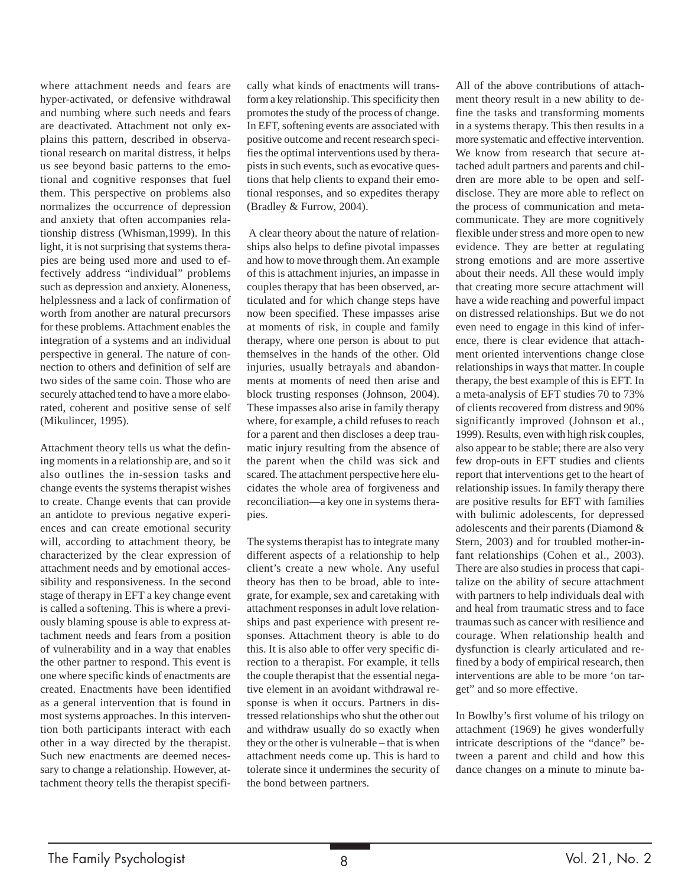where attachment needs and fears are hyper-activated, or defensive withdrawal and numbing where such needs and fears are deactivated. Attachment not only explains this pattern, described in observational research on marital distress, it helps us see beyond basic patterns to the emotional and cognitive responses that fuel them. This perspective on problems also normalizes the occurrence of depression and anxiety that often accompanies relationship distress (Whisman,1999). In this light, it is not surprising that systems therapies are being used more and used to effectively address "individual" problems such as depression and anxiety. Aloneness, helplessness and a lack of confirmation of worth from another are natural precursors for these problems. Attachment enables the integration of a systems and an individual perspective in general. The nature of connection to others and definition of self are two sides of the same coin. Those who are securely attached tend to have a more elaborated, coherent and positive sense of self (Mikulincer, 1995).

Attachment theory tells us what the defining moments in a relationship are, and so it also outlines the in-session tasks and change events the systems therapist wishes to create. Change events that can provide an antidote to previous negative experiences and can create emotional security will, according to attachment theory, be characterized by the clear expression of attachment needs and by emotional accessibility and responsiveness. In the second stage of therapy in EFT a key change event is called a softening. This is where a previously blaming spouse is able to express attachment needs and fears from a position of vulnerability and in a way that enables the other partner to respond. This event is one where specific kinds of enactments are created. Enactments have been identified as a general intervention that is found in most systems approaches. In this intervention both participants interact with each other in a way directed by the therapist. Such new enactments are deemed necessary to change a relationship. However, attachment theory tells the therapist specifically what kinds of enactments will transform a key relationship. This specificity then promotes the study of the process of change. In EFT, softening events are associated with positive outcome and recent research specifies the optimal interventions used by therapists in such events, such as evocative questions that help clients to expand their emotional responses, and so expedites therapy (Bradley & Furrow, 2004).

 A clear theory about the nature of relationships also helps to define pivotal impasses and how to move through them. An example of this is attachment injuries, an impasse in couples therapy that has been observed, articulated and for which change steps have now been specified. These impasses arise at moments of risk, in couple and family therapy, where one person is about to put themselves in the hands of the other. Old injuries, usually betrayals and abandonments at moments of need then arise and block trusting responses (Johnson, 2004). These impasses also arise in family therapy where, for example, a child refuses to reach for a parent and then discloses a deep traumatic injury resulting from the absence of the parent when the child was sick and scared. The attachment perspective here elucidates the whole area of forgiveness and reconciliation—a key one in systems therapies.

The systems therapist has to integrate many different aspects of a relationship to help client's create a new whole. Any useful theory has then to be broad, able to integrate, for example, sex and caretaking with attachment responses in adult love relationships and past experience with present responses. Attachment theory is able to do this. It is also able to offer very specific direction to a therapist. For example, it tells the couple therapist that the essential negative element in an avoidant withdrawal response is when it occurs. Partners in distressed relationships who shut the other out and withdraw usually do so exactly when they or the other is vulnerable – that is when attachment needs come up. This is hard to tolerate since it undermines the security of the bond between partners.

All of the above contributions of attachment theory result in a new ability to define the tasks and transforming moments in a systems therapy. This then results in a more systematic and effective intervention. We know from research that secure attached adult partners and parents and children are more able to be open and selfdisclose. They are more able to reflect on the process of communication and metacommunicate. They are more cognitively flexible under stress and more open to new evidence. They are better at regulating strong emotions and are more assertive about their needs. All these would imply that creating more secure attachment will have a wide reaching and powerful impact on distressed relationships. But we do not even need to engage in this kind of inference, there is clear evidence that attachment oriented interventions change close relationships in ways that matter. In couple therapy, the best example of this is EFT. In a meta-analysis of EFT studies 70 to 73% of clients recovered from distress and 90% significantly improved (Johnson et al., 1999). Results, even with high risk couples, also appear to be stable; there are also very few drop-outs in EFT studies and clients report that interventions get to the heart of relationship issues. In family therapy there are positive results for EFT with families with bulimic adolescents, for depressed adolescents and their parents (Diamond & Stern, 2003) and for troubled mother-infant relationships (Cohen et al., 2003). There are also studies in process that capitalize on the ability of secure attachment with partners to help individuals deal with and heal from traumatic stress and to face traumas such as cancer with resilience and courage. When relationship health and dysfunction is clearly articulated and refined by a body of empirical research, then interventions are able to be more 'on target" and so more effective.

In Bowlby's first volume of his trilogy on attachment (1969) he gives wonderfully intricate descriptions of the "dance" between a parent and child and how this dance changes on a minute to minute ba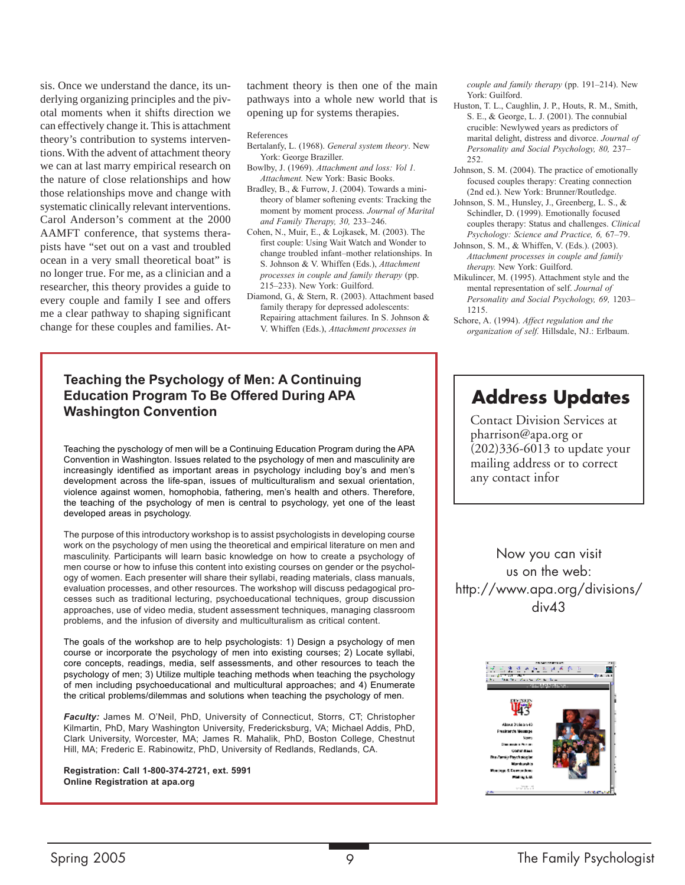sis. Once we understand the dance, its underlying organizing principles and the pivotal moments when it shifts direction we can effectively change it. This is attachment theory's contribution to systems interventions. With the advent of attachment theory we can at last marry empirical research on the nature of close relationships and how those relationships move and change with systematic clinically relevant interventions. Carol Anderson's comment at the 2000 AAMFT conference, that systems therapists have "set out on a vast and troubled ocean in a very small theoretical boat" is no longer true. For me, as a clinician and a researcher, this theory provides a guide to every couple and family I see and offers me a clear pathway to shaping significant change for these couples and families. Attachment theory is then one of the main pathways into a whole new world that is opening up for systems therapies.

#### References

- Bertalanfy, L. (1968). *General system theory*. New York: George Braziller.
- Bowlby, J. (1969). *Attachment and loss: Vol 1. Attachment.* New York: Basic Books.
- Bradley, B., & Furrow, J. (2004). Towards a minitheory of blamer softening events: Tracking the moment by moment process. *Journal of Marital and Family Therapy, 30,* 233–246.
- Cohen, N., Muir, E., & Lojkasek, M. (2003). The first couple: Using Wait Watch and Wonder to change troubled infant–mother relationships. In S. Johnson & V. Whiffen (Eds.), *Attachment processes in couple and family therapy* (pp. 215–233). New York: Guilford.
- Diamond, G., & Stern, R. (2003). Attachment based family therapy for depressed adolescents: Repairing attachment failures. In S. Johnson & V. Whiffen (Eds.), *Attachment processes in*

*couple and family therapy* (pp. 191–214). New York: Guilford.

- Huston, T. L., Caughlin, J. P., Houts, R. M., Smith, S. E., & George, L. J. (2001). The connubial crucible: Newlywed years as predictors of marital delight, distress and divorce. *Journal of Personality and Social Psychology, 80,* 237– 252.
- Johnson, S. M. (2004). The practice of emotionally focused couples therapy: Creating connection (2nd ed.). New York: Brunner/Routledge.
- Johnson, S. M., Hunsley, J., Greenberg, L. S., & Schindler, D. (1999). Emotionally focused couples therapy: Status and challenges. *Clinical Psychology: Science and Practice, 6,* 67–79.
- Johnson, S. M., & Whiffen, V. (Eds.). (2003). *Attachment processes in couple and family therapy.* New York: Guilford.
- Mikulincer, M. (1995). Attachment style and the mental representation of self. *Journal of Personality and Social Psychology, 69,* 1203– 1215.
- Schore, A. (1994). *Affect regulation and the organization of self.* Hillsdale, NJ.: Erlbaum.

### **Teaching the Psychology of Men: A Continuing Education Program To Be Offered During APA Washington Convention**

Teaching the pyschology of men will be a Continuing Education Program during the APA Convention in Washington. Issues related to the psychology of men and masculinity are increasingly identified as important areas in psychology including boy's and men's development across the life-span, issues of multiculturalism and sexual orientation, violence against women, homophobia, fathering, men's health and others. Therefore, the teaching of the psychology of men is central to psychology, yet one of the least developed areas in psychology.

The purpose of this introductory workshop is to assist psychologists in developing course work on the psychology of men using the theoretical and empirical literature on men and masculinity. Participants will learn basic knowledge on how to create a psychology of men course or how to infuse this content into existing courses on gender or the psychology of women. Each presenter will share their syllabi, reading materials, class manuals, evaluation processes, and other resources. The workshop will discuss pedagogical processes such as traditional lecturing, psychoeducational techniques, group discussion approaches, use of video media, student assessment techniques, managing classroom problems, and the infusion of diversity and multiculturalism as critical content.

The goals of the workshop are to help psychologists: 1) Design a psychology of men course or incorporate the psychology of men into existing courses; 2) Locate syllabi, core concepts, readings, media, self assessments, and other resources to teach the psychology of men; 3) Utilize multiple teaching methods when teaching the psychology of men including psychoeducational and multicultural approaches; and 4) Enumerate the critical problems/dilemmas and solutions when teaching the psychology of men.

*Faculty:* James M. O'Neil, PhD, University of Connecticut, Storrs, CT; Christopher Kilmartin, PhD, Mary Washington University, Fredericksburg, VA; Michael Addis, PhD, Clark University, Worcester, MA; James R. Mahalik, PhD, Boston College, Chestnut Hill, MA; Frederic E. Rabinowitz, PhD, University of Redlands, Redlands, CA.

**Registration: Call 1-800-374-2721, ext. 5991 Online Registration at apa.org**

## **Address Updates**

Contact Division Services at pharrison@apa.org or (202)336-6013 to update your mailing address or to correct any contact infor

Now you can visit us on the web: http://www.apa.org/divisions/ div43

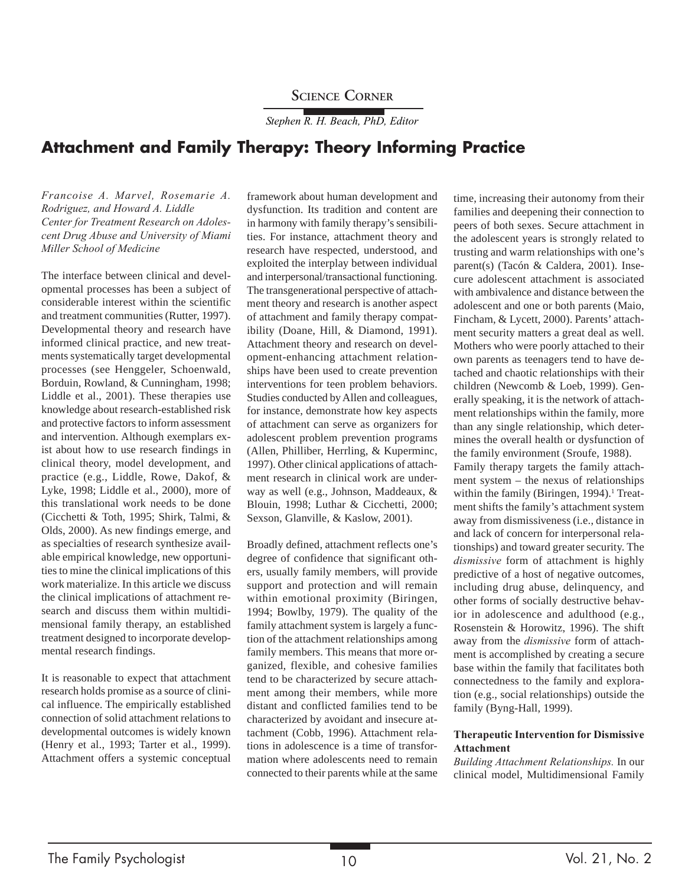### **SCIENCE CORNER**

*Stephen R. H. Beach, PhD, Editor*

## **Attachment and Family Therapy: Theory Informing Practice**

*Francoise A. Marvel, Rosemarie A. Rodriguez, and Howard A. Liddle Center for Treatment Research on Adolescent Drug Abuse and University of Miami Miller School of Medicine*

The interface between clinical and developmental processes has been a subject of considerable interest within the scientific and treatment communities (Rutter, 1997). Developmental theory and research have informed clinical practice, and new treatments systematically target developmental processes (see Henggeler, Schoenwald, Borduin, Rowland, & Cunningham, 1998; Liddle et al., 2001). These therapies use knowledge about research-established risk and protective factors to inform assessment and intervention. Although exemplars exist about how to use research findings in clinical theory, model development, and practice (e.g., Liddle, Rowe, Dakof, & Lyke, 1998; Liddle et al., 2000), more of this translational work needs to be done (Cicchetti & Toth, 1995; Shirk, Talmi, & Olds, 2000). As new findings emerge, and as specialties of research synthesize available empirical knowledge, new opportunities to mine the clinical implications of this work materialize. In this article we discuss the clinical implications of attachment research and discuss them within multidimensional family therapy, an established treatment designed to incorporate developmental research findings.

It is reasonable to expect that attachment research holds promise as a source of clinical influence. The empirically established connection of solid attachment relations to developmental outcomes is widely known (Henry et al., 1993; Tarter et al., 1999). Attachment offers a systemic conceptual framework about human development and dysfunction. Its tradition and content are in harmony with family therapy's sensibilities. For instance, attachment theory and research have respected, understood, and exploited the interplay between individual and interpersonal/transactional functioning. The transgenerational perspective of attachment theory and research is another aspect of attachment and family therapy compatibility (Doane, Hill, & Diamond, 1991). Attachment theory and research on development-enhancing attachment relationships have been used to create prevention interventions for teen problem behaviors. Studies conducted by Allen and colleagues, for instance, demonstrate how key aspects of attachment can serve as organizers for adolescent problem prevention programs (Allen, Philliber, Herrling, & Kuperminc, 1997). Other clinical applications of attachment research in clinical work are underway as well (e.g., Johnson, Maddeaux, & Blouin, 1998; Luthar & Cicchetti, 2000; Sexson, Glanville, & Kaslow, 2001).

Broadly defined, attachment reflects one's degree of confidence that significant others, usually family members, will provide support and protection and will remain within emotional proximity (Biringen, 1994; Bowlby, 1979). The quality of the family attachment system is largely a function of the attachment relationships among family members. This means that more organized, flexible, and cohesive families tend to be characterized by secure attachment among their members, while more distant and conflicted families tend to be characterized by avoidant and insecure attachment (Cobb, 1996). Attachment relations in adolescence is a time of transformation where adolescents need to remain connected to their parents while at the same

time, increasing their autonomy from their families and deepening their connection to peers of both sexes. Secure attachment in the adolescent years is strongly related to trusting and warm relationships with one's parent(s) (Tacón & Caldera, 2001). Insecure adolescent attachment is associated with ambivalence and distance between the adolescent and one or both parents (Maio, Fincham, & Lycett, 2000). Parents' attachment security matters a great deal as well. Mothers who were poorly attached to their own parents as teenagers tend to have detached and chaotic relationships with their children (Newcomb & Loeb, 1999). Generally speaking, it is the network of attachment relationships within the family, more than any single relationship, which determines the overall health or dysfunction of the family environment (Sroufe, 1988). Family therapy targets the family attachment system – the nexus of relationships within the family (Biringen, 1994).<sup>1</sup> Treatment shifts the family's attachment system away from dismissiveness (i.e., distance in and lack of concern for interpersonal relationships) and toward greater security. The *dismissive* form of attachment is highly predictive of a host of negative outcomes, including drug abuse, delinquency, and other forms of socially destructive behavior in adolescence and adulthood (e.g., Rosenstein & Horowitz, 1996). The shift away from the *dismissive* form of attachment is accomplished by creating a secure base within the family that facilitates both connectedness to the family and exploration (e.g., social relationships) outside the

#### **Therapeutic Intervention for Dismissive Attachment**

family (Byng-Hall, 1999).

*Building Attachment Relationships.* In our clinical model, Multidimensional Family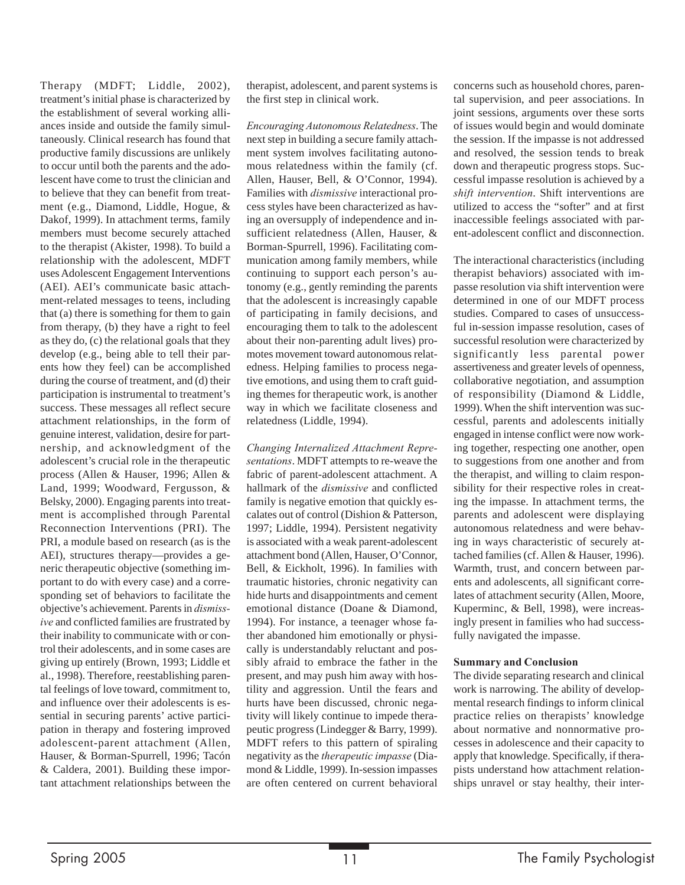Therapy (MDFT; Liddle, 2002), treatment's initial phase is characterized by the establishment of several working alliances inside and outside the family simultaneously. Clinical research has found that productive family discussions are unlikely to occur until both the parents and the adolescent have come to trust the clinician and to believe that they can benefit from treatment (e.g., Diamond, Liddle, Hogue, & Dakof, 1999). In attachment terms, family members must become securely attached to the therapist (Akister, 1998). To build a relationship with the adolescent, MDFT uses Adolescent Engagement Interventions (AEI). AEI's communicate basic attachment-related messages to teens, including that (a) there is something for them to gain from therapy, (b) they have a right to feel as they do, (c) the relational goals that they develop (e.g., being able to tell their parents how they feel) can be accomplished during the course of treatment, and (d) their participation is instrumental to treatment's success. These messages all reflect secure attachment relationships, in the form of genuine interest, validation, desire for partnership, and acknowledgment of the adolescent's crucial role in the therapeutic process (Allen & Hauser, 1996; Allen & Land, 1999; Woodward, Fergusson, & Belsky, 2000). Engaging parents into treatment is accomplished through Parental Reconnection Interventions (PRI). The PRI, a module based on research (as is the AEI), structures therapy—provides a generic therapeutic objective (something important to do with every case) and a corresponding set of behaviors to facilitate the objective's achievement. Parents in *dismissive* and conflicted families are frustrated by their inability to communicate with or control their adolescents, and in some cases are giving up entirely (Brown, 1993; Liddle et al., 1998). Therefore, reestablishing parental feelings of love toward, commitment to, and influence over their adolescents is essential in securing parents' active participation in therapy and fostering improved adolescent-parent attachment (Allen, Hauser, & Borman-Spurrell, 1996; Tacón & Caldera, 2001). Building these important attachment relationships between the therapist, adolescent, and parent systems is the first step in clinical work.

*Encouraging Autonomous Relatedness*. The next step in building a secure family attachment system involves facilitating autonomous relatedness within the family (cf. Allen, Hauser, Bell, & O'Connor, 1994). Families with *dismissive* interactional process styles have been characterized as having an oversupply of independence and insufficient relatedness (Allen, Hauser, & Borman-Spurrell, 1996). Facilitating communication among family members, while continuing to support each person's autonomy (e.g., gently reminding the parents that the adolescent is increasingly capable of participating in family decisions, and encouraging them to talk to the adolescent about their non-parenting adult lives) promotes movement toward autonomous relatedness. Helping families to process negative emotions, and using them to craft guiding themes for therapeutic work, is another way in which we facilitate closeness and relatedness (Liddle, 1994).

*Changing Internalized Attachment Representations*. MDFT attempts to re-weave the fabric of parent-adolescent attachment. A hallmark of the *dismissive* and conflicted family is negative emotion that quickly escalates out of control (Dishion & Patterson, 1997; Liddle, 1994). Persistent negativity is associated with a weak parent-adolescent attachment bond (Allen, Hauser, O'Connor, Bell, & Eickholt, 1996). In families with traumatic histories, chronic negativity can hide hurts and disappointments and cement emotional distance (Doane & Diamond, 1994). For instance, a teenager whose father abandoned him emotionally or physically is understandably reluctant and possibly afraid to embrace the father in the present, and may push him away with hostility and aggression. Until the fears and hurts have been discussed, chronic negativity will likely continue to impede therapeutic progress (Lindegger & Barry, 1999). MDFT refers to this pattern of spiraling negativity as the *therapeutic impasse* (Diamond & Liddle, 1999). In-session impasses are often centered on current behavioral

concerns such as household chores, parental supervision, and peer associations. In joint sessions, arguments over these sorts of issues would begin and would dominate the session. If the impasse is not addressed and resolved, the session tends to break down and therapeutic progress stops. Successful impasse resolution is achieved by a *shift intervention*. Shift interventions are utilized to access the "softer" and at first inaccessible feelings associated with parent-adolescent conflict and disconnection.

The interactional characteristics (including therapist behaviors) associated with impasse resolution via shift intervention were determined in one of our MDFT process studies. Compared to cases of unsuccessful in-session impasse resolution, cases of successful resolution were characterized by significantly less parental power assertiveness and greater levels of openness, collaborative negotiation, and assumption of responsibility (Diamond & Liddle, 1999). When the shift intervention was successful, parents and adolescents initially engaged in intense conflict were now working together, respecting one another, open to suggestions from one another and from the therapist, and willing to claim responsibility for their respective roles in creating the impasse. In attachment terms, the parents and adolescent were displaying autonomous relatedness and were behaving in ways characteristic of securely attached families (cf. Allen & Hauser, 1996). Warmth, trust, and concern between parents and adolescents, all significant correlates of attachment security (Allen, Moore, Kuperminc, & Bell, 1998), were increasingly present in families who had successfully navigated the impasse.

#### **Summary and Conclusion**

The divide separating research and clinical work is narrowing. The ability of developmental research findings to inform clinical practice relies on therapists' knowledge about normative and nonnormative processes in adolescence and their capacity to apply that knowledge. Specifically, if therapists understand how attachment relationships unravel or stay healthy, their inter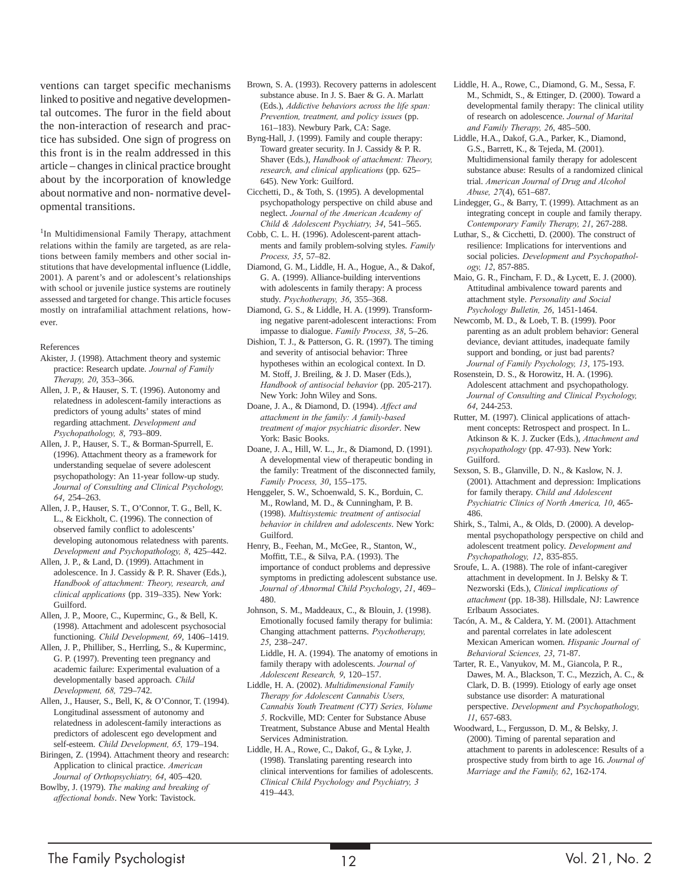ventions can target specific mechanisms linked to positive and negative developmental outcomes. The furor in the field about the non-interaction of research and practice has subsided. One sign of progress on this front is in the realm addressed in this article – changes in clinical practice brought about by the incorporation of knowledge about normative and non- normative developmental transitions.

<sup>1</sup>In Multidimensional Family Therapy, attachment relations within the family are targeted, as are relations between family members and other social institutions that have developmental influence (Liddle, 2001). A parent's and or adolescent's relationships with school or juvenile justice systems are routinely assessed and targeted for change. This article focuses mostly on intrafamilial attachment relations, however.

#### References

- Akister, J. (1998). Attachment theory and systemic practice: Research update. *Journal of Family Therapy, 20*, 353–366.
- Allen, J. P., & Hauser, S. T. (1996). Autonomy and relatedness in adolescent-family interactions as predictors of young adults' states of mind regarding attachment. *Development and Psychopathology, 8*, 793–809.
- Allen, J. P., Hauser, S. T., & Borman-Spurrell, E. (1996). Attachment theory as a framework for understanding sequelae of severe adolescent psychopathology: An 11-year follow-up study. *Journal of Consulting and Clinical Psychology, 64*, 254–263.
- Allen, J. P., Hauser, S. T., O'Connor, T. G., Bell, K. L., & Eickholt, C. (1996). The connection of observed family conflict to adolescents' developing autonomous relatedness with parents. *Development and Psychopathology, 8*, 425–442.
- Allen, J. P., & Land, D. (1999). Attachment in adolescence. In J. Cassidy & P. R. Shaver (Eds.), *Handbook of attachment: Theory, research, and clinical applications* (pp. 319–335). New York: Guilford.

Allen, J. P., Moore, C., Kuperminc, G., & Bell, K. (1998). Attachment and adolescent psychosocial functioning. *Child Development, 69*, 1406–1419.

Allen, J. P., Philliber, S., Herrling, S., & Kuperminc, G. P. (1997). Preventing teen pregnancy and academic failure: Experimental evaluation of a developmentally based approach. *Child Development, 68,* 729–742.

Allen, J., Hauser, S., Bell, K, & O'Connor, T. (1994). Longitudinal assessment of autonomy and relatedness in adolescent-family interactions as predictors of adolescent ego development and self-esteem. *Child Development, 65,* 179–194.

- Biringen, Z. (1994). Attachment theory and research: Application to clinical practice. *American Journal of Orthopsychiatry, 64*, 405–420.
- Bowlby, J. (1979). *The making and breaking of affectional bonds*. New York: Tavistock.
- Brown, S. A. (1993). Recovery patterns in adolescent substance abuse. In J. S. Baer & G. A. Marlatt (Eds.), *Addictive behaviors across the life span: Prevention, treatment, and policy issues* (pp. 161–183). Newbury Park, CA: Sage.
- Byng-Hall, J. (1999). Family and couple therapy: Toward greater security. In J. Cassidy & P. R. Shaver (Eds.), *Handbook of attachment: Theory, research, and clinical applications* (pp. 625– 645). New York: Guilford.
- Cicchetti, D., & Toth, S. (1995). A developmental psychopathology perspective on child abuse and neglect. *Journal of the American Academy of Child & Adolescent Psychiatry, 34*, 541–565.
- Cobb, C. L. H. (1996). Adolescent-parent attachments and family problem-solving styles. *Family Process, 35*, 57–82.
- Diamond, G. M., Liddle, H. A., Hogue, A., & Dakof, G. A. (1999). Alliance-building interventions with adolescents in family therapy: A process study. *Psychotherapy, 36*, 355–368.

Diamond, G. S., & Liddle, H. A. (1999). Transforming negative parent-adolescent interactions: From impasse to dialogue. *Family Process, 38*, 5–26.

Dishion, T. J., & Patterson, G. R. (1997). The timing and severity of antisocial behavior: Three hypotheses within an ecological context. In D. M. Stoff, J. Breiling, & J. D. Maser (Eds.), *Handbook of antisocial behavior* (pp. 205-217). New York: John Wiley and Sons.

Doane, J. A., & Diamond, D. (1994). *Affect and attachment in the family: A family-based treatment of major psychiatric disorder*. New York: Basic Books.

- Doane, J. A., Hill, W. L., Jr., & Diamond, D. (1991). A developmental view of therapeutic bonding in the family: Treatment of the disconnected family, *Family Process, 30*, 155–175.
- Henggeler, S. W., Schoenwald, S. K., Borduin, C. M., Rowland, M. D., & Cunningham, P. B. (1998). *Multisystemic treatment of antisocial behavior in children and adolescents*. New York: Guilford.
- Henry, B., Feehan, M., McGee, R., Stanton, W., Moffitt, T.E., & Silva, P.A. (1993). The importance of conduct problems and depressive symptoms in predicting adolescent substance use. *Journal of Abnormal Child Psychology*, *21*, 469– 480.
- Johnson, S. M., Maddeaux, C., & Blouin, J. (1998). Emotionally focused family therapy for bulimia: Changing attachment patterns. *Psychotherapy, 25*, 238–247.

Liddle, H. A. (1994). The anatomy of emotions in family therapy with adolescents. *Journal of Adolescent Research, 9*, 120–157.

- Liddle, H. A. (2002). *Multidimensional Family Therapy for Adolescent Cannabis Users, Cannabis Youth Treatment (CYT) Series, Volume 5*. Rockville, MD: Center for Substance Abuse Treatment, Substance Abuse and Mental Health Services Administration.
- Liddle, H. A., Rowe, C., Dakof, G., & Lyke, J. (1998). Translating parenting research into clinical interventions for families of adolescents. *Clinical Child Psychology and Psychiatry, 3* 419–443.
- Liddle, H. A., Rowe, C., Diamond, G. M., Sessa, F. M., Schmidt, S., & Ettinger, D. (2000). Toward a developmental family therapy: The clinical utility of research on adolescence. *Journal of Marital and Family Therapy, 26*, 485–500.
- Liddle, H.A., Dakof, G.A., Parker, K., Diamond, G.S., Barrett, K., & Tejeda, M. (2001). Multidimensional family therapy for adolescent substance abuse: Results of a randomized clinical trial. *American Journal of Drug and Alcohol Abuse, 27*(4), 651–687.
- Lindegger, G., & Barry, T. (1999). Attachment as an integrating concept in couple and family therapy. *Contemporary Family Therapy, 21*, 267-288.
- Luthar, S., & Cicchetti, D. (2000). The construct of resilience: Implications for interventions and social policies. *Development and Psychopathology, 12*, 857-885.
- Maio, G. R., Fincham, F. D., & Lycett, E. J. (2000). Attitudinal ambivalence toward parents and attachment style. *Personality and Social Psychology Bulletin, 26*, 1451-1464.
- Newcomb, M. D., & Loeb, T. B. (1999). Poor parenting as an adult problem behavior: General deviance, deviant attitudes, inadequate family support and bonding, or just bad parents? *Journal of Family Psychology, 13*, 175-193.
- Rosenstein, D. S., & Horowitz, H. A. (1996). Adolescent attachment and psychopathology. *Journal of Consulting and Clinical Psychology, 64*, 244-253.
- Rutter, M. (1997). Clinical applications of attachment concepts: Retrospect and prospect. In L. Atkinson & K. J. Zucker (Eds.), *Attachment and psychopathology* (pp. 47-93). New York: Guilford.
- Sexson, S. B., Glanville, D. N., & Kaslow, N. J. (2001). Attachment and depression: Implications for family therapy. *Child and Adolescent Psychiatric Clinics of North America, 10*, 465- 486.
- Shirk, S., Talmi, A., & Olds, D. (2000). A developmental psychopathology perspective on child and adolescent treatment policy. *Development and Psychopathology, 12*, 835-855.
- Sroufe, L. A. (1988). The role of infant-caregiver attachment in development. In J. Belsky & T. Nezworski (Eds.), *Clinical implications of attachment* (pp. 18-38). Hillsdale, NJ: Lawrence Erlbaum Associates.
- Tacón, A. M., & Caldera, Y. M. (2001). Attachment and parental correlates in late adolescent Mexican American women. *Hispanic Journal of Behavioral Sciences, 23*, 71-87.
- Tarter, R. E., Vanyukov, M. M., Giancola, P. R., Dawes, M. A., Blackson, T. C., Mezzich, A. C., & Clark, D. B. (1999). Etiology of early age onset substance use disorder: A maturational perspective. *Development and Psychopathology, 11*, 657-683.
- Woodward, L., Fergusson, D. M., & Belsky, J. (2000). Timing of parental separation and attachment to parents in adolescence: Results of a prospective study from birth to age 16. *Journal of Marriage and the Family, 62*, 162-174.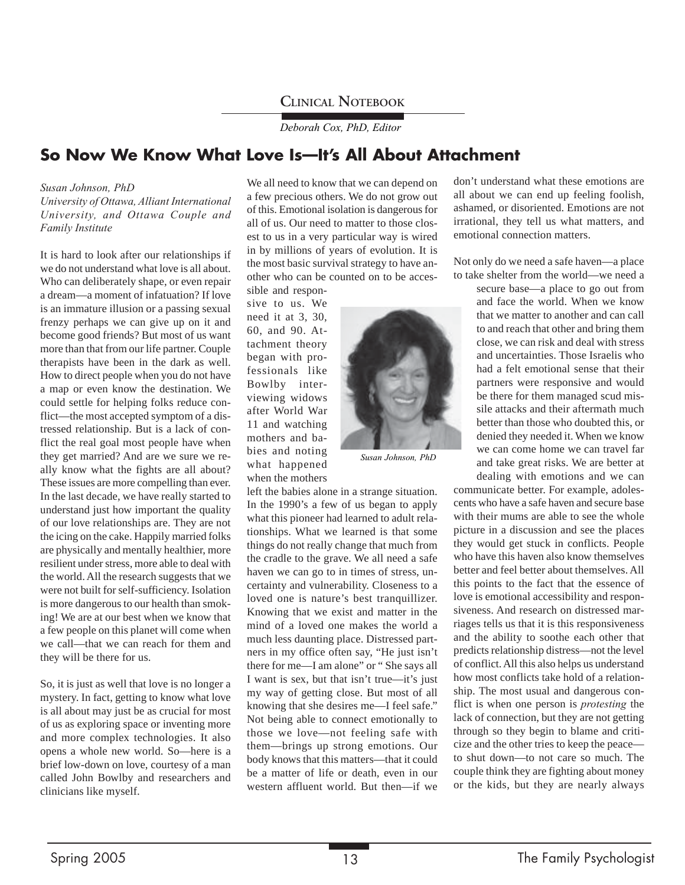### **CLINICAL NOTEBOOK**

*Deborah Cox, PhD, Editor*

## **So Now We Know What Love Is—It's All About Attachment**

#### *Susan Johnson, PhD*

*University of Ottawa, Alliant International University, and Ottawa Couple and Family Institute*

It is hard to look after our relationships if we do not understand what love is all about. Who can deliberately shape, or even repair a dream—a moment of infatuation? If love is an immature illusion or a passing sexual frenzy perhaps we can give up on it and become good friends? But most of us want more than that from our life partner. Couple therapists have been in the dark as well. How to direct people when you do not have a map or even know the destination. We could settle for helping folks reduce conflict—the most accepted symptom of a distressed relationship. But is a lack of conflict the real goal most people have when they get married? And are we sure we really know what the fights are all about? These issues are more compelling than ever. In the last decade, we have really started to understand just how important the quality of our love relationships are. They are not the icing on the cake. Happily married folks are physically and mentally healthier, more resilient under stress, more able to deal with the world. All the research suggests that we were not built for self-sufficiency. Isolation is more dangerous to our health than smoking! We are at our best when we know that a few people on this planet will come when we call—that we can reach for them and they will be there for us.

So, it is just as well that love is no longer a mystery. In fact, getting to know what love is all about may just be as crucial for most of us as exploring space or inventing more and more complex technologies. It also opens a whole new world. So—here is a brief low-down on love, courtesy of a man called John Bowlby and researchers and clinicians like myself.

We all need to know that we can depend on a few precious others. We do not grow out of this. Emotional isolation is dangerous for all of us. Our need to matter to those closest to us in a very particular way is wired in by millions of years of evolution. It is the most basic survival strategy to have another who can be counted on to be accessible and respon-

sive to us. We need it at 3, 30, 60, and 90. Attachment theory began with professionals like Bowlby interviewing widows after World War 11 and watching mothers and babies and noting what happened when the mothers



*Susan Johnson, PhD*

left the babies alone in a strange situation. In the 1990's a few of us began to apply what this pioneer had learned to adult relationships. What we learned is that some things do not really change that much from the cradle to the grave. We all need a safe haven we can go to in times of stress, uncertainty and vulnerability. Closeness to a loved one is nature's best tranquillizer. Knowing that we exist and matter in the mind of a loved one makes the world a much less daunting place. Distressed partners in my office often say, "He just isn't there for me—I am alone" or " She says all I want is sex, but that isn't true—it's just my way of getting close. But most of all knowing that she desires me—I feel safe." Not being able to connect emotionally to those we love—not feeling safe with them—brings up strong emotions. Our body knows that this matters—that it could be a matter of life or death, even in our western affluent world. But then—if we

don't understand what these emotions are all about we can end up feeling foolish, ashamed, or disoriented. Emotions are not irrational, they tell us what matters, and emotional connection matters.

Not only do we need a safe haven—a place to take shelter from the world—we need a

> secure base—a place to go out from and face the world. When we know that we matter to another and can call to and reach that other and bring them close, we can risk and deal with stress and uncertainties. Those Israelis who had a felt emotional sense that their partners were responsive and would be there for them managed scud missile attacks and their aftermath much better than those who doubted this, or denied they needed it. When we know we can come home we can travel far and take great risks. We are better at dealing with emotions and we can

communicate better. For example, adolescents who have a safe haven and secure base with their mums are able to see the whole picture in a discussion and see the places they would get stuck in conflicts. People who have this haven also know themselves better and feel better about themselves. All this points to the fact that the essence of love is emotional accessibility and responsiveness. And research on distressed marriages tells us that it is this responsiveness and the ability to soothe each other that predicts relationship distress—not the level of conflict. All this also helps us understand how most conflicts take hold of a relationship. The most usual and dangerous conflict is when one person is *protesting* the lack of connection, but they are not getting through so they begin to blame and criticize and the other tries to keep the peace to shut down—to not care so much. The couple think they are fighting about money or the kids, but they are nearly always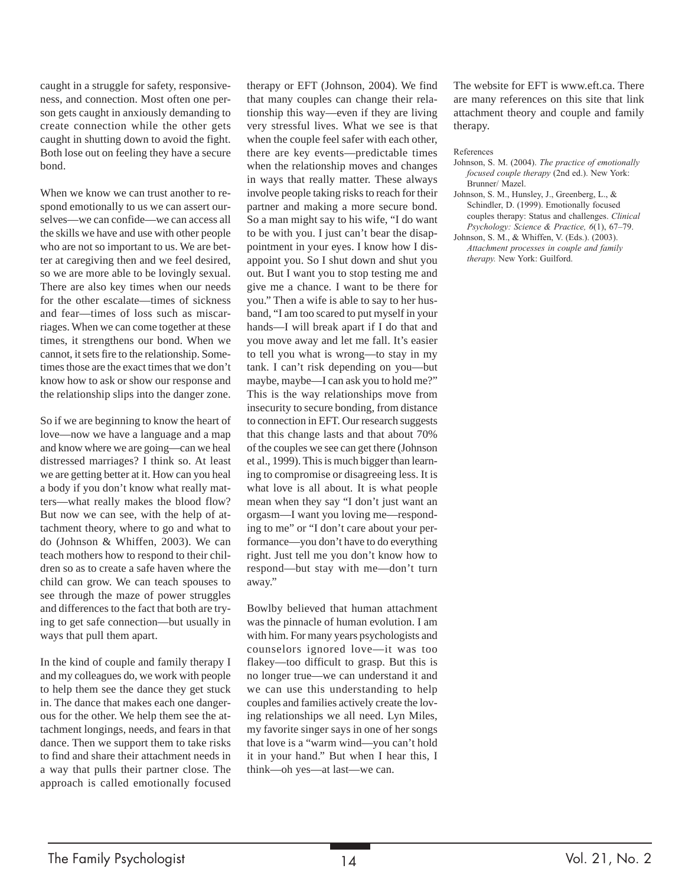caught in a struggle for safety, responsiveness, and connection. Most often one person gets caught in anxiously demanding to create connection while the other gets caught in shutting down to avoid the fight. Both lose out on feeling they have a secure bond.

When we know we can trust another to respond emotionally to us we can assert ourselves—we can confide—we can access all the skills we have and use with other people who are not so important to us. We are better at caregiving then and we feel desired, so we are more able to be lovingly sexual. There are also key times when our needs for the other escalate—times of sickness and fear—times of loss such as miscarriages. When we can come together at these times, it strengthens our bond. When we cannot, it sets fire to the relationship. Sometimes those are the exact times that we don't know how to ask or show our response and the relationship slips into the danger zone.

So if we are beginning to know the heart of love—now we have a language and a map and know where we are going—can we heal distressed marriages? I think so. At least we are getting better at it. How can you heal a body if you don't know what really matters—what really makes the blood flow? But now we can see, with the help of attachment theory, where to go and what to do (Johnson & Whiffen, 2003). We can teach mothers how to respond to their children so as to create a safe haven where the child can grow. We can teach spouses to see through the maze of power struggles and differences to the fact that both are trying to get safe connection—but usually in ways that pull them apart.

In the kind of couple and family therapy I and my colleagues do, we work with people to help them see the dance they get stuck in. The dance that makes each one dangerous for the other. We help them see the attachment longings, needs, and fears in that dance. Then we support them to take risks to find and share their attachment needs in a way that pulls their partner close. The approach is called emotionally focused therapy or EFT (Johnson, 2004). We find that many couples can change their relationship this way—even if they are living very stressful lives. What we see is that when the couple feel safer with each other, there are key events—predictable times when the relationship moves and changes in ways that really matter. These always involve people taking risks to reach for their partner and making a more secure bond. So a man might say to his wife, "I do want to be with you. I just can't bear the disappointment in your eyes. I know how I disappoint you. So I shut down and shut you out. But I want you to stop testing me and give me a chance. I want to be there for you." Then a wife is able to say to her husband, "I am too scared to put myself in your hands—I will break apart if I do that and you move away and let me fall. It's easier to tell you what is wrong—to stay in my tank. I can't risk depending on you—but maybe, maybe—I can ask you to hold me?" This is the way relationships move from insecurity to secure bonding, from distance to connection in EFT. Our research suggests that this change lasts and that about 70% of the couples we see can get there (Johnson et al., 1999). This is much bigger than learning to compromise or disagreeing less. It is what love is all about. It is what people mean when they say "I don't just want an orgasm—I want you loving me—responding to me" or "I don't care about your performance—you don't have to do everything right. Just tell me you don't know how to respond—but stay with me—don't turn away."

Bowlby believed that human attachment was the pinnacle of human evolution. I am with him. For many years psychologists and counselors ignored love—it was too flakey—too difficult to grasp. But this is no longer true—we can understand it and we can use this understanding to help couples and families actively create the loving relationships we all need. Lyn Miles, my favorite singer says in one of her songs that love is a "warm wind—you can't hold it in your hand." But when I hear this, I think—oh yes—at last—we can.

The website for EFT is www.eft.ca. There are many references on this site that link attachment theory and couple and family therapy.

#### References

- Johnson, S. M. (2004). *The practice of emotionally focused couple therapy* (2nd ed.). New York: Brunner/ Mazel.
- Johnson, S. M., Hunsley, J., Greenberg, L., & Schindler, D. (1999). Emotionally focused couples therapy: Status and challenges. *Clinical Psychology: Science & Practice, 6*(1), 67–79.
- Johnson, S. M., & Whiffen, V. (Eds.). (2003). *Attachment processes in couple and family therapy.* New York: Guilford.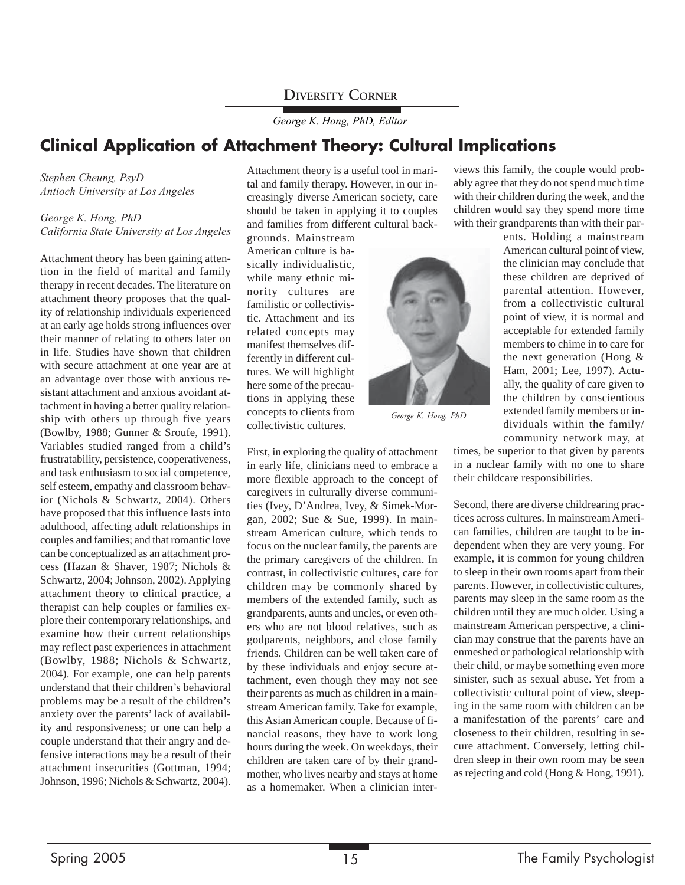*George K. Hong, PhD, Editor*

## **Clinical Application of Attachment Theory: Cultural Implications**

*Stephen Cheung, PsyD Antioch University at Los Angeles*

#### *George K. Hong, PhD California State University at Los Angeles*

Attachment theory has been gaining attention in the field of marital and family therapy in recent decades. The literature on attachment theory proposes that the quality of relationship individuals experienced at an early age holds strong influences over their manner of relating to others later on in life. Studies have shown that children with secure attachment at one year are at an advantage over those with anxious resistant attachment and anxious avoidant attachment in having a better quality relationship with others up through five years (Bowlby, 1988; Gunner & Sroufe, 1991). Variables studied ranged from a child's frustratability, persistence, cooperativeness, and task enthusiasm to social competence, self esteem, empathy and classroom behavior (Nichols & Schwartz, 2004). Others have proposed that this influence lasts into adulthood, affecting adult relationships in couples and families; and that romantic love can be conceptualized as an attachment process (Hazan & Shaver, 1987; Nichols & Schwartz, 2004; Johnson, 2002). Applying attachment theory to clinical practice, a therapist can help couples or families explore their contemporary relationships, and examine how their current relationships may reflect past experiences in attachment (Bowlby, 1988; Nichols & Schwartz, 2004). For example, one can help parents understand that their children's behavioral problems may be a result of the children's anxiety over the parents' lack of availability and responsiveness; or one can help a couple understand that their angry and defensive interactions may be a result of their attachment insecurities (Gottman, 1994; Johnson, 1996; Nichols & Schwartz, 2004).

Attachment theory is a useful tool in marital and family therapy. However, in our increasingly diverse American society, care should be taken in applying it to couples and families from different cultural back-

grounds. Mainstream American culture is basically individualistic, while many ethnic minority cultures are familistic or collectivistic. Attachment and its related concepts may manifest themselves differently in different cultures. We will highlight here some of the precautions in applying these concepts to clients from collectivistic cultures.

First, in exploring the quality of attachment in early life, clinicians need to embrace a more flexible approach to the concept of caregivers in culturally diverse communities (Ivey, D'Andrea, Ivey, & Simek-Morgan, 2002; Sue & Sue, 1999). In mainstream American culture, which tends to focus on the nuclear family, the parents are the primary caregivers of the children. In contrast, in collectivistic cultures, care for children may be commonly shared by members of the extended family, such as grandparents, aunts and uncles, or even others who are not blood relatives, such as godparents, neighbors, and close family friends. Children can be well taken care of by these individuals and enjoy secure attachment, even though they may not see their parents as much as children in a mainstream American family. Take for example, this Asian American couple. Because of financial reasons, they have to work long hours during the week. On weekdays, their children are taken care of by their grandmother, who lives nearby and stays at home as a homemaker. When a clinician inter-

*George K. Hong, PhD*

views this family, the couple would probably agree that they do not spend much time with their children during the week, and the children would say they spend more time with their grandparents than with their par-

> ents. Holding a mainstream American cultural point of view, the clinician may conclude that these children are deprived of parental attention. However, from a collectivistic cultural point of view, it is normal and acceptable for extended family members to chime in to care for the next generation (Hong & Ham, 2001; Lee, 1997). Actually, the quality of care given to the children by conscientious extended family members or individuals within the family/ community network may, at

times, be superior to that given by parents in a nuclear family with no one to share their childcare responsibilities.

Second, there are diverse childrearing practices across cultures. In mainstream American families, children are taught to be independent when they are very young. For example, it is common for young children to sleep in their own rooms apart from their parents. However, in collectivistic cultures, parents may sleep in the same room as the children until they are much older. Using a mainstream American perspective, a clinician may construe that the parents have an enmeshed or pathological relationship with their child, or maybe something even more sinister, such as sexual abuse. Yet from a collectivistic cultural point of view, sleeping in the same room with children can be a manifestation of the parents' care and closeness to their children, resulting in secure attachment. Conversely, letting children sleep in their own room may be seen as rejecting and cold (Hong & Hong, 1991).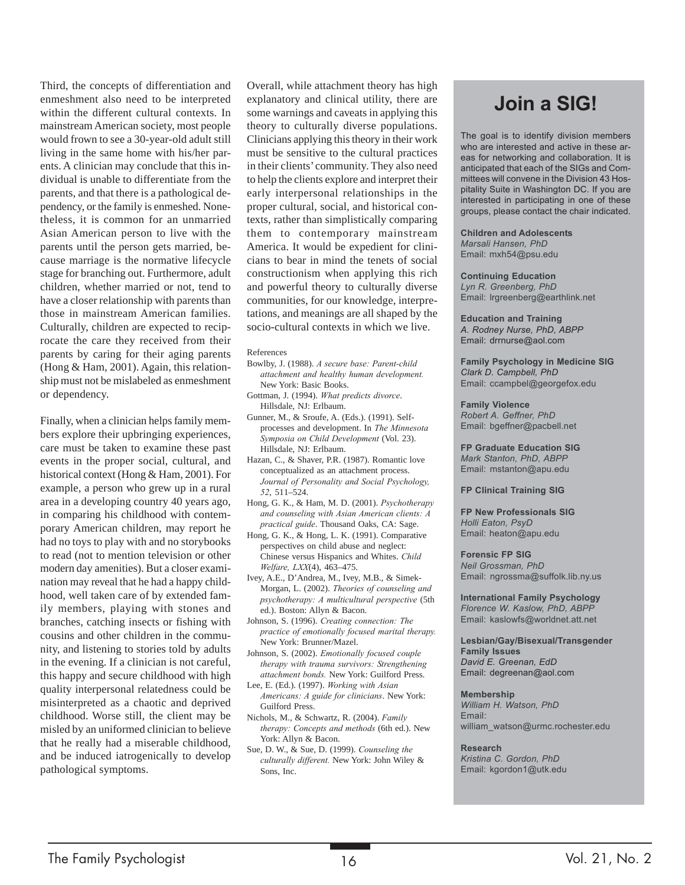Third, the concepts of differentiation and enmeshment also need to be interpreted within the different cultural contexts. In mainstream American society, most people would frown to see a 30-year-old adult still living in the same home with his/her parents. A clinician may conclude that this individual is unable to differentiate from the parents, and that there is a pathological dependency, or the family is enmeshed. Nonetheless, it is common for an unmarried Asian American person to live with the parents until the person gets married, because marriage is the normative lifecycle stage for branching out. Furthermore, adult children, whether married or not, tend to have a closer relationship with parents than those in mainstream American families. Culturally, children are expected to reciprocate the care they received from their parents by caring for their aging parents (Hong & Ham, 2001). Again, this relationship must not be mislabeled as enmeshment or dependency.

Finally, when a clinician helps family members explore their upbringing experiences, care must be taken to examine these past events in the proper social, cultural, and historical context (Hong & Ham, 2001). For example, a person who grew up in a rural area in a developing country 40 years ago, in comparing his childhood with contemporary American children, may report he had no toys to play with and no storybooks to read (not to mention television or other modern day amenities). But a closer examination may reveal that he had a happy childhood, well taken care of by extended family members, playing with stones and branches, catching insects or fishing with cousins and other children in the community, and listening to stories told by adults in the evening. If a clinician is not careful, this happy and secure childhood with high quality interpersonal relatedness could be misinterpreted as a chaotic and deprived childhood. Worse still, the client may be misled by an uniformed clinician to believe that he really had a miserable childhood, and be induced iatrogenically to develop pathological symptoms.

Overall, while attachment theory has high explanatory and clinical utility, there are some warnings and caveats in applying this theory to culturally diverse populations. Clinicians applying this theory in their work must be sensitive to the cultural practices in their clients' community. They also need to help the clients explore and interpret their early interpersonal relationships in the proper cultural, social, and historical contexts, rather than simplistically comparing them to contemporary mainstream America. It would be expedient for clinicians to bear in mind the tenets of social constructionism when applying this rich and powerful theory to culturally diverse communities, for our knowledge, interpretations, and meanings are all shaped by the socio-cultural contexts in which we live.

#### References

- Bowlby, J. (1988). *A secure base: Parent-child attachment and healthy human development.* New York: Basic Books.
- Gottman, J. (1994). *What predicts divorce*. Hillsdale, NJ: Erlbaum.
- Gunner, M., & Sroufe, A. (Eds.). (1991). Selfprocesses and development. In *The Minnesota Symposia on Child Development* (Vol. 23). Hillsdale, NJ: Erlbaum.
- Hazan, C., & Shaver, P.R. (1987). Romantic love conceptualized as an attachment process. *Journal of Personality and Social Psychology, 52*, 511–524.
- Hong, G. K., & Ham, M. D. (2001). *Psychotherapy and counseling with Asian American clients: A practical guide*. Thousand Oaks, CA: Sage.
- Hong, G. K., & Hong, L. K. (1991). Comparative perspectives on child abuse and neglect: Chinese versus Hispanics and Whites. *Child Welfare, LXX*(4), 463–475.
- Ivey, A.E., D'Andrea, M., Ivey, M.B., & Simek-Morgan, L. (2002). *Theories of counseling and psychotherapy: A multicultural perspective* (5th ed.). Boston: Allyn & Bacon.
- Johnson, S. (1996). *Creating connection: The practice of emotionally focused marital therapy.* New York: Brunner/Mazel.
- Johnson, S. (2002). *Emotionally focused couple therapy with trauma survivors: Strengthening attachment bonds.* New York: Guilford Press. Lee, E. (Ed.). (1997). *Working with Asian*
- *Americans: A guide for clinicians*. New York: Guilford Press.
- Nichols, M., & Schwartz, R. (2004). *Family therapy: Concepts and methods* (6th ed.). New York: Allyn & Bacon.
- Sue, D. W., & Sue, D. (1999). *Counseling the culturally different.* New York: John Wiley & Sons, Inc.

## **Join a SIG!**

The goal is to identify division members who are interested and active in these areas for networking and collaboration. It is anticipated that each of the SIGs and Committees will convene in the Division 43 Hospitality Suite in Washington DC. If you are interested in participating in one of these groups, please contact the chair indicated.

**Children and Adolescents** *Marsali Hansen, PhD* Email: mxh54@psu.edu

**Continuing Education** *Lyn R. Greenberg, PhD* Email: lrgreenberg@earthlink.net

**Education and Training** *A. Rodney Nurse, PhD, ABPP* Email: drrnurse@aol.com

**Family Psychology in Medicine SIG** *Clark D. Campbell, PhD* Email: ccampbel@georgefox.edu

**Family Violence** *Robert A. Geffner, PhD* Email: bgeffner@pacbell.net

**FP Graduate Education SIG** *Mark Stanton, PhD, ABPP* Email: mstanton@apu.edu

**FP Clinical Training SIG**

**FP New Professionals SIG** *Holli Eaton, PsyD* Email: heaton@apu.edu

**Forensic FP SIG** *Neil Grossman, PhD* Email: ngrossma@suffolk.lib.ny.us

**International Family Psychology** *Florence W. Kaslow, PhD, ABPP* Email: kaslowfs@worldnet.att.net

**Lesbian/Gay/Bisexual/Transgender Family Issues** *David E. Greenan, EdD* Email: degreenan@aol.com

**Membership** *William H. Watson, PhD* Email: william\_watson@urmc.rochester.edu

**Research**

*Kristina C. Gordon, PhD* Email: kgordon1@utk.edu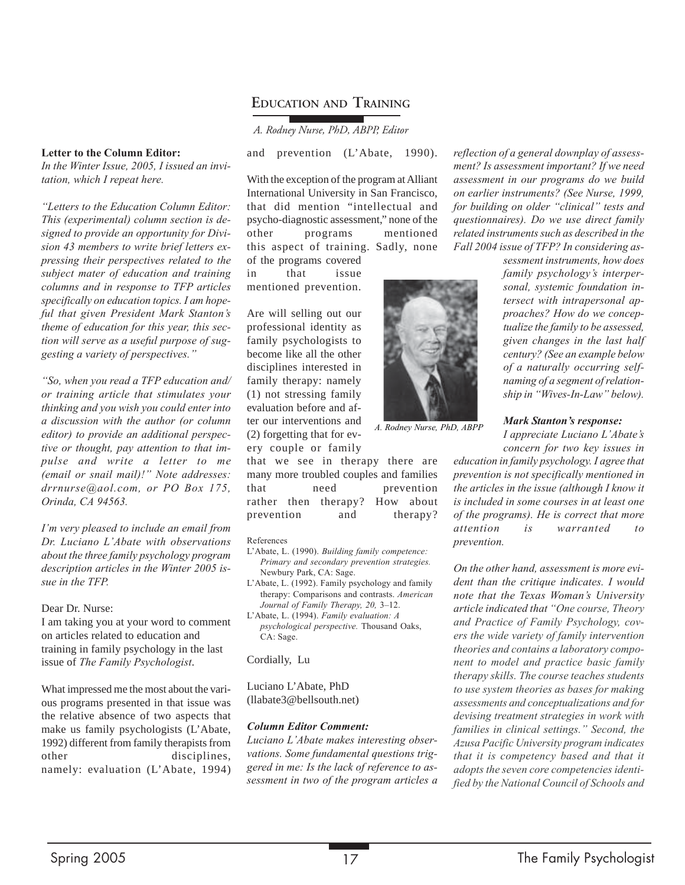### **EDUCATION AND TRAINING**

*A. Rodney Nurse, PhD, ABPP, Editor*

**Letter to the Column Editor:**

*In the Winter Issue, 2005, I issued an invitation, which I repeat here.*

*"Letters to the Education Column Editor: This (experimental) column section is designed to provide an opportunity for Division 43 members to write brief letters expressing their perspectives related to the subject mater of education and training columns and in response to TFP articles specifically on education topics. I am hopeful that given President Mark Stanton's theme of education for this year, this section will serve as a useful purpose of suggesting a variety of perspectives."*

*"So, when you read a TFP education and/ or training article that stimulates your thinking and you wish you could enter into a discussion with the author (or column editor) to provide an additional perspective or thought, pay attention to that impulse and write a letter to me (email or snail mail)!" Note addresses: drrnurse@aol.com, or PO Box 175, Orinda, CA 94563.*

*I'm very pleased to include an email from Dr. Luciano L'Abate with observations about the three family psychology program description articles in the Winter 2005 issue in the TFP.*

Dear Dr. Nurse:

I am taking you at your word to comment on articles related to education and training in family psychology in the last issue of *The Family Psychologist*.

What impressed me the most about the various programs presented in that issue was the relative absence of two aspects that make us family psychologists (L'Abate, 1992) different from family therapists from other disciplines, namely: evaluation (L'Abate, 1994)

With the exception of the program at Alliant International University in San Francisco, that did mention "intellectual and psycho-diagnostic assessment," none of the other programs mentioned this aspect of training. Sadly, none

and prevention (L'Abate, 1990).

of the programs covered in that issue mentioned prevention.

Are will selling out our professional identity as family psychologists to become like all the other disciplines interested in family therapy: namely (1) not stressing family evaluation before and after our interventions and (2) forgetting that for every couple or family

that we see in therapy there are many more troubled couples and families that need prevention rather then therapy? How about prevention and therapy?

#### References

- L'Abate, L. (1990). *Building family competence: Primary and secondary prevention strategies.* Newbury Park, CA: Sage.
- L'Abate, L. (1992). Family psychology and family therapy: Comparisons and contrasts. *American Journal of Family Therapy, 20,* 3–12.

L'Abate, L. (1994). *Family evaluation: A psychological perspective.* Thousand Oaks, CA: Sage.

Cordially, Lu

Luciano L'Abate, PhD (llabate3@bellsouth.net)

#### *Column Editor Comment:*

*Luciano L'Abate makes interesting observations. Some fundamental questions triggered in me: Is the lack of reference to assessment in two of the program articles a*

*reflection of a general downplay of assessment? Is assessment important? If we need assessment in our programs do we build on earlier instruments? (See Nurse, 1999, for building on older "clinical" tests and questionnaires). Do we use direct family related instruments such as described in the Fall 2004 issue of TFP? In considering as-*

> *sessment instruments, how does family psychology's interpersonal, systemic foundation intersect with intrapersonal approaches? How do we conceptualize the family to be assessed, given changes in the last half century? (See an example below of a naturally occurring selfnaming of a segment of relationship in "Wives-In-Law" below).*



*A. Rodney Nurse, PhD, ABPP*

*Mark Stanton's response: I appreciate Luciano L'Abate's concern for two key issues in*

*education in family psychology. I agree that prevention is not specifically mentioned in the articles in the issue (although I know it is included in some courses in at least one of the programs). He is correct that more attention is warranted to prevention.*

*On the other hand, assessment is more evident than the critique indicates. I would note that the Texas Woman's University article indicated that "One course, Theory and Practice of Family Psychology, covers the wide variety of family intervention theories and contains a laboratory component to model and practice basic family therapy skills. The course teaches students to use system theories as bases for making assessments and conceptualizations and for devising treatment strategies in work with families in clinical settings." Second, the Azusa Pacific University program indicates that it is competency based and that it adopts the seven core competencies identified by the National Council of Schools and*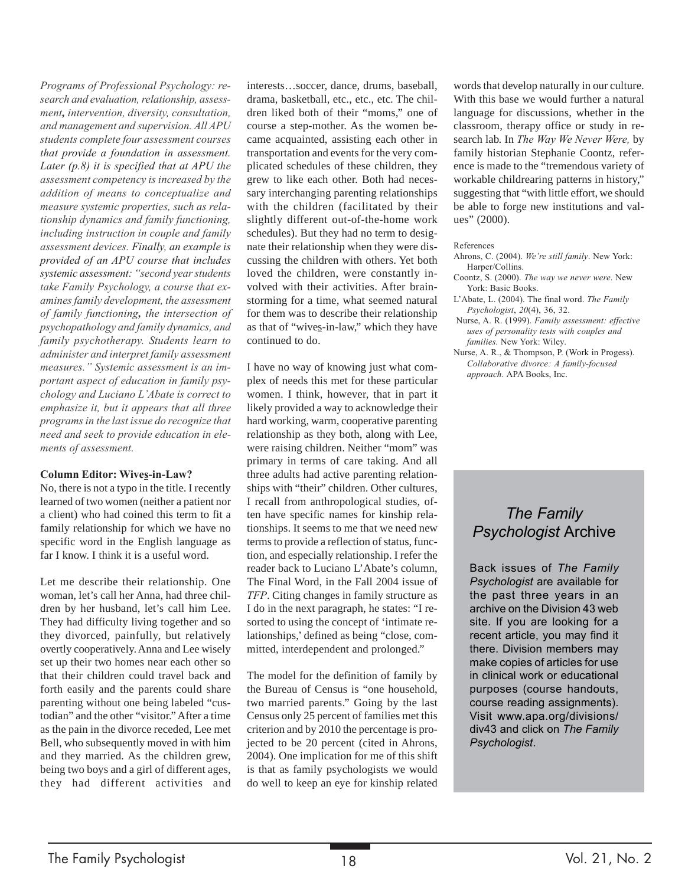*Programs of Professional Psychology: research and evaluation, relationship, assessment, intervention, diversity, consultation, and management and supervision. All APU students complete four assessment courses that provide a foundation in assessment. Later (p.8) it is specified that at APU the assessment competency is increased by the addition of means to conceptualize and measure systemic properties, such as relationship dynamics and family functioning, including instruction in couple and family assessment devices. Finally, an example is provided of an APU course that includes systemic assessment: "second year students take Family Psychology, a course that examines family development, the assessment of family functioning, the intersection of psychopathology and family dynamics, and family psychotherapy. Students learn to administer and interpret family assessment measures." Systemic assessment is an important aspect of education in family psychology and Luciano L'Abate is correct to emphasize it, but it appears that all three programs in the last issue do recognize that need and seek to provide education in elements of assessment.*

#### **Column Editor: Wives-in-Law?**

No, there is not a typo in the title. I recently learned of two women (neither a patient nor a client) who had coined this term to fit a family relationship for which we have no specific word in the English language as far I know. I think it is a useful word.

Let me describe their relationship. One woman, let's call her Anna, had three children by her husband, let's call him Lee. They had difficulty living together and so they divorced, painfully, but relatively overtly cooperatively. Anna and Lee wisely set up their two homes near each other so that their children could travel back and forth easily and the parents could share parenting without one being labeled "custodian" and the other "visitor." After a time as the pain in the divorce receded, Lee met Bell, who subsequently moved in with him and they married. As the children grew, being two boys and a girl of different ages, they had different activities and interests…soccer, dance, drums, baseball, drama, basketball, etc., etc., etc. The children liked both of their "moms," one of course a step-mother. As the women became acquainted, assisting each other in transportation and events for the very complicated schedules of these children, they grew to like each other. Both had necessary interchanging parenting relationships with the children (facilitated by their slightly different out-of-the-home work schedules). But they had no term to designate their relationship when they were discussing the children with others. Yet both loved the children, were constantly involved with their activities. After brainstorming for a time, what seemed natural for them was to describe their relationship as that of "wives-in-law," which they have continued to do.

I have no way of knowing just what complex of needs this met for these particular women. I think, however, that in part it likely provided a way to acknowledge their hard working, warm, cooperative parenting relationship as they both, along with Lee, were raising children. Neither "mom" was primary in terms of care taking. And all three adults had active parenting relationships with "their" children. Other cultures, I recall from anthropological studies, often have specific names for kinship relationships. It seems to me that we need new terms to provide a reflection of status, function, and especially relationship. I refer the reader back to Luciano L'Abate's column, The Final Word, in the Fall 2004 issue of *TFP*. Citing changes in family structure as I do in the next paragraph, he states: "I resorted to using the concept of 'intimate relationships,' defined as being "close, committed, interdependent and prolonged."

The model for the definition of family by the Bureau of Census is "one household, two married parents." Going by the last Census only 25 percent of families met this criterion and by 2010 the percentage is projected to be 20 percent (cited in Ahrons, 2004). One implication for me of this shift is that as family psychologists we would do well to keep an eye for kinship related words that develop naturally in our culture. With this base we would further a natural language for discussions, whether in the classroom, therapy office or study in research lab. In *The Way We Never Were,* by family historian Stephanie Coontz, reference is made to the "tremendous variety of workable childrearing patterns in history," suggesting that "with little effort, we should be able to forge new institutions and values" (2000).

#### References

- Ahrons, C. (2004). *We're still family*. New York: Harper/Collins.
- Coontz, S. (2000). *The way we never were*. New York: Basic Books.
- L'Abate, L. (2004). The final word. *The Family Psychologist*, *20*(4), 36, 32.
- Nurse, A. R. (1999). *Family assessment: effective uses of personality tests with couples and families.* New York: Wiley.
- Nurse, A. R., & Thompson, P. (Work in Progess). *Collaborative divorce: A family-focused approach.* APA Books, Inc.

## *The Family Psychologist* Archive

Back issues of *The Family Psychologist* are available for the past three years in an archive on the Division 43 web site. If you are looking for a recent article, you may find it there. Division members may make copies of articles for use in clinical work or educational purposes (course handouts, course reading assignments). Visit www.apa.org/divisions/ div43 and click on *The Family Psychologist*.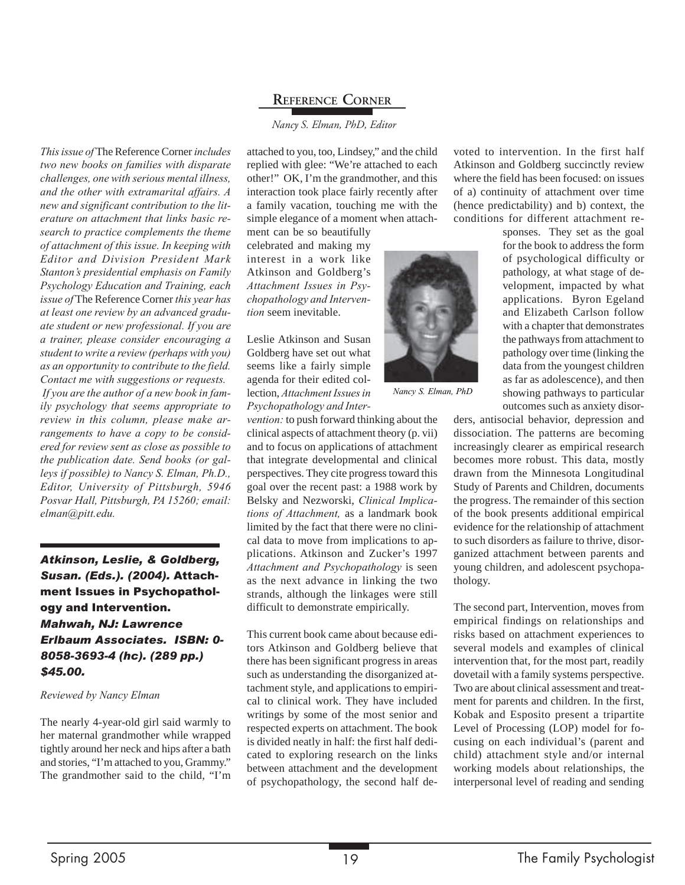### **REFERENCE CORNER**

#### *Nancy S. Elman, PhD, Editor*

*This issue of* The Reference Corner *includes two new books on families with disparate challenges, one with serious mental illness, and the other with extramarital affairs. A new and significant contribution to the literature on attachment that links basic research to practice complements the theme of attachment of this issue. In keeping with Editor and Division President Mark Stanton's presidential emphasis on Family Psychology Education and Training, each issue of* The Reference Corner *this year has at least one review by an advanced graduate student or new professional. If you are a trainer, please consider encouraging a student to write a review (perhaps with you) as an opportunity to contribute to the field. Contact me with suggestions or requests. If you are the author of a new book in family psychology that seems appropriate to review in this column, please make arrangements to have a copy to be considered for review sent as close as possible to the publication date. Send books (or galleys if possible) to Nancy S. Elman, Ph.D., Editor, University of Pittsburgh, 5946 Posvar Hall, Pittsburgh, PA 15260; email: elman@pitt.edu.*

*Atkinson, Leslie, & Goldberg, Susan. (Eds.). (2004).* Attachment Issues in Psychopathology and Intervention. *Mahwah, NJ: Lawrence Erlbaum Associates. ISBN: 0- 8058-3693-4 (hc). (289 pp.) \$45.00.*

#### *Reviewed by Nancy Elman*

The nearly 4-year-old girl said warmly to her maternal grandmother while wrapped tightly around her neck and hips after a bath and stories, "I'm attached to you, Grammy." The grandmother said to the child, "I'm attached to you, too, Lindsey," and the child replied with glee: "We're attached to each other!" OK, I'm the grandmother, and this interaction took place fairly recently after a family vacation, touching me with the simple elegance of a moment when attach-

ment can be so beautifully celebrated and making my interest in a work like Atkinson and Goldberg's *Attachment Issues in Psychopathology and Intervention* seem inevitable.

Leslie Atkinson and Susan Goldberg have set out what seems like a fairly simple agenda for their edited collection, *Attachment Issues in Psychopathology and Inter-*

*vention:* to push forward thinking about the clinical aspects of attachment theory (p. vii) and to focus on applications of attachment that integrate developmental and clinical perspectives. They cite progress toward this goal over the recent past: a 1988 work by Belsky and Nezworski, *Clinical Implications of Attachment,* as a landmark book limited by the fact that there were no clinical data to move from implications to applications. Atkinson and Zucker's 1997 *Attachment and Psychopathology* is seen as the next advance in linking the two strands, although the linkages were still difficult to demonstrate empirically.

This current book came about because editors Atkinson and Goldberg believe that there has been significant progress in areas such as understanding the disorganized attachment style, and applications to empirical to clinical work. They have included writings by some of the most senior and respected experts on attachment. The book is divided neatly in half: the first half dedicated to exploring research on the links between attachment and the development of psychopathology, the second half de-



*Nancy S. Elman, PhD*

voted to intervention. In the first half Atkinson and Goldberg succinctly review where the field has been focused: on issues of a) continuity of attachment over time (hence predictability) and b) context, the conditions for different attachment re-

> sponses. They set as the goal for the book to address the form of psychological difficulty or pathology, at what stage of development, impacted by what applications. Byron Egeland and Elizabeth Carlson follow with a chapter that demonstrates the pathways from attachment to pathology over time (linking the data from the youngest children as far as adolescence), and then showing pathways to particular outcomes such as anxiety disor-

ders, antisocial behavior, depression and dissociation. The patterns are becoming increasingly clearer as empirical research becomes more robust. This data, mostly drawn from the Minnesota Longitudinal Study of Parents and Children, documents the progress. The remainder of this section of the book presents additional empirical evidence for the relationship of attachment to such disorders as failure to thrive, disorganized attachment between parents and young children, and adolescent psychopathology.

The second part, Intervention, moves from empirical findings on relationships and risks based on attachment experiences to several models and examples of clinical intervention that, for the most part, readily dovetail with a family systems perspective. Two are about clinical assessment and treatment for parents and children. In the first, Kobak and Esposito present a tripartite Level of Processing (LOP) model for focusing on each individual's (parent and child) attachment style and/or internal working models about relationships, the interpersonal level of reading and sending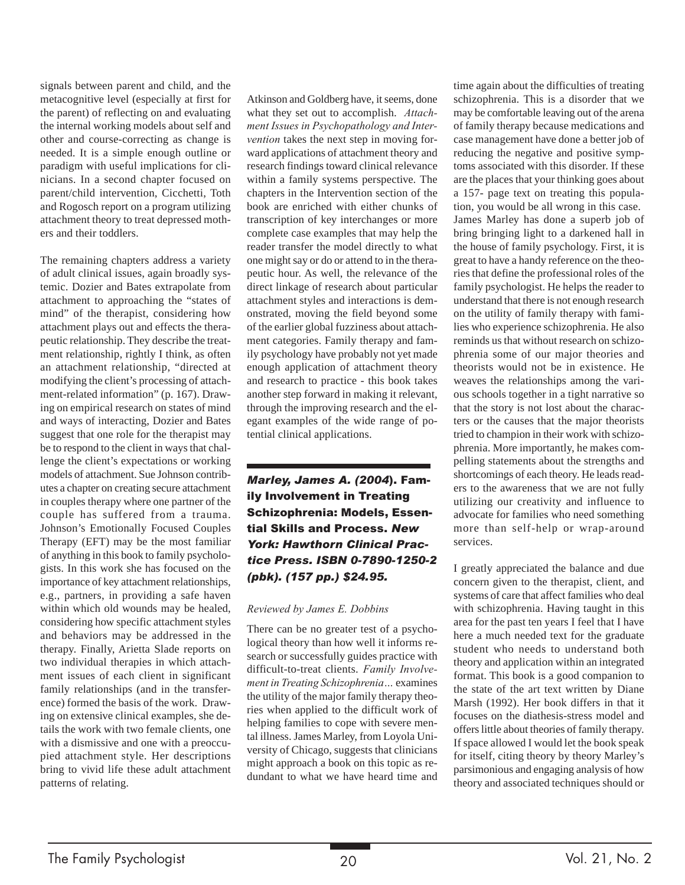signals between parent and child, and the metacognitive level (especially at first for the parent) of reflecting on and evaluating the internal working models about self and other and course-correcting as change is needed. It is a simple enough outline or paradigm with useful implications for clinicians. In a second chapter focused on parent/child intervention, Cicchetti, Toth and Rogosch report on a program utilizing attachment theory to treat depressed mothers and their toddlers.

The remaining chapters address a variety of adult clinical issues, again broadly systemic. Dozier and Bates extrapolate from attachment to approaching the "states of mind" of the therapist, considering how attachment plays out and effects the therapeutic relationship. They describe the treatment relationship, rightly I think, as often an attachment relationship, "directed at modifying the client's processing of attachment-related information" (p. 167). Drawing on empirical research on states of mind and ways of interacting, Dozier and Bates suggest that one role for the therapist may be to respond to the client in ways that challenge the client's expectations or working models of attachment. Sue Johnson contributes a chapter on creating secure attachment in couples therapy where one partner of the couple has suffered from a trauma. Johnson's Emotionally Focused Couples Therapy (EFT) may be the most familiar of anything in this book to family psychologists. In this work she has focused on the importance of key attachment relationships, e.g., partners, in providing a safe haven within which old wounds may be healed, considering how specific attachment styles and behaviors may be addressed in the therapy. Finally, Arietta Slade reports on two individual therapies in which attachment issues of each client in significant family relationships (and in the transference) formed the basis of the work. Drawing on extensive clinical examples, she details the work with two female clients, one with a dismissive and one with a preoccupied attachment style. Her descriptions bring to vivid life these adult attachment patterns of relating.

Atkinson and Goldberg have, it seems, done what they set out to accomplish. *Attachment Issues in Psychopathology and Intervention* takes the next step in moving forward applications of attachment theory and research findings toward clinical relevance within a family systems perspective. The chapters in the Intervention section of the book are enriched with either chunks of transcription of key interchanges or more complete case examples that may help the reader transfer the model directly to what one might say or do or attend to in the therapeutic hour. As well, the relevance of the direct linkage of research about particular attachment styles and interactions is demonstrated, moving the field beyond some of the earlier global fuzziness about attachment categories. Family therapy and family psychology have probably not yet made enough application of attachment theory and research to practice - this book takes another step forward in making it relevant, through the improving research and the elegant examples of the wide range of potential clinical applications.

*Marley, James A. (2004*). Family Involvement in Treating Schizophrenia: Models, Essential Skills and Process. *New York: Hawthorn Clinical Practice Press. ISBN 0-7890-1250-2 (pbk). (157 pp.) \$24.95.*

#### *Reviewed by James E. Dobbins*

There can be no greater test of a psychological theory than how well it informs research or successfully guides practice with difficult-to-treat clients. *Family Involvement in Treating Schizophrenia…* examines the utility of the major family therapy theories when applied to the difficult work of helping families to cope with severe mental illness. James Marley, from Loyola University of Chicago, suggests that clinicians might approach a book on this topic as redundant to what we have heard time and

time again about the difficulties of treating schizophrenia. This is a disorder that we may be comfortable leaving out of the arena of family therapy because medications and case management have done a better job of reducing the negative and positive symptoms associated with this disorder. If these are the places that your thinking goes about a 157- page text on treating this population, you would be all wrong in this case. James Marley has done a superb job of bring bringing light to a darkened hall in the house of family psychology. First, it is great to have a handy reference on the theories that define the professional roles of the family psychologist. He helps the reader to understand that there is not enough research on the utility of family therapy with families who experience schizophrenia. He also reminds us that without research on schizophrenia some of our major theories and theorists would not be in existence. He weaves the relationships among the various schools together in a tight narrative so that the story is not lost about the characters or the causes that the major theorists tried to champion in their work with schizophrenia. More importantly, he makes compelling statements about the strengths and shortcomings of each theory. He leads readers to the awareness that we are not fully utilizing our creativity and influence to advocate for families who need something more than self-help or wrap-around services.

I greatly appreciated the balance and due concern given to the therapist, client, and systems of care that affect families who deal with schizophrenia. Having taught in this area for the past ten years I feel that I have here a much needed text for the graduate student who needs to understand both theory and application within an integrated format. This book is a good companion to the state of the art text written by Diane Marsh (1992). Her book differs in that it focuses on the diathesis-stress model and offers little about theories of family therapy. If space allowed I would let the book speak for itself, citing theory by theory Marley's parsimonious and engaging analysis of how theory and associated techniques should or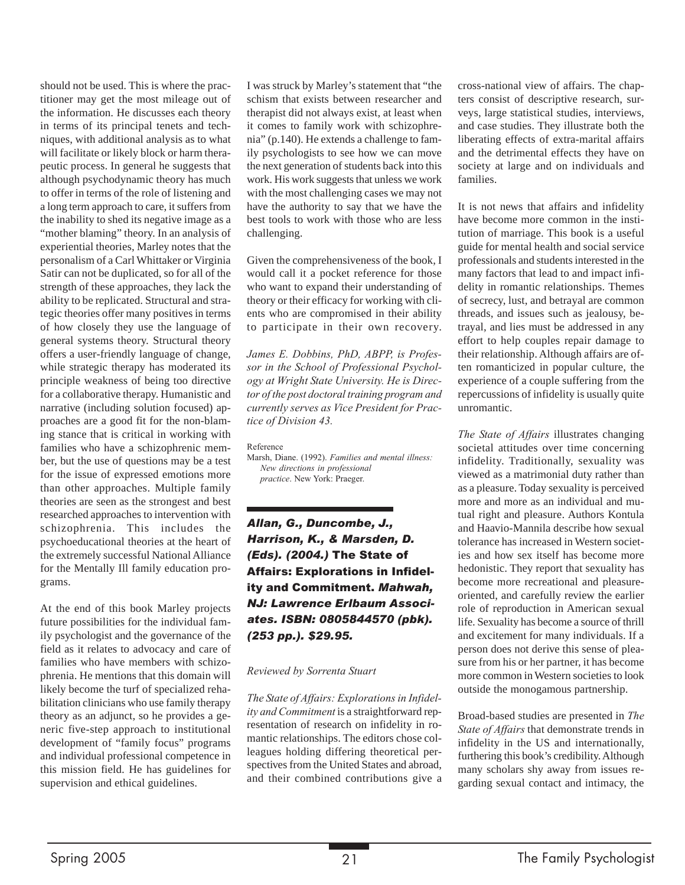should not be used. This is where the practitioner may get the most mileage out of the information. He discusses each theory in terms of its principal tenets and techniques, with additional analysis as to what will facilitate or likely block or harm therapeutic process. In general he suggests that although psychodynamic theory has much to offer in terms of the role of listening and a long term approach to care, it suffers from the inability to shed its negative image as a "mother blaming" theory. In an analysis of experiential theories, Marley notes that the personalism of a Carl Whittaker or Virginia Satir can not be duplicated, so for all of the strength of these approaches, they lack the ability to be replicated. Structural and strategic theories offer many positives in terms of how closely they use the language of general systems theory. Structural theory offers a user-friendly language of change, while strategic therapy has moderated its principle weakness of being too directive for a collaborative therapy. Humanistic and narrative (including solution focused) approaches are a good fit for the non-blaming stance that is critical in working with families who have a schizophrenic member, but the use of questions may be a test for the issue of expressed emotions more than other approaches. Multiple family theories are seen as the strongest and best researched approaches to intervention with schizophrenia. This includes the psychoeducational theories at the heart of the extremely successful National Alliance for the Mentally Ill family education programs.

At the end of this book Marley projects future possibilities for the individual family psychologist and the governance of the field as it relates to advocacy and care of families who have members with schizophrenia. He mentions that this domain will likely become the turf of specialized rehabilitation clinicians who use family therapy theory as an adjunct, so he provides a generic five-step approach to institutional development of "family focus" programs and individual professional competence in this mission field. He has guidelines for supervision and ethical guidelines.

I was struck by Marley's statement that "the schism that exists between researcher and therapist did not always exist, at least when it comes to family work with schizophrenia" (p.140). He extends a challenge to family psychologists to see how we can move the next generation of students back into this work. His work suggests that unless we work with the most challenging cases we may not have the authority to say that we have the best tools to work with those who are less challenging.

Given the comprehensiveness of the book, I would call it a pocket reference for those who want to expand their understanding of theory or their efficacy for working with clients who are compromised in their ability to participate in their own recovery.

*James E. Dobbins, PhD, ABPP, is Professor in the School of Professional Psychology at Wright State University. He is Director of the post doctoral training program and currently serves as Vice President for Practice of Division 43.*

Reference

Marsh, Diane. (1992). *Families and mental illness: New directions in professional practice*. New York: Praeger.

*Allan, G., Duncombe, J., Harrison, K., & Marsden, D. (Eds). (2004.)* The State of Affairs: Explorations in Infidelity and Commitment. *Mahwah, NJ: Lawrence Erlbaum Associates. ISBN: 0805844570 (pbk). (253 pp.). \$29.95.*

*Reviewed by Sorrenta Stuart*

*The State of Affairs: Explorations in Infidelity and Commitment* is a straightforward representation of research on infidelity in romantic relationships. The editors chose colleagues holding differing theoretical perspectives from the United States and abroad, and their combined contributions give a cross-national view of affairs. The chapters consist of descriptive research, surveys, large statistical studies, interviews, and case studies. They illustrate both the liberating effects of extra-marital affairs and the detrimental effects they have on society at large and on individuals and families.

It is not news that affairs and infidelity have become more common in the institution of marriage. This book is a useful guide for mental health and social service professionals and students interested in the many factors that lead to and impact infidelity in romantic relationships. Themes of secrecy, lust, and betrayal are common threads, and issues such as jealousy, betrayal, and lies must be addressed in any effort to help couples repair damage to their relationship. Although affairs are often romanticized in popular culture, the experience of a couple suffering from the repercussions of infidelity is usually quite unromantic.

*The State of Affairs* illustrates changing societal attitudes over time concerning infidelity. Traditionally, sexuality was viewed as a matrimonial duty rather than as a pleasure. Today sexuality is perceived more and more as an individual and mutual right and pleasure. Authors Kontula and Haavio-Mannila describe how sexual tolerance has increased in Western societies and how sex itself has become more hedonistic. They report that sexuality has become more recreational and pleasureoriented, and carefully review the earlier role of reproduction in American sexual life. Sexuality has become a source of thrill and excitement for many individuals. If a person does not derive this sense of pleasure from his or her partner, it has become more common in Western societies to look outside the monogamous partnership.

Broad-based studies are presented in *The State of Affairs* that demonstrate trends in infidelity in the US and internationally, furthering this book's credibility. Although many scholars shy away from issues regarding sexual contact and intimacy, the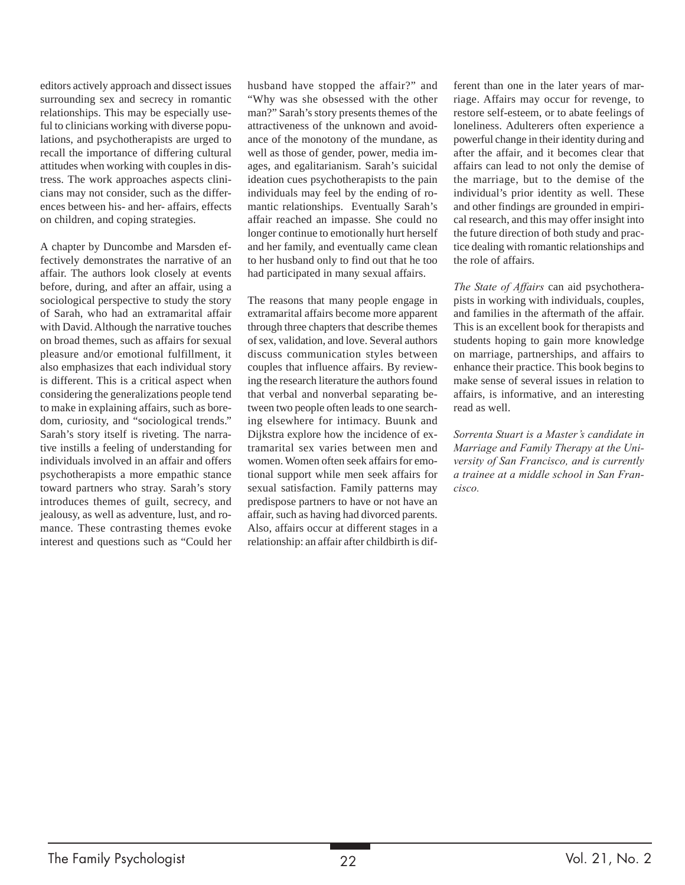editors actively approach and dissect issues surrounding sex and secrecy in romantic relationships. This may be especially useful to clinicians working with diverse populations, and psychotherapists are urged to recall the importance of differing cultural attitudes when working with couples in distress. The work approaches aspects clinicians may not consider, such as the differences between his- and her- affairs, effects on children, and coping strategies.

A chapter by Duncombe and Marsden effectively demonstrates the narrative of an affair. The authors look closely at events before, during, and after an affair, using a sociological perspective to study the story of Sarah, who had an extramarital affair with David. Although the narrative touches on broad themes, such as affairs for sexual pleasure and/or emotional fulfillment, it also emphasizes that each individual story is different. This is a critical aspect when considering the generalizations people tend to make in explaining affairs, such as boredom, curiosity, and "sociological trends." Sarah's story itself is riveting. The narrative instills a feeling of understanding for individuals involved in an affair and offers psychotherapists a more empathic stance toward partners who stray. Sarah's story introduces themes of guilt, secrecy, and jealousy, as well as adventure, lust, and romance. These contrasting themes evoke interest and questions such as "Could her husband have stopped the affair?" and "Why was she obsessed with the other man?" Sarah's story presents themes of the attractiveness of the unknown and avoidance of the monotony of the mundane, as well as those of gender, power, media images, and egalitarianism. Sarah's suicidal ideation cues psychotherapists to the pain individuals may feel by the ending of romantic relationships. Eventually Sarah's affair reached an impasse. She could no longer continue to emotionally hurt herself and her family, and eventually came clean to her husband only to find out that he too had participated in many sexual affairs.

The reasons that many people engage in extramarital affairs become more apparent through three chapters that describe themes of sex, validation, and love. Several authors discuss communication styles between couples that influence affairs. By reviewing the research literature the authors found that verbal and nonverbal separating between two people often leads to one searching elsewhere for intimacy. Buunk and Dijkstra explore how the incidence of extramarital sex varies between men and women. Women often seek affairs for emotional support while men seek affairs for sexual satisfaction. Family patterns may predispose partners to have or not have an affair, such as having had divorced parents. Also, affairs occur at different stages in a relationship: an affair after childbirth is different than one in the later years of marriage. Affairs may occur for revenge, to restore self-esteem, or to abate feelings of loneliness. Adulterers often experience a powerful change in their identity during and after the affair, and it becomes clear that affairs can lead to not only the demise of the marriage, but to the demise of the individual's prior identity as well. These and other findings are grounded in empirical research, and this may offer insight into the future direction of both study and practice dealing with romantic relationships and the role of affairs.

*The State of Affairs* can aid psychotherapists in working with individuals, couples, and families in the aftermath of the affair. This is an excellent book for therapists and students hoping to gain more knowledge on marriage, partnerships, and affairs to enhance their practice. This book begins to make sense of several issues in relation to affairs, is informative, and an interesting read as well.

*Sorrenta Stuart is a Master's candidate in Marriage and Family Therapy at the University of San Francisco, and is currently a trainee at a middle school in San Francisco.*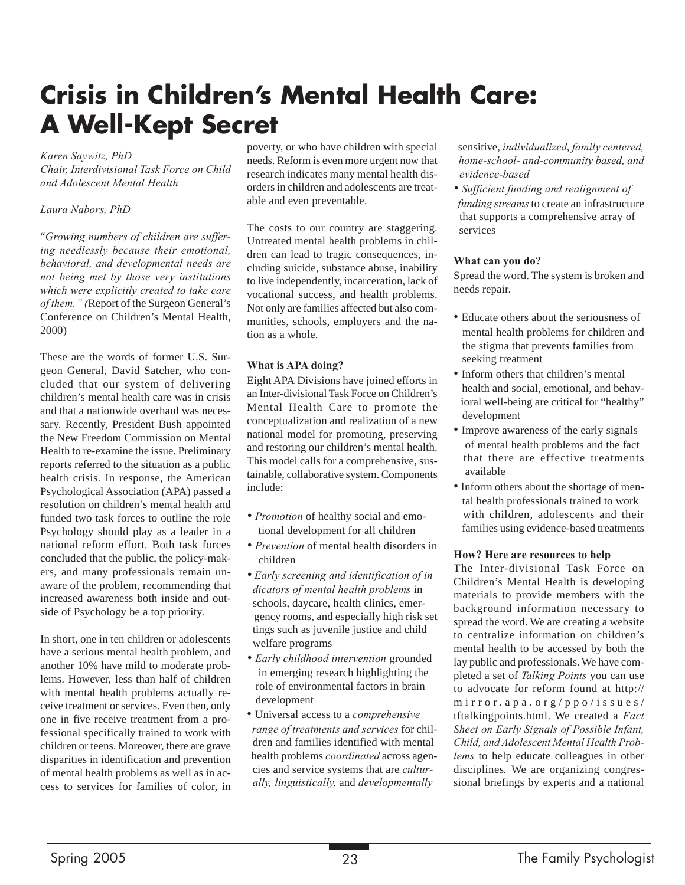## **Crisis in Children's Mental Health Care: A Well-Kept Secret**

*Karen Saywitz, PhD*

*Chair, Interdivisional Task Force on Child and Adolescent Mental Health*

#### *Laura Nabors, PhD*

"*Growing numbers of children are suffering needlessly because their emotional, behavioral, and developmental needs are not being met by those very institutions which were explicitly created to take care of them." (*Report of the Surgeon General's Conference on Children's Mental Health, 2000)

These are the words of former U.S. Surgeon General, David Satcher, who concluded that our system of delivering children's mental health care was in crisis and that a nationwide overhaul was necessary. Recently, President Bush appointed the New Freedom Commission on Mental Health to re-examine the issue. Preliminary reports referred to the situation as a public health crisis. In response, the American Psychological Association (APA) passed a resolution on children's mental health and funded two task forces to outline the role Psychology should play as a leader in a national reform effort. Both task forces concluded that the public, the policy-makers, and many professionals remain unaware of the problem, recommending that increased awareness both inside and outside of Psychology be a top priority.

In short, one in ten children or adolescents have a serious mental health problem, and another 10% have mild to moderate problems. However, less than half of children with mental health problems actually receive treatment or services. Even then, only one in five receive treatment from a professional specifically trained to work with children or teens. Moreover, there are grave disparities in identification and prevention of mental health problems as well as in access to services for families of color, in

poverty, or who have children with special needs. Reform is even more urgent now that research indicates many mental health disorders in children and adolescents are treatable and even preventable.

The costs to our country are staggering. Untreated mental health problems in children can lead to tragic consequences, including suicide, substance abuse, inability to live independently, incarceration, lack of vocational success, and health problems. Not only are families affected but also communities, schools, employers and the nation as a whole.

#### **What is APA doing?**

Eight APA Divisions have joined efforts in an Inter-divisional Task Force on Children's Mental Health Care to promote the conceptualization and realization of a new national model for promoting, preserving and restoring our children's mental health. This model calls for a comprehensive, sustainable, collaborative system. Components include:

- *Promotion* of healthy social and emo tional development for all children
- *Prevention* of mental health disorders in children
- *Early screening and identification of in dicators of mental health problems* in schools, daycare, health clinics, emer gency rooms, and especially high risk set tings such as juvenile justice and child welfare programs
- *Early childhood intervention* grounded in emerging research highlighting the role of environmental factors in brain development
- Universal access to a *comprehensive range of treatments and services* for chil dren and families identified with mental health problems *coordinated* across agen cies and service systems that are *cultur ally, linguistically,* and *developmentally*

 sensitive, *individualized*, *family centered, home-school- and-community based, and evidence-based*

*• Sufficient funding and realignment of funding streams* to create an infrastructure that supports a comprehensive array of services

#### **What can you do?**

Spread the word. The system is broken and needs repair.

- Educate others about the seriousness of mental health problems for children and the stigma that prevents families from seeking treatment
- Inform others that children's mental health and social, emotional, and behav ioral well-being are critical for "healthy" development
- Improve awareness of the early signals of mental health problems and the fact that there are effective treatments available
- Inform others about the shortage of men tal health professionals trained to work with children, adolescents and their families using evidence-based treatments

#### **How? Here are resources to help**

The Inter-divisional Task Force on Children's Mental Health is developing materials to provide members with the background information necessary to spread the word. We are creating a website to centralize information on children's mental health to be accessed by both the lay public and professionals. We have completed a set of *Talking Points* you can use to advocate for reform found at http:// mirror.apa.org/ppo/issues/ tftalkingpoints.html. We created a *Fact Sheet on Early Signals of Possible Infant, Child, and Adolescent Mental Health Problems* to help educate colleagues in other disciplines*.* We are organizing congressional briefings by experts and a national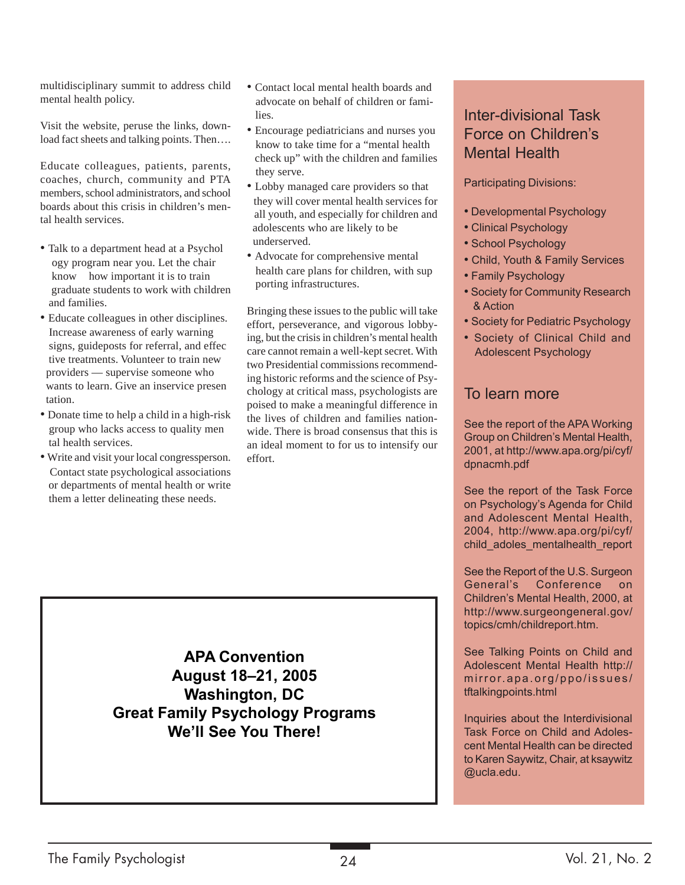multidisciplinary summit to address child mental health policy.

Visit the website, peruse the links, download fact sheets and talking points. Then….

Educate colleagues, patients, parents, coaches, church, community and PTA members, school administrators, and school boards about this crisis in children's mental health services.

- Talk to a department head at a Psychol ogy program near you. Let the chair know how important it is to train graduate students to work with children and families.
- Educate colleagues in other disciplines. Increase awareness of early warning signs, guideposts for referral, and effec tive treatments. Volunteer to train new providers — supervise someone who wants to learn. Give an inservice presen tation.
- Donate time to help a child in a high-risk group who lacks access to quality men tal health services.
- Write and visit your local congressperson. Contact state psychological associations or departments of mental health or write them a letter delineating these needs.
- Contact local mental health boards and advocate on behalf of children or fami lies.
- Encourage pediatricians and nurses you know to take time for a "mental health check up" with the children and families they serve.
- Lobby managed care providers so that they will cover mental health services for all youth, and especially for children and adolescents who are likely to be underserved.
- Advocate for comprehensive mental health care plans for children, with sup porting infrastructures.

Bringing these issues to the public will take effort, perseverance, and vigorous lobbying, but the crisis in children's mental health care cannot remain a well-kept secret. With two Presidential commissions recommending historic reforms and the science of Psychology at critical mass, psychologists are poised to make a meaningful difference in the lives of children and families nationwide. There is broad consensus that this is an ideal moment to for us to intensify our effort.

## Inter-divisional Task Force on Children's Mental Health

Participating Divisions:

- Developmental Psychology
- Clinical Psychology
- School Psychology
- Child, Youth & Family Services
- Family Psychology
- Society for Community Research & Action
- Society for Pediatric Psychology
- Society of Clinical Child and Adolescent Psychology

## To learn more

See the report of the APA Working Group on Children's Mental Health, 2001, at http://www.apa.org/pi/cyf/ dpnacmh.pdf

See the report of the Task Force on Psychology's Agenda for Child and Adolescent Mental Health, 2004, http://www.apa.org/pi/cyf/ child\_adoles\_mentalhealth\_report

See the Report of the U.S. Surgeon General's Conference on Children's Mental Health, 2000, at http://www.surgeongeneral.gov/ topics/cmh/childreport.htm.

See Talking Points on Child and Adolescent Mental Health http:// mirror.apa.org/ppo/issues/ tftalkingpoints.html

Inquiries about the Interdivisional Task Force on Child and Adolescent Mental Health can be directed to Karen Saywitz, Chair, at ksaywitz @ucla.edu.

**APA Convention August 18–21, 2005 Washington, DC Great Family Psychology Programs We'll See You There!**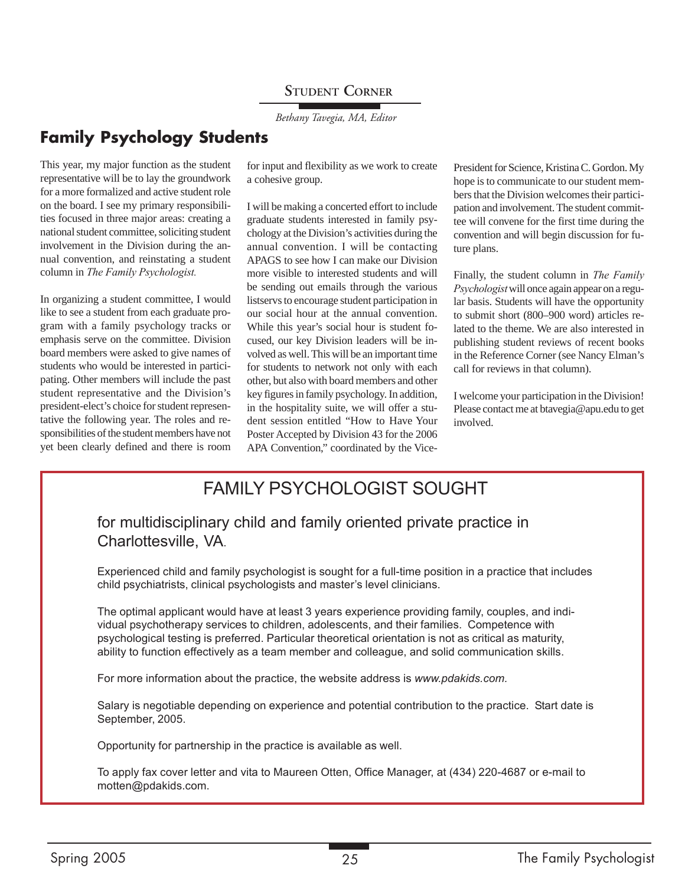## **STUDENT CORNER**

*Bethany Tavegia, MA, Editor*

## **Family Psychology Students**

This year, my major function as the student representative will be to lay the groundwork for a more formalized and active student role on the board. I see my primary responsibilities focused in three major areas: creating a national student committee, soliciting student involvement in the Division during the annual convention, and reinstating a student column in *The Family Psychologist.*

In organizing a student committee, I would like to see a student from each graduate program with a family psychology tracks or emphasis serve on the committee. Division board members were asked to give names of students who would be interested in participating. Other members will include the past student representative and the Division's president-elect's choice for student representative the following year. The roles and responsibilities of the student members have not yet been clearly defined and there is room for input and flexibility as we work to create a cohesive group.

I will be making a concerted effort to include graduate students interested in family psychology at the Division's activities during the annual convention. I will be contacting APAGS to see how I can make our Division more visible to interested students and will be sending out emails through the various listservs to encourage student participation in our social hour at the annual convention. While this year's social hour is student focused, our key Division leaders will be involved as well. This will be an important time for students to network not only with each other, but also with board members and other key figures in family psychology. In addition, in the hospitality suite, we will offer a student session entitled "How to Have Your Poster Accepted by Division 43 for the 2006 APA Convention," coordinated by the VicePresident for Science, Kristina C. Gordon. My hope is to communicate to our student members that the Division welcomes their participation and involvement. The student committee will convene for the first time during the convention and will begin discussion for future plans.

Finally, the student column in *The Family Psychologist* will once again appear on a regular basis. Students will have the opportunity to submit short (800–900 word) articles related to the theme. We are also interested in publishing student reviews of recent books in the Reference Corner (see Nancy Elman's call for reviews in that column).

I welcome your participation in the Division! Please contact me at btavegia@apu.edu to get involved.

## FAMILY PSYCHOLOGIST SOUGHT

### for multidisciplinary child and family oriented private practice in Charlottesville, VA.

Experienced child and family psychologist is sought for a full-time position in a practice that includes child psychiatrists, clinical psychologists and master's level clinicians.

The optimal applicant would have at least 3 years experience providing family, couples, and individual psychotherapy services to children, adolescents, and their families. Competence with psychological testing is preferred. Particular theoretical orientation is not as critical as maturity, ability to function effectively as a team member and colleague, and solid communication skills.

For more information about the practice, the website address is *www.pdakids.com.*

Salary is negotiable depending on experience and potential contribution to the practice. Start date is September, 2005.

Opportunity for partnership in the practice is available as well.

To apply fax cover letter and vita to Maureen Otten, Office Manager, at (434) 220-4687 or e-mail to motten@pdakids.com.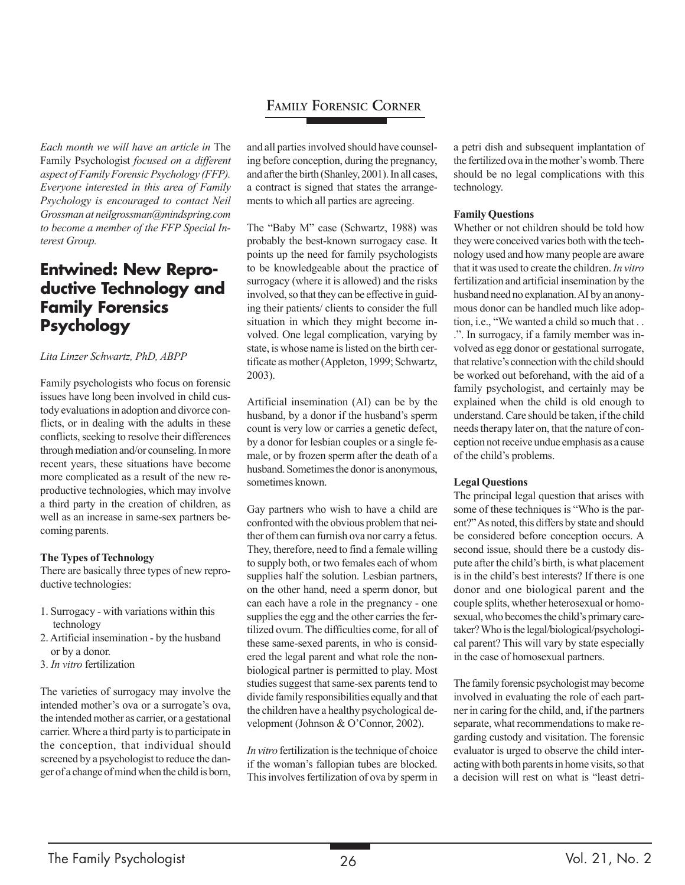## **FAMILY FORENSIC CORNER**

*Each month we will have an article in* The Family Psychologist *focused on a different aspect of Family Forensic Psychology (FFP). Everyone interested in this area of Family Psychology is encouraged to contact Neil Grossman at neilgrossman@mindspring.com to become a member of the FFP Special Interest Group.*

## **Entwined: New Reproductive Technology and Family Forensics Psychology**

#### *Lita Linzer Schwartz, PhD, ABPP*

Family psychologists who focus on forensic issues have long been involved in child custody evaluations in adoption and divorce conflicts, or in dealing with the adults in these conflicts, seeking to resolve their differences through mediation and/or counseling. In more recent years, these situations have become more complicated as a result of the new reproductive technologies, which may involve a third party in the creation of children, as well as an increase in same-sex partners becoming parents.

#### **The Types of Technology**

There are basically three types of new reproductive technologies:

- 1. Surrogacy with variations within this technology
- 2. Artificial insemination by the husband or by a donor.
- 3. *In vitro* fertilization

The varieties of surrogacy may involve the intended mother's ova or a surrogate's ova, the intended mother as carrier, or a gestational carrier. Where a third party is to participate in the conception, that individual should screened by a psychologist to reduce the danger of a change of mind when the child is born, and all parties involved should have counseling before conception, during the pregnancy, and after the birth (Shanley, 2001). In all cases, a contract is signed that states the arrangements to which all parties are agreeing.

The "Baby M" case (Schwartz, 1988) was probably the best-known surrogacy case. It points up the need for family psychologists to be knowledgeable about the practice of surrogacy (where it is allowed) and the risks involved, so that they can be effective in guiding their patients/ clients to consider the full situation in which they might become involved. One legal complication, varying by state, is whose name is listed on the birth certificate as mother (Appleton, 1999; Schwartz, 2003).

Artificial insemination (AI) can be by the husband, by a donor if the husband's sperm count is very low or carries a genetic defect, by a donor for lesbian couples or a single female, or by frozen sperm after the death of a husband. Sometimes the donor is anonymous, sometimes known.

Gay partners who wish to have a child are confronted with the obvious problem that neither of them can furnish ova nor carry a fetus. They, therefore, need to find a female willing to supply both, or two females each of whom supplies half the solution. Lesbian partners, on the other hand, need a sperm donor, but can each have a role in the pregnancy - one supplies the egg and the other carries the fertilized ovum. The difficulties come, for all of these same-sexed parents, in who is considered the legal parent and what role the nonbiological partner is permitted to play. Most studies suggest that same-sex parents tend to divide family responsibilities equally and that the children have a healthy psychological development (Johnson & O'Connor, 2002).

*In vitro* fertilization is the technique of choice if the woman's fallopian tubes are blocked. This involves fertilization of ova by sperm in

a petri dish and subsequent implantation of the fertilized ova in the mother's womb. There should be no legal complications with this technology.

#### **Family Questions**

Whether or not children should be told how they were conceived varies both with the technology used and how many people are aware that it was used to create the children. *In vitro* fertilization and artificial insemination by the husband need no explanation. AI by an anonymous donor can be handled much like adoption, i.e., "We wanted a child so much that . . .". In surrogacy, if a family member was involved as egg donor or gestational surrogate, that relative's connection with the child should be worked out beforehand, with the aid of a family psychologist, and certainly may be explained when the child is old enough to understand. Care should be taken, if the child needs therapy later on, that the nature of conception not receive undue emphasis as a cause of the child's problems.

#### **Legal Questions**

The principal legal question that arises with some of these techniques is "Who is the parent?" As noted, this differs by state and should be considered before conception occurs. A second issue, should there be a custody dispute after the child's birth, is what placement is in the child's best interests? If there is one donor and one biological parent and the couple splits, whether heterosexual or homosexual, who becomes the child's primary caretaker? Who is the legal/biological/psychological parent? This will vary by state especially in the case of homosexual partners.

The family forensic psychologist may become involved in evaluating the role of each partner in caring for the child, and, if the partners separate, what recommendations to make regarding custody and visitation. The forensic evaluator is urged to observe the child interacting with both parents in home visits, so that a decision will rest on what is "least detri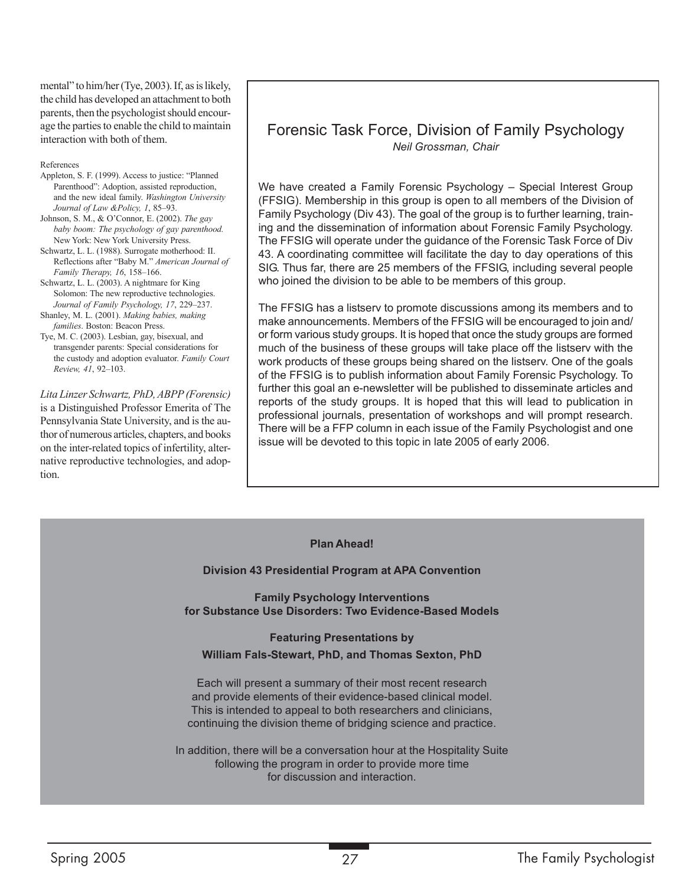mental" to him/her (Tye, 2003). If, as is likely, the child has developed an attachment to both parents, then the psychologist should encourage the parties to enable the child to maintain interaction with both of them.

#### References

- Appleton, S. F. (1999). Access to justice: "Planned Parenthood": Adoption, assisted reproduction, and the new ideal family. *Washington University Journal of Law &Policy, 1*, 85–93.
- Johnson, S. M., & O'Connor, E. (2002). *The gay baby boom: The psychology of gay parenthood.* New York: New York University Press.
- Schwartz, L. L. (1988). Surrogate motherhood: II. Reflections after "Baby M." *American Journal of Family Therapy, 16*, 158–166.
- Schwartz, L. L. (2003). A nightmare for King Solomon: The new reproductive technologies. *Journal of Family Psychology, 17*, 229–237. Shanley, M. L. (2001). *Making babies, making*
- *families*. Boston: Beacon Press.
- Tye, M. C. (2003). Lesbian, gay, bisexual, and transgender parents: Special considerations for the custody and adoption evaluator. *Family Court Review, 41*, 92–103.

*Lita Linzer Schwartz, PhD, ABPP (Forensic)* is a Distinguished Professor Emerita of The Pennsylvania State University, and is the author of numerous articles, chapters, and books on the inter-related topics of infertility, alternative reproductive technologies, and adoption.

### Forensic Task Force, Division of Family Psychology *Neil Grossman, Chair*

We have created a Family Forensic Psychology – Special Interest Group (FFSIG). Membership in this group is open to all members of the Division of Family Psychology (Div 43). The goal of the group is to further learning, training and the dissemination of information about Forensic Family Psychology. The FFSIG will operate under the guidance of the Forensic Task Force of Div 43. A coordinating committee will facilitate the day to day operations of this SIG. Thus far, there are 25 members of the FFSIG, including several people who joined the division to be able to be members of this group.

The FFSIG has a listserv to promote discussions among its members and to make announcements. Members of the FFSIG will be encouraged to join and/ or form various study groups. It is hoped that once the study groups are formed much of the business of these groups will take place off the listserv with the work products of these groups being shared on the listserv. One of the goals of the FFSIG is to publish information about Family Forensic Psychology. To further this goal an e-newsletter will be published to disseminate articles and reports of the study groups. It is hoped that this will lead to publication in professional journals, presentation of workshops and will prompt research. There will be a FFP column in each issue of the Family Psychologist and one issue will be devoted to this topic in late 2005 of early 2006.

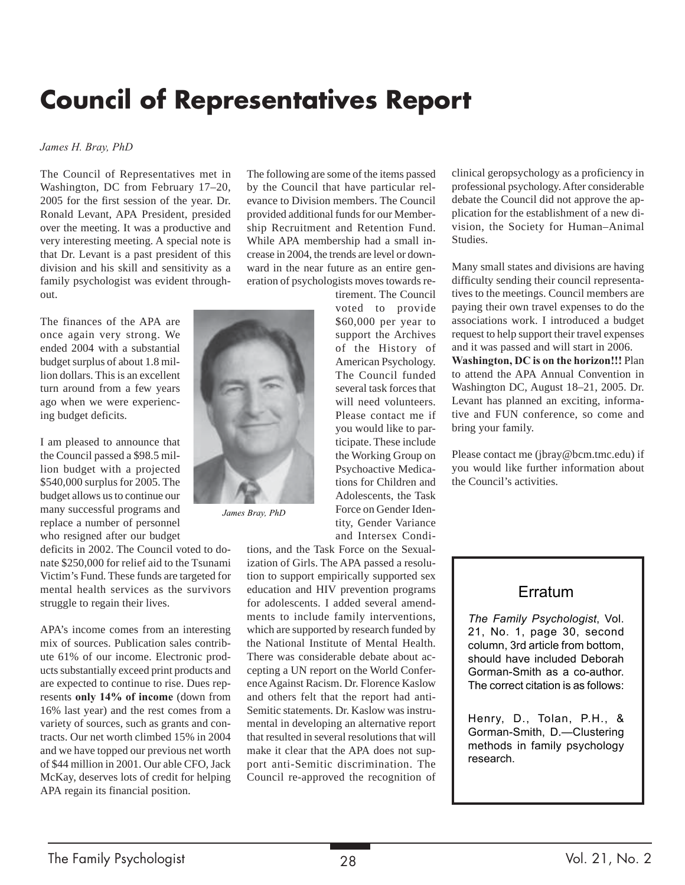## **Council of Representatives Report**

#### *James H. Bray, PhD*

The Council of Representatives met in Washington, DC from February 17–20, 2005 for the first session of the year. Dr. Ronald Levant, APA President, presided over the meeting. It was a productive and very interesting meeting. A special note is that Dr. Levant is a past president of this division and his skill and sensitivity as a family psychologist was evident throughout.

The finances of the APA are once again very strong. We ended 2004 with a substantial budget surplus of about 1.8 million dollars. This is an excellent turn around from a few years ago when we were experiencing budget deficits.

I am pleased to announce that the Council passed a \$98.5 million budget with a projected \$540,000 surplus for 2005. The budget allows us to continue our many successful programs and replace a number of personnel who resigned after our budget

deficits in 2002. The Council voted to donate \$250,000 for relief aid to the Tsunami Victim's Fund. These funds are targeted for mental health services as the survivors struggle to regain their lives.

APA's income comes from an interesting mix of sources. Publication sales contribute 61% of our income. Electronic products substantially exceed print products and are expected to continue to rise. Dues represents **only 14% of income** (down from 16% last year) and the rest comes from a variety of sources, such as grants and contracts. Our net worth climbed 15% in 2004 and we have topped our previous net worth of \$44 million in 2001. Our able CFO, Jack McKay, deserves lots of credit for helping APA regain its financial position.

The following are some of the items passed by the Council that have particular relevance to Division members. The Council provided additional funds for our Membership Recruitment and Retention Fund. While APA membership had a small increase in 2004, the trends are level or downward in the near future as an entire generation of psychologists moves towards re-

tirement. The Council voted to provide \$60,000 per year to support the Archives of the History of American Psychology. The Council funded several task forces that will need volunteers. Please contact me if you would like to participate. These include the Working Group on Psychoactive Medications for Children and Adolescents, the Task Force on Gender Identity, Gender Variance and Intersex Condi-

tions, and the Task Force on the Sexualization of Girls. The APA passed a resolution to support empirically supported sex education and HIV prevention programs for adolescents. I added several amendments to include family interventions, which are supported by research funded by the National Institute of Mental Health. There was considerable debate about accepting a UN report on the World Conference Against Racism. Dr. Florence Kaslow and others felt that the report had anti-Semitic statements. Dr. Kaslow was instrumental in developing an alternative report that resulted in several resolutions that will make it clear that the APA does not support anti-Semitic discrimination. The Council re-approved the recognition of clinical geropsychology as a proficiency in professional psychology. After considerable debate the Council did not approve the application for the establishment of a new division, the Society for Human–Animal Studies.

Many small states and divisions are having difficulty sending their council representatives to the meetings. Council members are paying their own travel expenses to do the associations work. I introduced a budget request to help support their travel expenses and it was passed and will start in 2006.

**Washington, DC is on the horizon!!!** Plan to attend the APA Annual Convention in Washington DC, August 18–21, 2005. Dr. Levant has planned an exciting, informative and FUN conference, so come and bring your family.

Please contact me (jbray@bcm.tmc.edu) if you would like further information about the Council's activities.

### Erratum

*The Family Psychologist*, Vol. 21, No. 1, page 30, second column, 3rd article from bottom, should have included Deborah Gorman-Smith as a co-author. The correct citation is as follows:

Henry, D., Tolan, P.H., & Gorman-Smith, D.—Clustering methods in family psychology research.



*James Bray, PhD*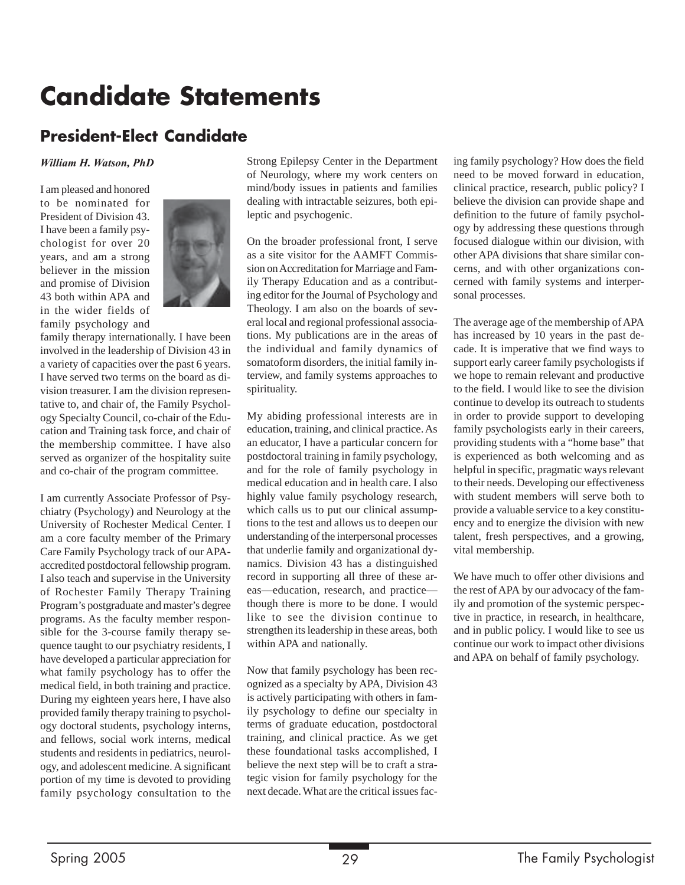## **Candidate Statements**

## **President-Elect Candidate**

#### *William H. Watson, PhD*

I am pleased and honored to be nominated for President of Division 43. I have been a family psychologist for over 20 years, and am a strong believer in the mission and promise of Division 43 both within APA and in the wider fields of family psychology and



family therapy internationally. I have been involved in the leadership of Division 43 in a variety of capacities over the past 6 years. I have served two terms on the board as division treasurer. I am the division representative to, and chair of, the Family Psychology Specialty Council, co-chair of the Education and Training task force, and chair of the membership committee. I have also served as organizer of the hospitality suite and co-chair of the program committee.

I am currently Associate Professor of Psychiatry (Psychology) and Neurology at the University of Rochester Medical Center. I am a core faculty member of the Primary Care Family Psychology track of our APAaccredited postdoctoral fellowship program. I also teach and supervise in the University of Rochester Family Therapy Training Program's postgraduate and master's degree programs. As the faculty member responsible for the 3-course family therapy sequence taught to our psychiatry residents, I have developed a particular appreciation for what family psychology has to offer the medical field, in both training and practice. During my eighteen years here, I have also provided family therapy training to psychology doctoral students, psychology interns, and fellows, social work interns, medical students and residents in pediatrics, neurology, and adolescent medicine. A significant portion of my time is devoted to providing family psychology consultation to the

Strong Epilepsy Center in the Department of Neurology, where my work centers on mind/body issues in patients and families dealing with intractable seizures, both epileptic and psychogenic.

On the broader professional front, I serve as a site visitor for the AAMFT Commission on Accreditation for Marriage and Family Therapy Education and as a contributing editor for the Journal of Psychology and Theology. I am also on the boards of several local and regional professional associations. My publications are in the areas of the individual and family dynamics of somatoform disorders, the initial family interview, and family systems approaches to spirituality.

My abiding professional interests are in education, training, and clinical practice. As an educator, I have a particular concern for postdoctoral training in family psychology, and for the role of family psychology in medical education and in health care. I also highly value family psychology research, which calls us to put our clinical assumptions to the test and allows us to deepen our understanding of the interpersonal processes that underlie family and organizational dynamics. Division 43 has a distinguished record in supporting all three of these areas—education, research, and practice though there is more to be done. I would like to see the division continue to strengthen its leadership in these areas, both within APA and nationally.

Now that family psychology has been recognized as a specialty by APA, Division 43 is actively participating with others in family psychology to define our specialty in terms of graduate education, postdoctoral training, and clinical practice. As we get these foundational tasks accomplished, I believe the next step will be to craft a strategic vision for family psychology for the next decade. What are the critical issues facing family psychology? How does the field need to be moved forward in education, clinical practice, research, public policy? I believe the division can provide shape and definition to the future of family psychology by addressing these questions through focused dialogue within our division, with other APA divisions that share similar concerns, and with other organizations concerned with family systems and interpersonal processes.

The average age of the membership of APA has increased by 10 years in the past decade. It is imperative that we find ways to support early career family psychologists if we hope to remain relevant and productive to the field. I would like to see the division continue to develop its outreach to students in order to provide support to developing family psychologists early in their careers, providing students with a "home base" that is experienced as both welcoming and as helpful in specific, pragmatic ways relevant to their needs. Developing our effectiveness with student members will serve both to provide a valuable service to a key constituency and to energize the division with new talent, fresh perspectives, and a growing, vital membership.

We have much to offer other divisions and the rest of APA by our advocacy of the family and promotion of the systemic perspective in practice, in research, in healthcare, and in public policy. I would like to see us continue our work to impact other divisions and APA on behalf of family psychology.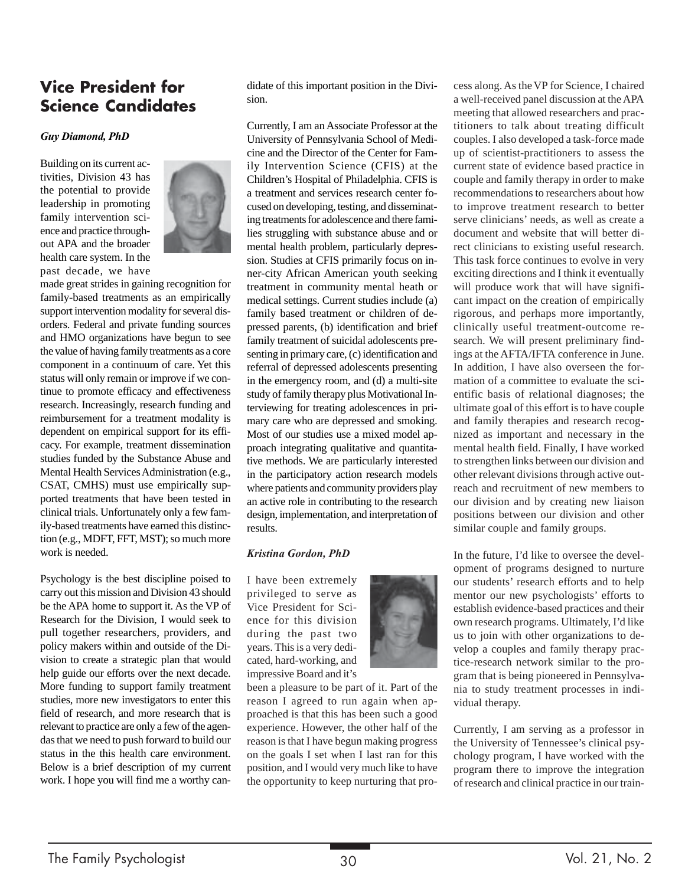## **Vice President for Science Candidates**

#### *Guy Diamond, PhD*

Building on its current activities, Division 43 has the potential to provide leadership in promoting family intervention science and practice throughout APA and the broader health care system. In the past decade, we have



made great strides in gaining recognition for family-based treatments as an empirically support intervention modality for several disorders. Federal and private funding sources and HMO organizations have begun to see the value of having family treatments as a core component in a continuum of care. Yet this status will only remain or improve if we continue to promote efficacy and effectiveness research. Increasingly, research funding and reimbursement for a treatment modality is dependent on empirical support for its efficacy. For example, treatment dissemination studies funded by the Substance Abuse and Mental Health Services Administration (e.g., CSAT, CMHS) must use empirically supported treatments that have been tested in clinical trials. Unfortunately only a few family-based treatments have earned this distinction (e.g., MDFT, FFT, MST); so much more work is needed.

Psychology is the best discipline poised to carry out this mission and Division 43 should be the APA home to support it. As the VP of Research for the Division, I would seek to pull together researchers, providers, and policy makers within and outside of the Division to create a strategic plan that would help guide our efforts over the next decade. More funding to support family treatment studies, more new investigators to enter this field of research, and more research that is relevant to practice are only a few of the agendas that we need to push forward to build our status in the this health care environment. Below is a brief description of my current work. I hope you will find me a worthy candidate of this important position in the Division.

Currently, I am an Associate Professor at the University of Pennsylvania School of Medicine and the Director of the Center for Family Intervention Science (CFIS) at the Children's Hospital of Philadelphia. CFIS is a treatment and services research center focused on developing, testing, and disseminating treatments for adolescence and there families struggling with substance abuse and or mental health problem, particularly depression. Studies at CFIS primarily focus on inner-city African American youth seeking treatment in community mental heath or medical settings. Current studies include (a) family based treatment or children of depressed parents, (b) identification and brief family treatment of suicidal adolescents presenting in primary care, (c) identification and referral of depressed adolescents presenting in the emergency room, and (d) a multi-site study of family therapy plus Motivational Interviewing for treating adolescences in primary care who are depressed and smoking. Most of our studies use a mixed model approach integrating qualitative and quantitative methods. We are particularly interested in the participatory action research models where patients and community providers play an active role in contributing to the research design, implementation, and interpretation of results.

#### *Kristina Gordon, PhD*

I have been extremely privileged to serve as Vice President for Science for this division during the past two years. This is a very dedicated, hard-working, and impressive Board and it's



been a pleasure to be part of it. Part of the reason I agreed to run again when approached is that this has been such a good experience. However, the other half of the reason is that I have begun making progress on the goals I set when I last ran for this position, and I would very much like to have the opportunity to keep nurturing that process along. As the VP for Science, I chaired a well-received panel discussion at the APA meeting that allowed researchers and practitioners to talk about treating difficult couples. I also developed a task-force made up of scientist-practitioners to assess the current state of evidence based practice in couple and family therapy in order to make recommendations to researchers about how to improve treatment research to better serve clinicians' needs, as well as create a document and website that will better direct clinicians to existing useful research. This task force continues to evolve in very exciting directions and I think it eventually will produce work that will have significant impact on the creation of empirically rigorous, and perhaps more importantly, clinically useful treatment-outcome research. We will present preliminary findings at the AFTA/IFTA conference in June. In addition, I have also overseen the formation of a committee to evaluate the scientific basis of relational diagnoses; the ultimate goal of this effort is to have couple and family therapies and research recognized as important and necessary in the mental health field. Finally, I have worked to strengthen links between our division and other relevant divisions through active outreach and recruitment of new members to our division and by creating new liaison positions between our division and other similar couple and family groups.

In the future, I'd like to oversee the development of programs designed to nurture our students' research efforts and to help mentor our new psychologists' efforts to establish evidence-based practices and their own research programs. Ultimately, I'd like us to join with other organizations to develop a couples and family therapy practice-research network similar to the program that is being pioneered in Pennsylvania to study treatment processes in individual therapy.

Currently, I am serving as a professor in the University of Tennessee's clinical psychology program, I have worked with the program there to improve the integration of research and clinical practice in our train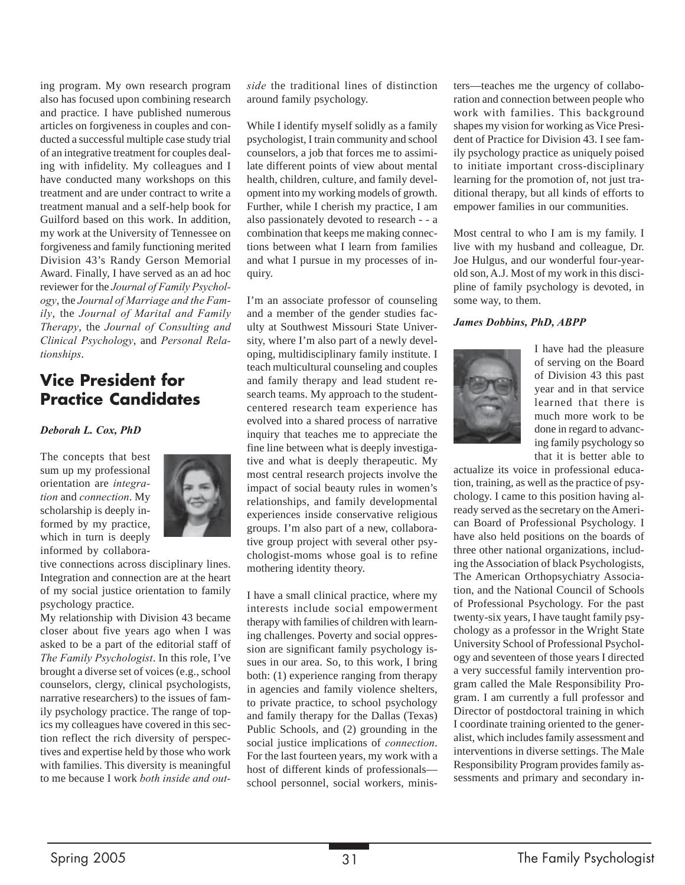ing program. My own research program also has focused upon combining research and practice. I have published numerous articles on forgiveness in couples and conducted a successful multiple case study trial of an integrative treatment for couples dealing with infidelity. My colleagues and I have conducted many workshops on this treatment and are under contract to write a treatment manual and a self-help book for Guilford based on this work. In addition, my work at the University of Tennessee on forgiveness and family functioning merited Division 43's Randy Gerson Memorial Award. Finally, I have served as an ad hoc reviewer for the *Journal of Family Psychology*, the *Journal of Marriage and the Family*, the *Journal of Marital and Family Therapy*, the *Journal of Consulting and Clinical Psychology*, and *Personal Relationships*.

## **Vice President for Practice Candidates**

#### *Deborah L. Cox, PhD*

The concepts that best sum up my professional orientation are *integration* and *connection*. My scholarship is deeply informed by my practice, which in turn is deeply informed by collabora-



tive connections across disciplinary lines. Integration and connection are at the heart of my social justice orientation to family psychology practice.

My relationship with Division 43 became closer about five years ago when I was asked to be a part of the editorial staff of *The Family Psychologist*. In this role, I've brought a diverse set of voices (e.g., school counselors, clergy, clinical psychologists, narrative researchers) to the issues of family psychology practice. The range of topics my colleagues have covered in this section reflect the rich diversity of perspectives and expertise held by those who work with families. This diversity is meaningful to me because I work *both inside and out-* *side* the traditional lines of distinction around family psychology.

While I identify myself solidly as a family psychologist, I train community and school counselors, a job that forces me to assimilate different points of view about mental health, children, culture, and family development into my working models of growth. Further, while I cherish my practice, I am also passionately devoted to research - - a combination that keeps me making connections between what I learn from families and what I pursue in my processes of inquiry.

I'm an associate professor of counseling and a member of the gender studies faculty at Southwest Missouri State University, where I'm also part of a newly developing, multidisciplinary family institute. I teach multicultural counseling and couples and family therapy and lead student research teams. My approach to the studentcentered research team experience has evolved into a shared process of narrative inquiry that teaches me to appreciate the fine line between what is deeply investigative and what is deeply therapeutic. My most central research projects involve the impact of social beauty rules in women's relationships, and family developmental experiences inside conservative religious groups. I'm also part of a new, collaborative group project with several other psychologist-moms whose goal is to refine mothering identity theory.

I have a small clinical practice, where my interests include social empowerment therapy with families of children with learning challenges. Poverty and social oppression are significant family psychology issues in our area. So, to this work, I bring both: (1) experience ranging from therapy in agencies and family violence shelters, to private practice, to school psychology and family therapy for the Dallas (Texas) Public Schools, and (2) grounding in the social justice implications of *connection*. For the last fourteen years, my work with a host of different kinds of professionals school personnel, social workers, ministers—teaches me the urgency of collaboration and connection between people who work with families. This background shapes my vision for working as Vice President of Practice for Division 43. I see family psychology practice as uniquely poised to initiate important cross-disciplinary learning for the promotion of, not just traditional therapy, but all kinds of efforts to empower families in our communities.

Most central to who I am is my family. I live with my husband and colleague, Dr. Joe Hulgus, and our wonderful four-yearold son, A.J. Most of my work in this discipline of family psychology is devoted, in some way, to them.

#### *James Dobbins, PhD, ABPP*



I have had the pleasure of serving on the Board of Division 43 this past year and in that service learned that there is much more work to be done in regard to advancing family psychology so that it is better able to

actualize its voice in professional education, training, as well as the practice of psychology. I came to this position having already served as the secretary on the American Board of Professional Psychology. I have also held positions on the boards of three other national organizations, including the Association of black Psychologists, The American Orthopsychiatry Association, and the National Council of Schools of Professional Psychology. For the past twenty-six years, I have taught family psychology as a professor in the Wright State University School of Professional Psychology and seventeen of those years I directed a very successful family intervention program called the Male Responsibility Program. I am currently a full professor and Director of postdoctoral training in which I coordinate training oriented to the generalist, which includes family assessment and interventions in diverse settings. The Male Responsibility Program provides family assessments and primary and secondary in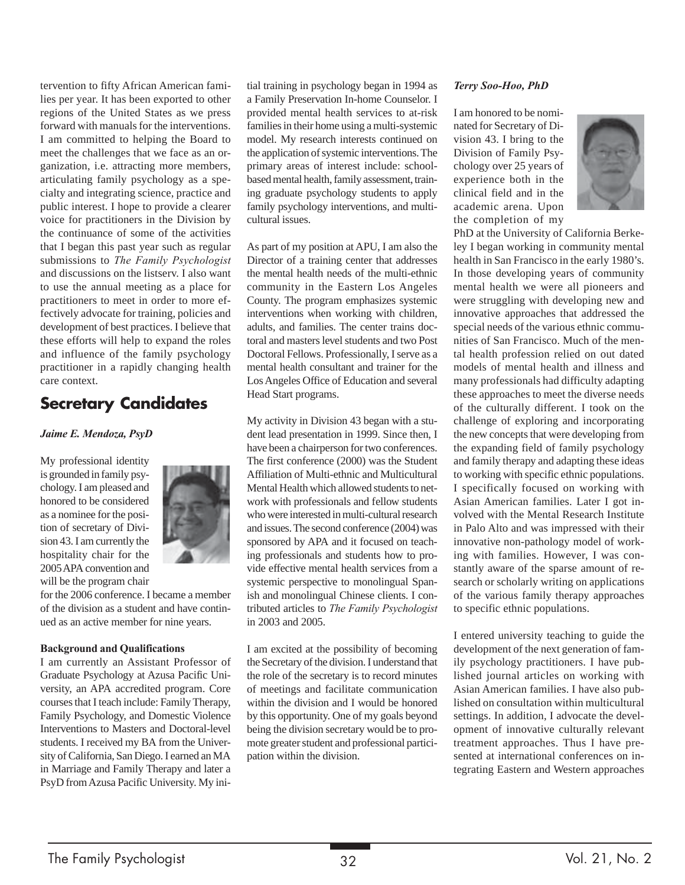tervention to fifty African American families per year. It has been exported to other regions of the United States as we press forward with manuals for the interventions. I am committed to helping the Board to meet the challenges that we face as an organization, i.e. attracting more members, articulating family psychology as a specialty and integrating science, practice and public interest. I hope to provide a clearer voice for practitioners in the Division by the continuance of some of the activities that I began this past year such as regular submissions to *The Family Psychologist* and discussions on the listserv. I also want to use the annual meeting as a place for practitioners to meet in order to more effectively advocate for training, policies and development of best practices. I believe that these efforts will help to expand the roles and influence of the family psychology practitioner in a rapidly changing health care context.

## **Secretary Candidates**

#### *Jaime E. Mendoza, PsyD*

My professional identity is grounded in family psychology. I am pleased and honored to be considered as a nominee for the position of secretary of Division 43. I am currently the hospitality chair for the 2005 APA convention and will be the program chair



for the 2006 conference. I became a member of the division as a student and have continued as an active member for nine years.

#### **Background and Qualifications**

I am currently an Assistant Professor of Graduate Psychology at Azusa Pacific University, an APA accredited program. Core courses that I teach include: Family Therapy, Family Psychology, and Domestic Violence Interventions to Masters and Doctoral-level students. I received my BA from the University of California, San Diego. I earned an MA in Marriage and Family Therapy and later a PsyD from Azusa Pacific University. My initial training in psychology began in 1994 as a Family Preservation In-home Counselor. I provided mental health services to at-risk families in their home using a multi-systemic model. My research interests continued on the application of systemic interventions. The primary areas of interest include: schoolbased mental health, family assessment, training graduate psychology students to apply family psychology interventions, and multicultural issues.

As part of my position at APU, I am also the Director of a training center that addresses the mental health needs of the multi-ethnic community in the Eastern Los Angeles County. The program emphasizes systemic interventions when working with children, adults, and families. The center trains doctoral and masters level students and two Post Doctoral Fellows. Professionally, I serve as a mental health consultant and trainer for the Los Angeles Office of Education and several Head Start programs.

My activity in Division 43 began with a student lead presentation in 1999. Since then, I have been a chairperson for two conferences. The first conference (2000) was the Student Affiliation of Multi-ethnic and Multicultural Mental Health which allowed students to network with professionals and fellow students who were interested in multi-cultural research and issues. The second conference (2004) was sponsored by APA and it focused on teaching professionals and students how to provide effective mental health services from a systemic perspective to monolingual Spanish and monolingual Chinese clients. I contributed articles to *The Family Psychologist* in 2003 and 2005.

I am excited at the possibility of becoming the Secretary of the division. I understand that the role of the secretary is to record minutes of meetings and facilitate communication within the division and I would be honored by this opportunity. One of my goals beyond being the division secretary would be to promote greater student and professional participation within the division.

#### *Terry Soo-Hoo, PhD*

I am honored to be nominated for Secretary of Division 43. I bring to the Division of Family Psychology over 25 years of experience both in the clinical field and in the academic arena. Upon the completion of my



PhD at the University of California Berkeley I began working in community mental health in San Francisco in the early 1980's. In those developing years of community mental health we were all pioneers and were struggling with developing new and innovative approaches that addressed the special needs of the various ethnic communities of San Francisco. Much of the mental health profession relied on out dated models of mental health and illness and many professionals had difficulty adapting these approaches to meet the diverse needs of the culturally different. I took on the challenge of exploring and incorporating the new concepts that were developing from the expanding field of family psychology and family therapy and adapting these ideas to working with specific ethnic populations. I specifically focused on working with Asian American families. Later I got involved with the Mental Research Institute in Palo Alto and was impressed with their innovative non-pathology model of working with families. However, I was constantly aware of the sparse amount of research or scholarly writing on applications of the various family therapy approaches to specific ethnic populations.

I entered university teaching to guide the development of the next generation of family psychology practitioners. I have published journal articles on working with Asian American families. I have also published on consultation within multicultural settings. In addition, I advocate the development of innovative culturally relevant treatment approaches. Thus I have presented at international conferences on integrating Eastern and Western approaches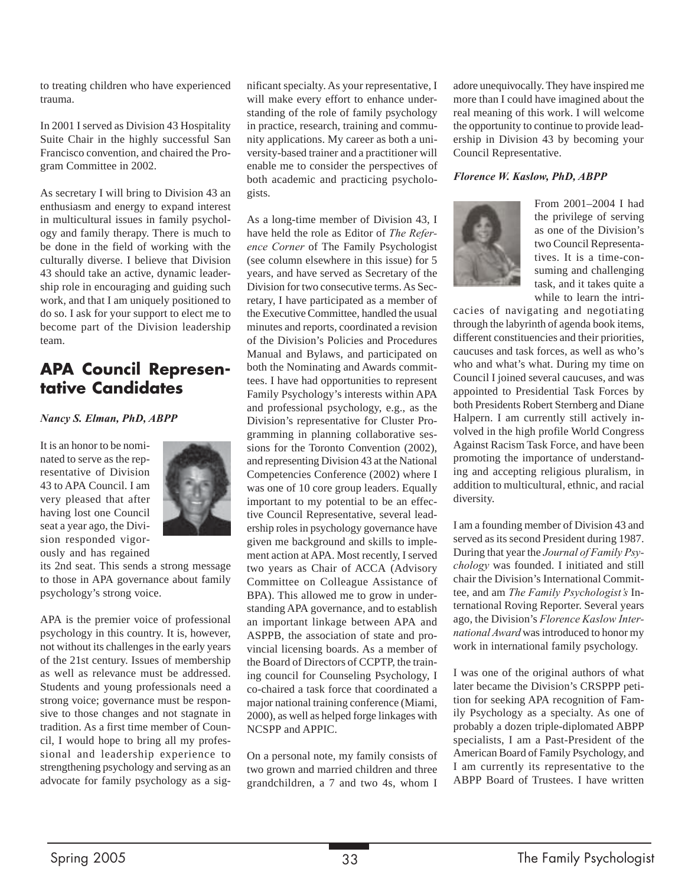to treating children who have experienced trauma.

In 2001 I served as Division 43 Hospitality Suite Chair in the highly successful San Francisco convention, and chaired the Program Committee in 2002.

As secretary I will bring to Division 43 an enthusiasm and energy to expand interest in multicultural issues in family psychology and family therapy. There is much to be done in the field of working with the culturally diverse. I believe that Division 43 should take an active, dynamic leadership role in encouraging and guiding such work, and that I am uniquely positioned to do so. I ask for your support to elect me to become part of the Division leadership team.

## **APA Council Representative Candidates**

#### *Nancy S. Elman, PhD, ABPP*

It is an honor to be nominated to serve as the representative of Division 43 to APA Council. I am very pleased that after having lost one Council seat a year ago, the Division responded vigorously and has regained



its 2nd seat. This sends a strong message to those in APA governance about family psychology's strong voice.

APA is the premier voice of professional psychology in this country. It is, however, not without its challenges in the early years of the 21st century. Issues of membership as well as relevance must be addressed. Students and young professionals need a strong voice; governance must be responsive to those changes and not stagnate in tradition. As a first time member of Council, I would hope to bring all my professional and leadership experience to strengthening psychology and serving as an advocate for family psychology as a sig-

nificant specialty. As your representative, I will make every effort to enhance understanding of the role of family psychology in practice, research, training and community applications. My career as both a university-based trainer and a practitioner will enable me to consider the perspectives of both academic and practicing psychologists.

As a long-time member of Division 43, I have held the role as Editor of *The Reference Corner* of The Family Psychologist (see column elsewhere in this issue) for 5 years, and have served as Secretary of the Division for two consecutive terms. As Secretary, I have participated as a member of the Executive Committee, handled the usual minutes and reports, coordinated a revision of the Division's Policies and Procedures Manual and Bylaws, and participated on both the Nominating and Awards committees. I have had opportunities to represent Family Psychology's interests within APA and professional psychology, e.g., as the Division's representative for Cluster Programming in planning collaborative sessions for the Toronto Convention (2002), and representing Division 43 at the National Competencies Conference (2002) where I was one of 10 core group leaders. Equally important to my potential to be an effective Council Representative, several leadership roles in psychology governance have given me background and skills to implement action at APA. Most recently, I served two years as Chair of ACCA (Advisory Committee on Colleague Assistance of BPA). This allowed me to grow in understanding APA governance, and to establish an important linkage between APA and ASPPB, the association of state and provincial licensing boards. As a member of the Board of Directors of CCPTP, the training council for Counseling Psychology, I co-chaired a task force that coordinated a major national training conference (Miami, 2000), as well as helped forge linkages with NCSPP and APPIC.

On a personal note, my family consists of two grown and married children and three grandchildren, a 7 and two 4s, whom I

adore unequivocally. They have inspired me more than I could have imagined about the real meaning of this work. I will welcome the opportunity to continue to provide leadership in Division 43 by becoming your Council Representative.

#### *Florence W. Kaslow, PhD, ABPP*



From 2001–2004 I had the privilege of serving as one of the Division's two Council Representatives. It is a time-consuming and challenging task, and it takes quite a while to learn the intri-

cacies of navigating and negotiating through the labyrinth of agenda book items, different constituencies and their priorities, caucuses and task forces, as well as who's who and what's what. During my time on Council I joined several caucuses, and was appointed to Presidential Task Forces by both Presidents Robert Sternberg and Diane Halpern. I am currently still actively involved in the high profile World Congress Against Racism Task Force, and have been promoting the importance of understanding and accepting religious pluralism, in addition to multicultural, ethnic, and racial diversity.

I am a founding member of Division 43 and served as its second President during 1987. During that year the *Journal of Family Psychology* was founded. I initiated and still chair the Division's International Committee, and am *The Family Psychologist's* International Roving Reporter. Several years ago, the Division's *Florence Kaslow International Award* was introduced to honor my work in international family psychology.

I was one of the original authors of what later became the Division's CRSPPP petition for seeking APA recognition of Family Psychology as a specialty. As one of probably a dozen triple-diplomated ABPP specialists, I am a Past-President of the American Board of Family Psychology, and I am currently its representative to the ABPP Board of Trustees. I have written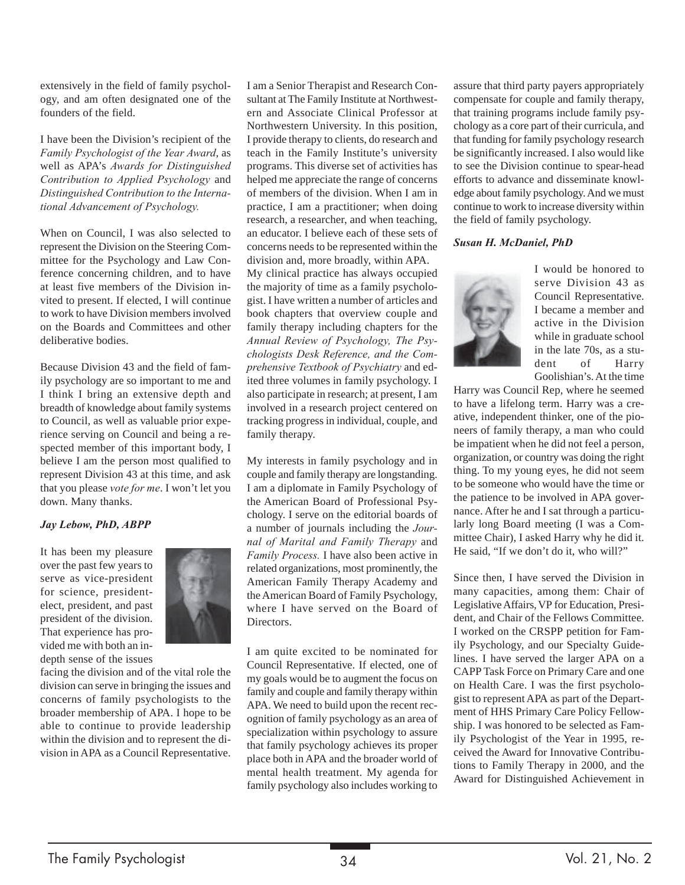extensively in the field of family psychology, and am often designated one of the founders of the field.

I have been the Division's recipient of the *Family Psychologist of the Year Award*, as well as APA's *Awards for Distinguished Contribution to Applied Psychology* and *Distinguished Contribution to the International Advancement of Psychology.*

When on Council, I was also selected to represent the Division on the Steering Committee for the Psychology and Law Conference concerning children, and to have at least five members of the Division invited to present. If elected, I will continue to work to have Division members involved on the Boards and Committees and other deliberative bodies.

Because Division 43 and the field of family psychology are so important to me and I think I bring an extensive depth and breadth of knowledge about family systems to Council, as well as valuable prior experience serving on Council and being a respected member of this important body, I believe I am the person most qualified to represent Division 43 at this time, and ask that you please *vote for me*. I won't let you down. Many thanks.

#### *Jay Lebow, PhD, ABPP*

It has been my pleasure over the past few years to serve as vice-president for science, presidentelect, president, and past president of the division. That experience has provided me with both an indepth sense of the issues



facing the division and of the vital role the division can serve in bringing the issues and concerns of family psychologists to the broader membership of APA. I hope to be able to continue to provide leadership within the division and to represent the division in APA as a Council Representative. I am a Senior Therapist and Research Consultant at The Family Institute at Northwestern and Associate Clinical Professor at Northwestern University. In this position, I provide therapy to clients, do research and teach in the Family Institute's university programs. This diverse set of activities has helped me appreciate the range of concerns of members of the division. When I am in practice, I am a practitioner; when doing research, a researcher, and when teaching, an educator. I believe each of these sets of concerns needs to be represented within the division and, more broadly, within APA.

My clinical practice has always occupied the majority of time as a family psychologist. I have written a number of articles and book chapters that overview couple and family therapy including chapters for the *Annual Review of Psychology, The Psychologists Desk Reference, and the Comprehensive Textbook of Psychiatry* and edited three volumes in family psychology. I also participate in research; at present, I am involved in a research project centered on tracking progress in individual, couple, and family therapy.

My interests in family psychology and in couple and family therapy are longstanding. I am a diplomate in Family Psychology of the American Board of Professional Psychology. I serve on the editorial boards of a number of journals including the *Journal of Marital and Family Therapy* and *Family Process.* I have also been active in related organizations, most prominently, the American Family Therapy Academy and the American Board of Family Psychology, where I have served on the Board of Directors.

I am quite excited to be nominated for Council Representative. If elected, one of my goals would be to augment the focus on family and couple and family therapy within APA. We need to build upon the recent recognition of family psychology as an area of specialization within psychology to assure that family psychology achieves its proper place both in APA and the broader world of mental health treatment. My agenda for family psychology also includes working to

assure that third party payers appropriately compensate for couple and family therapy, that training programs include family psychology as a core part of their curricula, and that funding for family psychology research be significantly increased. I also would like to see the Division continue to spear-head efforts to advance and disseminate knowledge about family psychology. And we must continue to work to increase diversity within the field of family psychology.

#### *Susan H. McDaniel, PhD*



I would be honored to serve Division 43 as Council Representative. I became a member and active in the Division while in graduate school in the late 70s, as a student of Harry Goolishian's. At the time

Harry was Council Rep, where he seemed to have a lifelong term. Harry was a creative, independent thinker, one of the pioneers of family therapy, a man who could be impatient when he did not feel a person, organization, or country was doing the right thing. To my young eyes, he did not seem to be someone who would have the time or the patience to be involved in APA governance. After he and I sat through a particularly long Board meeting (I was a Committee Chair), I asked Harry why he did it. He said, "If we don't do it, who will?"

Since then, I have served the Division in many capacities, among them: Chair of Legislative Affairs, VP for Education, President, and Chair of the Fellows Committee. I worked on the CRSPP petition for Family Psychology, and our Specialty Guidelines. I have served the larger APA on a CAPP Task Force on Primary Care and one on Health Care. I was the first psychologist to represent APA as part of the Department of HHS Primary Care Policy Fellowship. I was honored to be selected as Family Psychologist of the Year in 1995, received the Award for Innovative Contributions to Family Therapy in 2000, and the Award for Distinguished Achievement in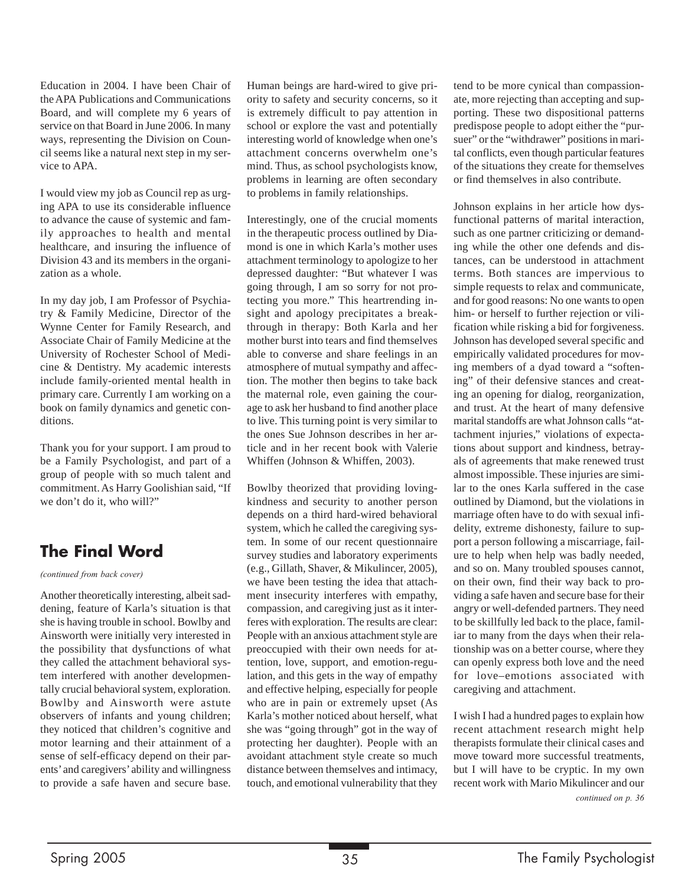Education in 2004. I have been Chair of the APA Publications and Communications Board, and will complete my 6 years of service on that Board in June 2006. In many ways, representing the Division on Council seems like a natural next step in my service to APA.

I would view my job as Council rep as urging APA to use its considerable influence to advance the cause of systemic and family approaches to health and mental healthcare, and insuring the influence of Division 43 and its members in the organization as a whole.

In my day job, I am Professor of Psychiatry & Family Medicine, Director of the Wynne Center for Family Research, and Associate Chair of Family Medicine at the University of Rochester School of Medicine & Dentistry. My academic interests include family-oriented mental health in primary care. Currently I am working on a book on family dynamics and genetic conditions.

Thank you for your support. I am proud to be a Family Psychologist, and part of a group of people with so much talent and commitment. As Harry Goolishian said, "If we don't do it, who will?"

## **The Final Word**

*(continued from back cover)*

Another theoretically interesting, albeit saddening, feature of Karla's situation is that she is having trouble in school. Bowlby and Ainsworth were initially very interested in the possibility that dysfunctions of what they called the attachment behavioral system interfered with another developmentally crucial behavioral system, exploration. Bowlby and Ainsworth were astute observers of infants and young children; they noticed that children's cognitive and motor learning and their attainment of a sense of self-efficacy depend on their parents' and caregivers' ability and willingness to provide a safe haven and secure base. Human beings are hard-wired to give priority to safety and security concerns, so it is extremely difficult to pay attention in school or explore the vast and potentially interesting world of knowledge when one's attachment concerns overwhelm one's mind. Thus, as school psychologists know, problems in learning are often secondary to problems in family relationships.

Interestingly, one of the crucial moments in the therapeutic process outlined by Diamond is one in which Karla's mother uses attachment terminology to apologize to her depressed daughter: "But whatever I was going through, I am so sorry for not protecting you more." This heartrending insight and apology precipitates a breakthrough in therapy: Both Karla and her mother burst into tears and find themselves able to converse and share feelings in an atmosphere of mutual sympathy and affection. The mother then begins to take back the maternal role, even gaining the courage to ask her husband to find another place to live. This turning point is very similar to the ones Sue Johnson describes in her article and in her recent book with Valerie Whiffen (Johnson & Whiffen, 2003).

Bowlby theorized that providing lovingkindness and security to another person depends on a third hard-wired behavioral system, which he called the caregiving system. In some of our recent questionnaire survey studies and laboratory experiments (e.g., Gillath, Shaver, & Mikulincer, 2005), we have been testing the idea that attachment insecurity interferes with empathy, compassion, and caregiving just as it interferes with exploration. The results are clear: People with an anxious attachment style are preoccupied with their own needs for attention, love, support, and emotion-regulation, and this gets in the way of empathy and effective helping, especially for people who are in pain or extremely upset (As Karla's mother noticed about herself, what she was "going through" got in the way of protecting her daughter). People with an avoidant attachment style create so much distance between themselves and intimacy, touch, and emotional vulnerability that they

tend to be more cynical than compassionate, more rejecting than accepting and supporting. These two dispositional patterns predispose people to adopt either the "pursuer" or the "withdrawer" positions in marital conflicts, even though particular features of the situations they create for themselves or find themselves in also contribute.

Johnson explains in her article how dysfunctional patterns of marital interaction, such as one partner criticizing or demanding while the other one defends and distances, can be understood in attachment terms. Both stances are impervious to simple requests to relax and communicate, and for good reasons: No one wants to open him- or herself to further rejection or vilification while risking a bid for forgiveness. Johnson has developed several specific and empirically validated procedures for moving members of a dyad toward a "softening" of their defensive stances and creating an opening for dialog, reorganization, and trust. At the heart of many defensive marital standoffs are what Johnson calls "attachment injuries," violations of expectations about support and kindness, betrayals of agreements that make renewed trust almost impossible. These injuries are similar to the ones Karla suffered in the case outlined by Diamond, but the violations in marriage often have to do with sexual infidelity, extreme dishonesty, failure to support a person following a miscarriage, failure to help when help was badly needed, and so on. Many troubled spouses cannot, on their own, find their way back to providing a safe haven and secure base for their angry or well-defended partners. They need to be skillfully led back to the place, familiar to many from the days when their relationship was on a better course, where they can openly express both love and the need for love–emotions associated with caregiving and attachment.

I wish I had a hundred pages to explain how recent attachment research might help therapists formulate their clinical cases and move toward more successful treatments, but I will have to be cryptic. In my own recent work with Mario Mikulincer and our *continued on p. 36*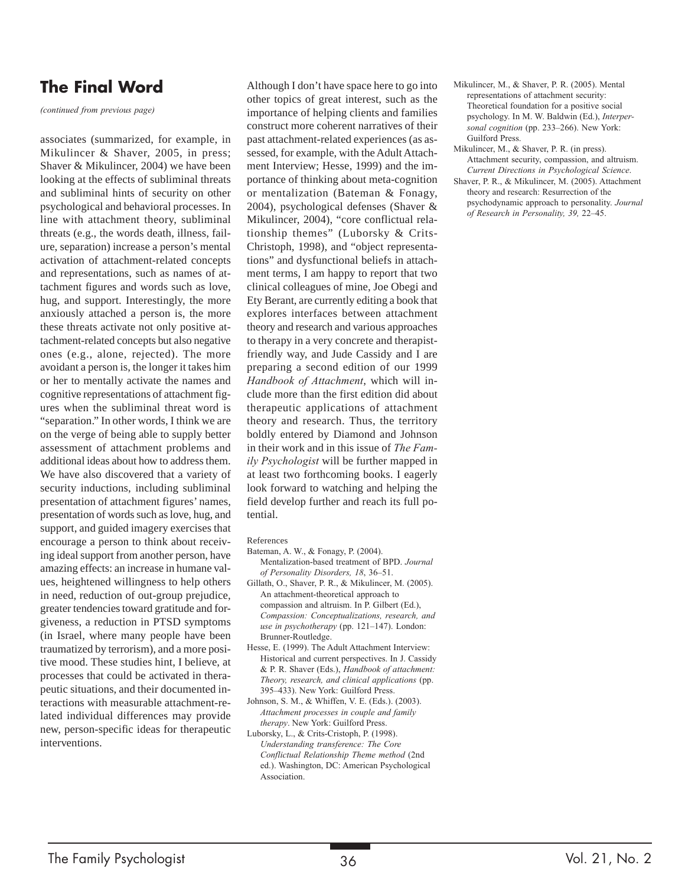## **The Final Word**

*(continued from previous page)*

associates (summarized, for example, in Mikulincer & Shaver, 2005, in press; Shaver & Mikulincer, 2004) we have been looking at the effects of subliminal threats and subliminal hints of security on other psychological and behavioral processes. In line with attachment theory, subliminal threats (e.g., the words death, illness, failure, separation) increase a person's mental activation of attachment-related concepts and representations, such as names of attachment figures and words such as love, hug, and support. Interestingly, the more anxiously attached a person is, the more these threats activate not only positive attachment-related concepts but also negative ones (e.g., alone, rejected). The more avoidant a person is, the longer it takes him or her to mentally activate the names and cognitive representations of attachment figures when the subliminal threat word is "separation." In other words, I think we are on the verge of being able to supply better assessment of attachment problems and additional ideas about how to address them. We have also discovered that a variety of security inductions, including subliminal presentation of attachment figures' names, presentation of words such as love, hug, and support, and guided imagery exercises that encourage a person to think about receiving ideal support from another person, have amazing effects: an increase in humane values, heightened willingness to help others in need, reduction of out-group prejudice, greater tendencies toward gratitude and forgiveness, a reduction in PTSD symptoms (in Israel, where many people have been traumatized by terrorism), and a more positive mood. These studies hint, I believe, at processes that could be activated in therapeutic situations, and their documented interactions with measurable attachment-related individual differences may provide new, person-specific ideas for therapeutic interventions.

Although I don't have space here to go into other topics of great interest, such as the importance of helping clients and families construct more coherent narratives of their past attachment-related experiences (as assessed, for example, with the Adult Attachment Interview; Hesse, 1999) and the importance of thinking about meta-cognition or mentalization (Bateman & Fonagy, 2004), psychological defenses (Shaver & Mikulincer, 2004), "core conflictual relationship themes" (Luborsky & Crits-Christoph, 1998), and "object representations" and dysfunctional beliefs in attachment terms, I am happy to report that two clinical colleagues of mine, Joe Obegi and Ety Berant, are currently editing a book that explores interfaces between attachment theory and research and various approaches to therapy in a very concrete and therapistfriendly way, and Jude Cassidy and I are preparing a second edition of our 1999 *Handbook of Attachment*, which will include more than the first edition did about therapeutic applications of attachment theory and research. Thus, the territory boldly entered by Diamond and Johnson in their work and in this issue of *The Family Psychologist* will be further mapped in at least two forthcoming books. I eagerly look forward to watching and helping the field develop further and reach its full potential.

#### References

- Bateman, A. W., & Fonagy, P. (2004).
- Mentalization-based treatment of BPD. *Journal of Personality Disorders, 18*, 36–51.
- Gillath, O., Shaver, P. R., & Mikulincer, M. (2005). An attachment-theoretical approach to compassion and altruism. In P. Gilbert (Ed.), *Compassion: Conceptualizations, research, and use in psychotherapy* (pp. 121–147). London: Brunner-Routledge.
- Hesse, E. (1999). The Adult Attachment Interview: Historical and current perspectives. In J. Cassidy & P. R. Shaver (Eds.), *Handbook of attachment: Theory, research, and clinical applications* (pp. 395–433). New York: Guilford Press.
- Johnson, S. M., & Whiffen, V. E. (Eds.). (2003). *Attachment processes in couple and family therapy*. New York: Guilford Press.
- Luborsky, L., & Crits-Cristoph, P. (1998). *Understanding transference: The Core Conflictual Relationship Theme method* (2nd ed.). Washington, DC: American Psychological Association.
- Mikulincer, M., & Shaver, P. R. (2005). Mental representations of attachment security: Theoretical foundation for a positive social psychology. In M. W. Baldwin (Ed.), *Interpersonal cognition* (pp. 233–266). New York: Guilford Press.
- Mikulincer, M., & Shaver, P. R. (in press). Attachment security, compassion, and altruism. *Current Directions in Psychological Science*.
- Shaver, P. R., & Mikulincer, M. (2005). Attachment theory and research: Resurrection of the psychodynamic approach to personality. *Journal of Research in Personality, 39,* 22–45.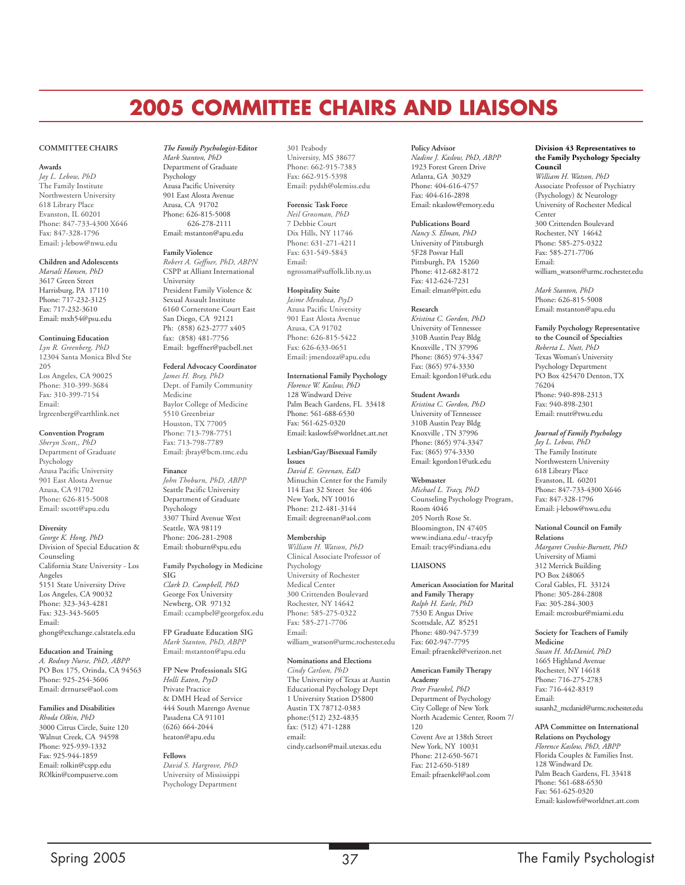## **2005 COMMITTEE CHAIRS AND LIAISONS**

#### **COMMITTEE CHAIRS**

#### **Awards**

*Jay L. Lebow, PhD* The Family Institute Northwestern University 618 Library Place Evanston, IL 60201 Phone: 847-733-4300 X646 Fax: 847-328-1796 Email: j-lebow@nwu.edu

#### **Children and Adolescents**

*Marsali Hansen, PhD* 3617 Green Street Harrisburg, PA 17110 Phone: 717-232-3125 Fax: 717-232-3610 Email: mxh54@psu.edu

#### **Continuing Education**

*Lyn R. Greenberg, PhD* 12304 Santa Monica Blvd Ste 205 Los Angeles, CA 90025 Phone: 310-399-3684 Fax: 310-399-7154 Email: lrgreenberg@earthlink.net

#### **Convention Program**

*Sheryn Scott,, PhD* Department of Graduate Psychology Azusa Pacific University 901 East Alosta Avenue Azusa, CA 91702 Phone: 626-815-5008 Email: sscott@apu.edu

#### **Diversity**

*George K. Hong, PhD* Division of Special Education & Counseling California State University - Los Angeles 5151 State University Drive Los Angeles, CA 90032 Phone: 323-343-4281 Fax: 323-343-5605 Email: ghong@exchange.calstatela.edu

#### **Education and Training**

*A. Rodney Nurse, PhD, ABPP* PO Box 175, Orinda, CA 94563 Phone: 925-254-3606 Email: drrnurse@aol.com

#### **Families and Disabilities**

*Rhoda Olkin, PhD* 3000 Citrus Circle, Suite 120 Walnut Creek, CA 94598 Phone: 925-939-1332 Fax: 925-944-1859 Email: rolkin@cspp.edu ROlkin@compuserve.com

#### *The Family Psychologist-***Editor**

*Mark Stanton, PhD* Department of Graduate Psychology Azusa Pacific University 901 East Alosta Avenue Azusa, CA 91702 Phone: 626-815-5008 626-278-2111 Email: mstanton@apu.edu

#### **Family Violence**

*Robert A. Geffner, PhD, ABPN* CSPP at Alliant International University President Family Violence & Sexual Assault Institute 6160 Cornerstone Court East San Diego, CA 92121 Ph: (858) 623-2777 x405 fax: (858) 481-7756 Email: bgeffner@pacbell.net

#### **Federal Advocacy Coordinator**

*James H. Bray, PhD* Dept. of Family Community Medicine Baylor College of Medicine 5510 Greenbriar Houston, TX 77005 Phone: 713-798-7751 Fax: 713-798-7789 Email: jbray@bcm.tmc.edu

#### **Finance**

*John Thoburn, PhD, ABPP* Seattle Pacific University Department of Graduate Psychology 3307 Third Avenue West Seattle, WA 98119 Phone: 206-281-2908 Email: thoburn@spu.edu

**Family Psychology in Medicine SIG** *Clark D. Campbell, PhD* George Fox University Newberg, OR 97132 Email: ccampbel@georgefox.edu

**FP Graduate Education SIG** *Mark Stanton, PhD, ABPP* Email: mstanton@apu.edu

**FP New Professionals SIG** *Holli Eaton, PsyD* Private Practice & DMH Head of Service 444 South Marengo Avenue Pasadena CA 91101 (626) 664-2044 heaton@apu.edu

#### **Fellows**

*David S. Hargrove, PhD* University of Mississippi Psychology Department

#### 301 Peabody

University, MS 38677 Phone: 662-915-7383 Fax: 662-915-5398 Email: pydsh@olemiss.edu

#### **Forensic Task Force**

*Neil Grossman, PhD* 7 Debbie Court Dix Hills, NY 11746 Phone: 631-271-4211 Fax: 631-549-5843 Email: ngrossma@suffolk.lib.ny.us

#### **Hospitality Suite**

*Jaime Mendoza, PsyD* Azusa Pacific University 901 East Alosta Avenue Azusa, CA 91702 Phone: 626-815-5422 Fax: 626-633-0651 Email: jmendoza@apu.edu

#### **International Family Psychology**

*Florence W. Kaslow, PhD* 128 Windward Drive Palm Beach Gardens, FL 33418 Phone: 561-688-6530 Fax: 561-625-0320 Email: kaslowfs@worldnet.att.net

#### **Lesbian/Gay/Bisexual Family Issues** *David E. Greenan, EdD* Minuchin Center for the Family 114 East 32 Street Ste 406 New York, NY 10016

Phone: 212-481-3144 Email: degreenan@aol.com **Membership** *William H. Watson, PhD* Clinical Associate Professor of Psychology University of Rochester Medical Center 300 Crittenden Boulevard

Rochester, NY 14642 Phone: 585-275-0322 Fax: 585-271-7706 Email:

william\_watson@urmc.rochester.edu

#### **Nominations and Elections**

*Cindy Carlson, PhD* The University of Texas at Austin Educational Psychology Dept 1 University Station D5800 Austin TX 78712-0383 phone:(512) 232-4835 fax: (512) 471-1288 email: cindy.carlson@mail.utexas.edu

#### **Policy Advisor**

*Nadine J. Kaslow, PhD, ABPP* 1923 Forest Green Drive Atlanta, GA 30329 Phone: 404-616-4757 Fax: 404-616-2898 Email: nkaslow@emory.edu

#### **Publications Board**

*Nancy S. Elman, PhD* University of Pittsburgh 5F28 Posvar Hall Pittsburgh, PA 15260 Phone: 412-682-8172 Fax: 412-624-7231 Email: elman@pitt.edu

#### **Research**

*Kristina C. Gordon, PhD* University of Tennessee 310B Austin Peay Bldg Knoxville , TN 37996 Phone: (865) 974-3347 Fax: (865) 974-3330 Email: kgordon1@utk.edu

#### **Student Awards**

*Kristina C. Gordon, PhD* University of Tennessee 310B Austin Peay Bldg Knoxville , TN 37996 Phone: (865) 974-3347 Fax: (865) 974-3330 Email: kgordon1@utk.edu

#### **Webmaster**

*Michael L. Tracy, PhD* Counseling Psychology Program, Room 4046 205 North Rose St. Bloomington, IN 47405 www.indiana.edu/~tracyfp Email: tracy@indiana.edu

#### **LIAISONS**

#### **American Association for Marital and Family Therapy** *Ralph H. Earle, PhD* 7530 E Angus Drive

Scottsdale, AZ 85251 Phone: 480-947-5739 Fax: 602-947-7795 Email: pfraenkel@verizon.net

#### **American Family Therapy Academy**

*Peter Fraenkel, PhD* Department of Psychology City College of New York North Academic Center, Room 7/ 120 Covent Ave at 138th Street New York, NY 10031 Phone: 212-650-5671 Fax: 212-650-5189 Email: pfraenkel@aol.com

#### **Division 43 Representatives to the Family Psychology Specialty Council**

*William H. Watson, PhD* Associate Professor of Psychiatry (Psychology) & Neurology University of Rochester Medical Center 300 Crittenden Boulevard Rochester, NY 14642 Phone: 585-275-0322 Fax: 585-271-7706 Email: william\_watson@urmc.rochester.edu

*Mark Stanton, PhD* Phone: 626-815-5008 Email: mstanton@apu.edu

**Family Psychology Representative to the Council of Specialties** *Roberta L. Nutt, PhD* Texas Woman's University Psychology Department PO Box 425470 Denton, TX 76204 Phone: 940-898-2313 Fax: 940-898-2301 Email: rnutt@twu.edu

*Journal of Family Psychology*

*Jay L. Lebow, PhD* The Family Institute Northwestern University 618 Library Place Evanston, IL 60201 Phone: 847-733-4300 X646 Fax: 847-328-1796 Email: j-lebow@nwu.edu

**National Council on Family Relations** *Margaret Crosbie-Burnett, PhD* University of Miami 312 Merrick Building PO Box 248065 Coral Gables, FL 33124 Phone: 305-284-2808 Fax: 305-284-3003 Email: mcrosbur@miami.edu

#### **Society for Teachers of Family Medicine** *Susan H. McDaniel, PhD*

1665 Highland Avenue Rochester, NY 14618 Phone: 716-275-2783 Fax: 716-442-8319 Email: susanh2\_mcdaniel@urmc.rochester.edu

#### **APA Committee on International Relations on Psychology** *Florence Kaslow, PhD, ABPP*

Florida Couples & Families Inst. 128 Windward Dr. Palm Beach Gardens, FL 33418 Phone: 561-688-6530 Fax: 561-625-0320 Email: kaslowfs@worldnet.att.com